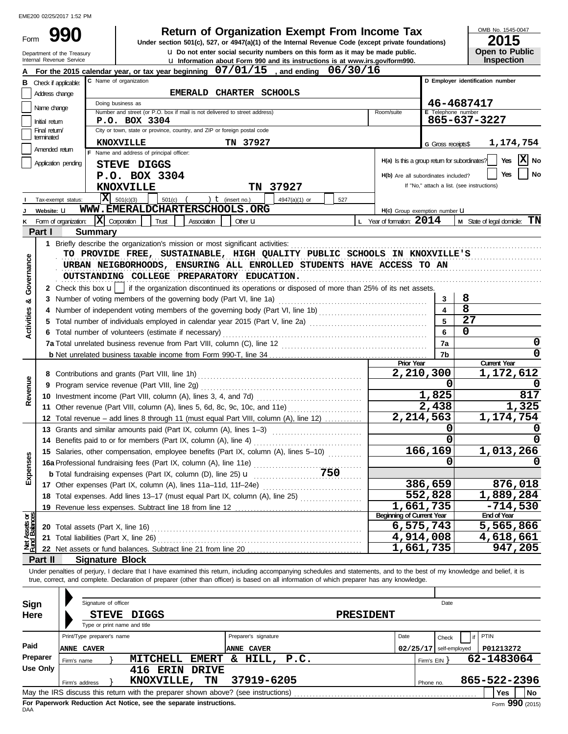Form 990

Department of the Treasury

## **Return of Organization Exempt From Income Tax**

**u** Do not enter social security numbers on this form as it may be made public. **Under section 501(c), 527, or 4947(a)(1) of the Internal Revenue Code (except private foundations)** OMB No. 1545-0047

| ZUIJ                  |
|-----------------------|
| <b>Open to Public</b> |
| <b>Inspection</b>     |

|                                |                 | Internal Revenue Service |                                                                                                 |                 |                                  |                      |               |     |     | U Information about Form 990 and its instructions is at www.irs.gov/form990.                                                                                                                                                   |                          |                    | Inspection                                                                                                                                                                 |
|--------------------------------|-----------------|--------------------------|-------------------------------------------------------------------------------------------------|-----------------|----------------------------------|----------------------|---------------|-----|-----|--------------------------------------------------------------------------------------------------------------------------------------------------------------------------------------------------------------------------------|--------------------------|--------------------|----------------------------------------------------------------------------------------------------------------------------------------------------------------------------|
|                                |                 |                          | For the 2015 calendar year, or tax year beginning 07/01/15, and ending 06/30/16                 |                 |                                  |                      |               |     |     |                                                                                                                                                                                                                                |                          |                    |                                                                                                                                                                            |
| В                              |                 | Check if applicable:     | C Name of organization                                                                          |                 |                                  |                      |               |     |     |                                                                                                                                                                                                                                |                          |                    | D Employer identification number                                                                                                                                           |
|                                | Address change  |                          |                                                                                                 |                 | EMERALD CHARTER SCHOOLS          |                      |               |     |     |                                                                                                                                                                                                                                |                          |                    |                                                                                                                                                                            |
|                                |                 |                          |                                                                                                 |                 |                                  |                      |               |     |     |                                                                                                                                                                                                                                |                          |                    |                                                                                                                                                                            |
|                                | Name change     |                          | Doing business as<br>Number and street (or P.O. box if mail is not delivered to street address) |                 |                                  |                      |               |     |     | Room/suite                                                                                                                                                                                                                     |                          |                    | 46-4687417<br>E Telephone number                                                                                                                                           |
|                                | Initial return  |                          | P.O. BOX 3304                                                                                   |                 |                                  |                      |               |     |     |                                                                                                                                                                                                                                |                          |                    | 865-637-3227                                                                                                                                                               |
|                                | Final return    |                          | City or town, state or province, country, and ZIP or foreign postal code                        |                 |                                  |                      |               |     |     |                                                                                                                                                                                                                                |                          |                    |                                                                                                                                                                            |
|                                | terminated      |                          |                                                                                                 |                 |                                  |                      |               |     |     |                                                                                                                                                                                                                                |                          |                    |                                                                                                                                                                            |
|                                | Amended return  |                          | <b>KNOXVILLE</b>                                                                                |                 |                                  | TN 37927             |               |     |     |                                                                                                                                                                                                                                |                          | G Gross receipts\$ | 1,174,754                                                                                                                                                                  |
|                                |                 |                          | F Name and address of principal officer:                                                        |                 |                                  |                      |               |     |     |                                                                                                                                                                                                                                |                          |                    | X No<br>Yes<br>H(a) Is this a group return for subordinates?                                                                                                               |
|                                |                 | Application pending      | <b>STEVE DIGGS</b>                                                                              |                 |                                  |                      |               |     |     |                                                                                                                                                                                                                                |                          |                    |                                                                                                                                                                            |
|                                |                 |                          | P.O. BOX 3304                                                                                   |                 |                                  |                      |               |     |     | H(b) Are all subordinates included?                                                                                                                                                                                            |                          |                    | No<br>Yes                                                                                                                                                                  |
|                                |                 |                          | <b>KNOXVILLE</b>                                                                                |                 |                                  |                      | TN 37927      |     |     |                                                                                                                                                                                                                                |                          |                    | If "No," attach a list. (see instructions)                                                                                                                                 |
|                                |                 |                          | $ \mathbf{X} $ 501(c)(3)                                                                        |                 |                                  |                      |               |     |     |                                                                                                                                                                                                                                |                          |                    |                                                                                                                                                                            |
|                                |                 | Tax-exempt status:       | WWW.EMERALDCHARTERSCHOOLS.ORG                                                                   | $501(c)$ (      | $\bullet$ $\bullet$ (insert no.) |                      | 4947(a)(1) or |     | 527 |                                                                                                                                                                                                                                |                          |                    |                                                                                                                                                                            |
|                                | Website: U      |                          |                                                                                                 |                 |                                  |                      |               |     |     | H(c) Group exemption number U                                                                                                                                                                                                  |                          |                    |                                                                                                                                                                            |
| ĸ                              |                 | Form of organization:    | $ \mathbf{X} $ Corporation                                                                      | Trust           | Association                      | Other <b>U</b>       |               |     |     | L Year of formation: $2014$                                                                                                                                                                                                    |                          |                    | <b>M</b> State of legal domicile: $\mathbf{T}\mathbf{N}$                                                                                                                   |
|                                | Part I          |                          | <b>Summary</b>                                                                                  |                 |                                  |                      |               |     |     |                                                                                                                                                                                                                                |                          |                    |                                                                                                                                                                            |
|                                |                 |                          | 1 Briefly describe the organization's mission or most significant activities:                   |                 |                                  |                      |               |     |     |                                                                                                                                                                                                                                |                          |                    |                                                                                                                                                                            |
|                                |                 |                          |                                                                                                 |                 |                                  |                      |               |     |     | TO PROVIDE FREE, SUSTAINABLE, HIGH QUALITY PUBLIC SCHOOLS IN KNOXVILLE'S                                                                                                                                                       |                          |                    |                                                                                                                                                                            |
|                                |                 |                          |                                                                                                 |                 |                                  |                      |               |     |     | URBAN NEIGBORHOODS, ENSURING ALL ENROLLED STUDENTS HAVE ACCESS TO AN                                                                                                                                                           |                          |                    |                                                                                                                                                                            |
| Governance                     |                 |                          | OUTSTANDING COLLEGE PREPARATORY EDUCATION.                                                      |                 |                                  |                      |               |     |     |                                                                                                                                                                                                                                |                          |                    |                                                                                                                                                                            |
|                                |                 |                          |                                                                                                 |                 |                                  |                      |               |     |     |                                                                                                                                                                                                                                |                          |                    |                                                                                                                                                                            |
|                                |                 |                          |                                                                                                 |                 |                                  |                      |               |     |     | 2 Check this box $\mathbf{u}$   if the organization discontinued its operations or disposed of more than 25% of its net assets.                                                                                                |                          |                    |                                                                                                                                                                            |
| ఱ                              |                 |                          | 3 Number of voting members of the governing body (Part VI, line 1a)                             |                 |                                  |                      |               |     |     |                                                                                                                                                                                                                                |                          | 3                  | 8                                                                                                                                                                          |
|                                |                 |                          |                                                                                                 |                 |                                  |                      |               |     |     |                                                                                                                                                                                                                                |                          |                    | 8                                                                                                                                                                          |
| Activities                     |                 |                          |                                                                                                 |                 |                                  |                      |               |     |     | 5 Total number of individuals employed in calendar year 2015 (Part V, line 2a) [100] (100] [100] [100] [100] [100] [100] [100] [100] [100] [100] [100] [100] [100] [100] [100] [100] [100] [100] [100] [100] [100] [100] [100] |                          |                    | 27                                                                                                                                                                         |
|                                |                 |                          | 6 Total number of volunteers (estimate if necessary)                                            |                 |                                  |                      |               |     |     |                                                                                                                                                                                                                                |                          | 6                  | 0                                                                                                                                                                          |
|                                |                 |                          |                                                                                                 |                 |                                  |                      |               |     |     |                                                                                                                                                                                                                                |                          | 7a                 | 0                                                                                                                                                                          |
|                                |                 |                          |                                                                                                 |                 |                                  |                      |               |     |     |                                                                                                                                                                                                                                |                          |                    | 0                                                                                                                                                                          |
|                                |                 |                          |                                                                                                 |                 |                                  |                      |               |     |     |                                                                                                                                                                                                                                | <b>Prior Year</b>        | 7b                 | <b>Current Year</b>                                                                                                                                                        |
|                                |                 |                          |                                                                                                 |                 |                                  |                      |               |     |     |                                                                                                                                                                                                                                |                          |                    |                                                                                                                                                                            |
|                                |                 |                          |                                                                                                 |                 |                                  |                      |               |     |     |                                                                                                                                                                                                                                | 2,210,300                |                    | 1,172,612                                                                                                                                                                  |
| Revenue                        | 9               |                          | Program service revenue (Part VIII, line 2g)                                                    |                 |                                  |                      |               |     |     |                                                                                                                                                                                                                                |                          | 0                  |                                                                                                                                                                            |
|                                |                 |                          |                                                                                                 |                 |                                  |                      |               |     |     |                                                                                                                                                                                                                                |                          | 1,825              | 817                                                                                                                                                                        |
|                                |                 |                          | 11 Other revenue (Part VIII, column (A), lines 5, 6d, 8c, 9c, 10c, and 11e)                     |                 |                                  |                      |               |     |     |                                                                                                                                                                                                                                | 2,438                    |                    | 1,325                                                                                                                                                                      |
|                                |                 |                          | 12 Total revenue - add lines 8 through 11 (must equal Part VIII, column (A), line 12)           |                 |                                  |                      |               |     |     |                                                                                                                                                                                                                                | $\overline{2,214,563}$   |                    | 1,174,754                                                                                                                                                                  |
|                                |                 |                          | 13 Grants and similar amounts paid (Part IX, column (A), lines 1-3)                             |                 |                                  |                      |               |     |     |                                                                                                                                                                                                                                |                          | 0                  |                                                                                                                                                                            |
|                                |                 |                          |                                                                                                 |                 |                                  |                      |               |     |     |                                                                                                                                                                                                                                |                          | 0                  | <sup>0</sup>                                                                                                                                                               |
|                                |                 |                          | 14 Benefits paid to or for members (Part IX, column (A), line 4)                                |                 |                                  |                      |               |     |     |                                                                                                                                                                                                                                |                          |                    |                                                                                                                                                                            |
|                                |                 |                          | 15 Salaries, other compensation, employee benefits (Part IX, column (A), lines 5-10)            |                 |                                  |                      |               |     |     |                                                                                                                                                                                                                                | 166,169                  |                    | 1,013,266                                                                                                                                                                  |
| enses                          |                 |                          |                                                                                                 |                 |                                  |                      |               |     |     |                                                                                                                                                                                                                                |                          | 0                  |                                                                                                                                                                            |
| <u>និ</u>                      |                 |                          | <b>b</b> Total fundraising expenses (Part IX, column (D), line 25) <b>u</b>                     |                 |                                  |                      |               | 750 |     |                                                                                                                                                                                                                                |                          |                    |                                                                                                                                                                            |
|                                |                 |                          | 17 Other expenses (Part IX, column (A), lines 11a-11d, 11f-24e)                                 |                 |                                  |                      |               |     |     |                                                                                                                                                                                                                                | 386,659                  |                    | 876,018                                                                                                                                                                    |
|                                |                 |                          | 18 Total expenses. Add lines 13-17 (must equal Part IX, column (A), line 25)                    |                 |                                  |                      |               |     |     |                                                                                                                                                                                                                                | 552,828                  |                    | 1,889,284                                                                                                                                                                  |
|                                |                 |                          | 19 Revenue less expenses. Subtract line 18 from line 12                                         |                 |                                  |                      |               |     |     |                                                                                                                                                                                                                                | 1,661,735                |                    | $-714,530$                                                                                                                                                                 |
|                                |                 |                          |                                                                                                 |                 |                                  |                      |               |     |     | <b>Beginning of Current Year</b>                                                                                                                                                                                               |                          |                    | <b>End of Year</b>                                                                                                                                                         |
| Net Assets or<br>Fund Balances |                 |                          |                                                                                                 |                 |                                  |                      |               |     |     |                                                                                                                                                                                                                                | 6,575,743                |                    | 5,565,866                                                                                                                                                                  |
|                                |                 |                          | 21 Total liabilities (Part X, line 26)                                                          |                 |                                  |                      |               |     |     |                                                                                                                                                                                                                                | 4,914,008                |                    | 4,618,661                                                                                                                                                                  |
|                                |                 |                          |                                                                                                 |                 |                                  |                      |               |     |     |                                                                                                                                                                                                                                | 1,661,735                |                    | 947,205                                                                                                                                                                    |
|                                |                 |                          | 22 Net assets or fund balances. Subtract line 21 from line 20                                   |                 |                                  |                      |               |     |     |                                                                                                                                                                                                                                |                          |                    |                                                                                                                                                                            |
|                                | Part II         |                          | <b>Signature Block</b>                                                                          |                 |                                  |                      |               |     |     |                                                                                                                                                                                                                                |                          |                    |                                                                                                                                                                            |
|                                |                 |                          |                                                                                                 |                 |                                  |                      |               |     |     |                                                                                                                                                                                                                                |                          |                    | Under penalties of perjury, I declare that I have examined this return, including accompanying schedules and statements, and to the best of my knowledge and belief, it is |
|                                |                 |                          |                                                                                                 |                 |                                  |                      |               |     |     | true, correct, and complete. Declaration of preparer (other than officer) is based on all information of which preparer has any knowledge.                                                                                     |                          |                    |                                                                                                                                                                            |
|                                |                 |                          |                                                                                                 |                 |                                  |                      |               |     |     |                                                                                                                                                                                                                                |                          |                    |                                                                                                                                                                            |
| Sign                           |                 |                          | Signature of officer                                                                            |                 |                                  |                      |               |     |     |                                                                                                                                                                                                                                |                          | Date               |                                                                                                                                                                            |
| Here                           |                 |                          | <b>STEVE</b>                                                                                    | DIGGS           |                                  |                      |               |     |     | <b>PRESIDENT</b>                                                                                                                                                                                                               |                          |                    |                                                                                                                                                                            |
|                                |                 |                          | Type or print name and title                                                                    |                 |                                  |                      |               |     |     |                                                                                                                                                                                                                                |                          |                    |                                                                                                                                                                            |
|                                |                 |                          |                                                                                                 |                 |                                  |                      |               |     |     |                                                                                                                                                                                                                                |                          |                    |                                                                                                                                                                            |
|                                |                 |                          | Print/Type preparer's name                                                                      |                 |                                  | Preparer's signature |               |     |     | Date                                                                                                                                                                                                                           |                          | Check              | PTIN                                                                                                                                                                       |
| Paid                           |                 | ANNE CAVER               |                                                                                                 |                 |                                  | ANNE CAVER           |               |     |     |                                                                                                                                                                                                                                | $02/25/17$ self-employed |                    | P01213272                                                                                                                                                                  |
|                                | Preparer        | Firm's name              |                                                                                                 | <b>MITCHELL</b> | <b>EMERT</b>                     | & HILL,              | P.C.          |     |     |                                                                                                                                                                                                                                | Firm's EIN }             |                    | 62-1483064                                                                                                                                                                 |
|                                | <b>Use Only</b> |                          |                                                                                                 |                 | 416 ERIN DRIVE                   |                      |               |     |     |                                                                                                                                                                                                                                |                          |                    |                                                                                                                                                                            |
|                                |                 | Firm's address           |                                                                                                 | KNOXVILLE,      | TN                               |                      | 37919-6205    |     |     |                                                                                                                                                                                                                                | Phone no.                |                    | 865-522-2396                                                                                                                                                               |
|                                |                 |                          | May the IRS discuss this return with the preparer shown above? (see instructions)               |                 |                                  |                      |               |     |     |                                                                                                                                                                                                                                |                          |                    | Yes<br>No                                                                                                                                                                  |
|                                |                 |                          |                                                                                                 |                 |                                  |                      |               |     |     |                                                                                                                                                                                                                                |                          |                    |                                                                                                                                                                            |

| Sign     |                            | Signature of officer |                                                                                   |              |    |                      |                  |      |                   | Date                     |    |              |     |  |
|----------|----------------------------|----------------------|-----------------------------------------------------------------------------------|--------------|----|----------------------|------------------|------|-------------------|--------------------------|----|--------------|-----|--|
| Here     |                            | <b>STEVE</b>         | <b>DIGGS</b>                                                                      |              |    |                      | <b>PRESIDENT</b> |      |                   |                          |    |              |     |  |
|          |                            |                      | Type or print name and title                                                      |              |    |                      |                  |      |                   |                          |    |              |     |  |
|          | Print/Type preparer's name |                      |                                                                                   |              |    | Preparer's signature |                  | Date |                   | Check                    | if | PTIN         |     |  |
| Paid     | <b>IANNE CAVER</b>         |                      |                                                                                   |              |    | <b>ANNE CAVER</b>    |                  |      |                   | $02/25/17$ self-employed |    | P01213272    |     |  |
| Preparer | Firm's name                |                      | <b>MITCHELL</b>                                                                   | <b>EMERT</b> | &. | HILL, P.C.           |                  |      | Firm's $EIN$ $\}$ |                          |    | 62-1483064   |     |  |
| Use Only |                            |                      | 416 ERIN                                                                          | <b>DRIVE</b> |    |                      |                  |      |                   |                          |    |              |     |  |
|          | Firm's address             |                      | KNOXVILLE,                                                                        | TN           |    | 37919-6205           |                  |      | Phone no.         |                          |    | 865-522-2396 |     |  |
|          |                            |                      | May the IRS discuss this return with the preparer shown above? (see instructions) |              |    |                      |                  |      |                   |                          |    | Yes          | No  |  |
|          |                            |                      |                                                                                   |              |    |                      |                  |      |                   |                          |    |              | 000 |  |

For Paperwork Reduction Act Notice, see the separate instructions.<br><sub>DAA</sub>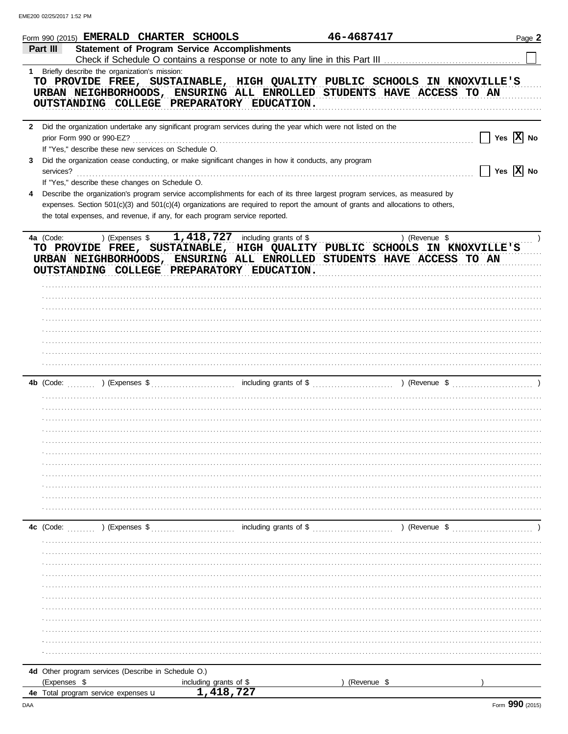|   | 46-4687417<br>Form 990 (2015) EMERALD CHARTER SCHOOLS                                                                                                                                                                                                                                                                                       | Page 2       |
|---|---------------------------------------------------------------------------------------------------------------------------------------------------------------------------------------------------------------------------------------------------------------------------------------------------------------------------------------------|--------------|
|   | <b>Statement of Program Service Accomplishments</b><br>Part III<br>Check if Schedule O contains a response or note to any line in this Part III                                                                                                                                                                                             |              |
|   | 1 Briefly describe the organization's mission:                                                                                                                                                                                                                                                                                              |              |
|   | TO PROVIDE FREE, SUSTAINABLE, HIGH QUALITY PUBLIC SCHOOLS IN KNOXVILLE'S<br>URBAN NEIGHBORHOODS, ENSURING ALL ENROLLED STUDENTS HAVE ACCESS TO AN<br>OUTSTANDING COLLEGE PREPARATORY EDUCATION.                                                                                                                                             |              |
|   | 2 Did the organization undertake any significant program services during the year which were not listed on the<br>prior Form 990 or 990-EZ?                                                                                                                                                                                                 | Yes $ X $ No |
|   | If "Yes," describe these new services on Schedule O.                                                                                                                                                                                                                                                                                        |              |
| 3 | Did the organization cease conducting, or make significant changes in how it conducts, any program<br>services?                                                                                                                                                                                                                             | Yes $X$ No   |
|   | If "Yes," describe these changes on Schedule O.                                                                                                                                                                                                                                                                                             |              |
|   | Describe the organization's program service accomplishments for each of its three largest program services, as measured by<br>expenses. Section 501(c)(3) and 501(c)(4) organizations are required to report the amount of grants and allocations to others,<br>the total expenses, and revenue, if any, for each program service reported. |              |
|   | 4a (Code:  ) (Expenses \$  1,418,727 including grants of \$<br>) (Revenue \$<br>TO PROVIDE FREE, SUSTAINABLE, HIGH QUALITY PUBLIC SCHOOLS IN KNOXVILLE'S<br>URBAN NEIGHBORHOODS, ENSURING ALL ENROLLED STUDENTS HAVE ACCESS TO AN<br>OUTSTANDING COLLEGE PREPARATORY EDUCATION.                                                             |              |
|   |                                                                                                                                                                                                                                                                                                                                             |              |
|   |                                                                                                                                                                                                                                                                                                                                             |              |
|   |                                                                                                                                                                                                                                                                                                                                             |              |
|   |                                                                                                                                                                                                                                                                                                                                             |              |
|   |                                                                                                                                                                                                                                                                                                                                             |              |
|   |                                                                                                                                                                                                                                                                                                                                             |              |
|   |                                                                                                                                                                                                                                                                                                                                             |              |
|   |                                                                                                                                                                                                                                                                                                                                             |              |
|   | including grants of \$<br>) (Revenue \$<br>4b (Code:<br>) (Expenses \$                                                                                                                                                                                                                                                                      |              |
|   |                                                                                                                                                                                                                                                                                                                                             |              |
|   |                                                                                                                                                                                                                                                                                                                                             |              |
|   |                                                                                                                                                                                                                                                                                                                                             |              |
|   |                                                                                                                                                                                                                                                                                                                                             |              |
|   |                                                                                                                                                                                                                                                                                                                                             |              |
|   |                                                                                                                                                                                                                                                                                                                                             |              |
|   |                                                                                                                                                                                                                                                                                                                                             |              |
|   |                                                                                                                                                                                                                                                                                                                                             |              |
|   |                                                                                                                                                                                                                                                                                                                                             |              |
|   |                                                                                                                                                                                                                                                                                                                                             |              |
|   | $(\text{Expenses }$ \$<br>) (Revenue \$<br>4c (Code:                                                                                                                                                                                                                                                                                        |              |
|   |                                                                                                                                                                                                                                                                                                                                             |              |
|   |                                                                                                                                                                                                                                                                                                                                             |              |
|   |                                                                                                                                                                                                                                                                                                                                             |              |
|   |                                                                                                                                                                                                                                                                                                                                             |              |
|   |                                                                                                                                                                                                                                                                                                                                             |              |
|   |                                                                                                                                                                                                                                                                                                                                             |              |
|   |                                                                                                                                                                                                                                                                                                                                             |              |
|   |                                                                                                                                                                                                                                                                                                                                             |              |
|   |                                                                                                                                                                                                                                                                                                                                             |              |
|   |                                                                                                                                                                                                                                                                                                                                             |              |
|   | 4d Other program services (Describe in Schedule O.)                                                                                                                                                                                                                                                                                         |              |
|   | (Expenses \$<br>(Revenue \$<br>including grants of \$                                                                                                                                                                                                                                                                                       |              |
|   | 1,418,727<br>4e Total program service expenses <b>U</b>                                                                                                                                                                                                                                                                                     |              |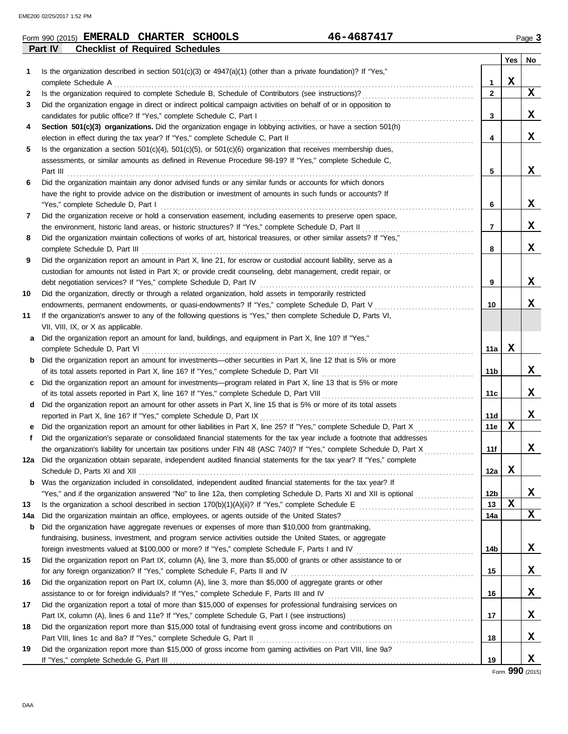| Form 990 (2015) | <b>EMERALD</b>                         | <b>CHARTER</b> | <b>SCHOOLS</b> | $1 - 468741$ $-$ | Page |
|-----------------|----------------------------------------|----------------|----------------|------------------|------|
| Part IV         | <b>Checklist of Required Schedules</b> |                |                |                  |      |

|     |                                                                                                                                                                                                                                |                 | Yes         | No. |
|-----|--------------------------------------------------------------------------------------------------------------------------------------------------------------------------------------------------------------------------------|-----------------|-------------|-----|
| 1   | Is the organization described in section $501(c)(3)$ or $4947(a)(1)$ (other than a private foundation)? If "Yes,"                                                                                                              |                 |             |     |
|     | complete Schedule A                                                                                                                                                                                                            | 1               | $\mathbf x$ |     |
| 2   |                                                                                                                                                                                                                                | $\mathbf{2}$    |             | X   |
| 3   | Did the organization engage in direct or indirect political campaign activities on behalf of or in opposition to                                                                                                               |                 |             |     |
|     | candidates for public office? If "Yes," complete Schedule C, Part I                                                                                                                                                            | 3               |             | x   |
| 4   | Section 501(c)(3) organizations. Did the organization engage in lobbying activities, or have a section 501(h)                                                                                                                  |                 |             |     |
|     |                                                                                                                                                                                                                                | 4               |             | X   |
| 5   | Is the organization a section $501(c)(4)$ , $501(c)(5)$ , or $501(c)(6)$ organization that receives membership dues,                                                                                                           |                 |             |     |
|     | assessments, or similar amounts as defined in Revenue Procedure 98-19? If "Yes," complete Schedule C,                                                                                                                          |                 |             |     |
|     |                                                                                                                                                                                                                                | 5               |             | x   |
| 6   | Did the organization maintain any donor advised funds or any similar funds or accounts for which donors                                                                                                                        |                 |             |     |
|     | have the right to provide advice on the distribution or investment of amounts in such funds or accounts? If                                                                                                                    |                 |             |     |
|     |                                                                                                                                                                                                                                | 6               |             | x   |
| 7   | Did the organization receive or hold a conservation easement, including easements to preserve open space,                                                                                                                      |                 |             |     |
|     |                                                                                                                                                                                                                                | 7               |             | x   |
| 8   | Did the organization maintain collections of works of art, historical treasures, or other similar assets? If "Yes,"                                                                                                            |                 |             |     |
|     |                                                                                                                                                                                                                                | 8               |             | x   |
| 9   | Did the organization report an amount in Part X, line 21, for escrow or custodial account liability, serve as a                                                                                                                |                 |             |     |
|     | custodian for amounts not listed in Part X; or provide credit counseling, debt management, credit repair, or                                                                                                                   |                 |             |     |
|     |                                                                                                                                                                                                                                | 9               |             | x   |
| 10  | Did the organization, directly or through a related organization, hold assets in temporarily restricted                                                                                                                        |                 |             |     |
|     | endowments, permanent endowments, or quasi-endowments? If "Yes," complete Schedule D, Part V                                                                                                                                   | 10              |             | x   |
| 11  | If the organization's answer to any of the following questions is "Yes," then complete Schedule D, Parts VI,                                                                                                                   |                 |             |     |
|     | VII, VIII, IX, or X as applicable.                                                                                                                                                                                             |                 |             |     |
| a   | Did the organization report an amount for land, buildings, and equipment in Part X, line 10? If "Yes,"                                                                                                                         |                 |             |     |
|     |                                                                                                                                                                                                                                | 11a             | X           |     |
|     | <b>b</b> Did the organization report an amount for investments-other securities in Part X, line 12 that is 5% or more                                                                                                          |                 |             |     |
|     |                                                                                                                                                                                                                                | 11b             |             | x   |
| c.  | Did the organization report an amount for investments—program related in Part X, line 13 that is 5% or more                                                                                                                    |                 |             |     |
|     |                                                                                                                                                                                                                                | 11c             |             | x   |
|     | d Did the organization report an amount for other assets in Part X, line 15 that is 5% or more of its total assets                                                                                                             |                 |             |     |
|     | reported in Part X, line 16? If "Yes," complete Schedule D, Part IX                                                                                                                                                            | 11d             |             | X   |
|     | e Did the organization report an amount for other liabilities in Part X, line 25? If "Yes," complete Schedule D, Part X                                                                                                        | 11e             | X           |     |
| f   | Did the organization's separate or consolidated financial statements for the tax year include a footnote that addresses                                                                                                        |                 |             |     |
|     | the organization's liability for uncertain tax positions under FIN 48 (ASC 740)? If "Yes," complete Schedule D, Part X                                                                                                         | 11f             |             | x   |
|     | 12a Did the organization obtain separate, independent audited financial statements for the tax year? If "Yes," complete                                                                                                        |                 |             |     |
|     |                                                                                                                                                                                                                                | 12a             | x           |     |
| b   | Was the organization included in consolidated, independent audited financial statements for the tax year? If                                                                                                                   |                 |             |     |
|     | "Yes," and if the organization answered "No" to line 12a, then completing Schedule D, Parts XI and XII is optional                                                                                                             | 12 <sub>b</sub> |             | X   |
| 13  |                                                                                                                                                                                                                                | 13              | X           |     |
| 14a |                                                                                                                                                                                                                                | 14a             |             | X   |
| b   | Did the organization have aggregate revenues or expenses of more than \$10,000 from grantmaking,                                                                                                                               |                 |             |     |
|     | fundraising, business, investment, and program service activities outside the United States, or aggregate                                                                                                                      |                 |             |     |
|     |                                                                                                                                                                                                                                | 14b             |             | X   |
| 15  | Did the organization report on Part IX, column (A), line 3, more than \$5,000 of grants or other assistance to or                                                                                                              |                 |             |     |
|     | for any foreign organization? If "Yes," complete Schedule F, Parts II and IV [11][11] CONDERGANG DETERMAN DETERMAN DETERMAN DETERMAN DETERMAN DETERMAN DETERMAN DETERMAN DETERMAN DETERMAN DETERMAN DETERMAN DETERMAN DETERMAN | 15              |             | X   |
| 16  | Did the organization report on Part IX, column (A), line 3, more than \$5,000 of aggregate grants or other                                                                                                                     |                 |             |     |
|     |                                                                                                                                                                                                                                | 16              |             | X   |
| 17  | Did the organization report a total of more than \$15,000 of expenses for professional fundraising services on                                                                                                                 |                 |             |     |
|     |                                                                                                                                                                                                                                | 17              |             | x   |
| 18  | Did the organization report more than \$15,000 total of fundraising event gross income and contributions on                                                                                                                    |                 |             |     |
|     |                                                                                                                                                                                                                                | 18              |             | X   |
| 19  | Did the organization report more than \$15,000 of gross income from gaming activities on Part VIII, line 9a?                                                                                                                   |                 |             |     |
|     |                                                                                                                                                                                                                                | 19              |             | X   |

Form **990** (2015)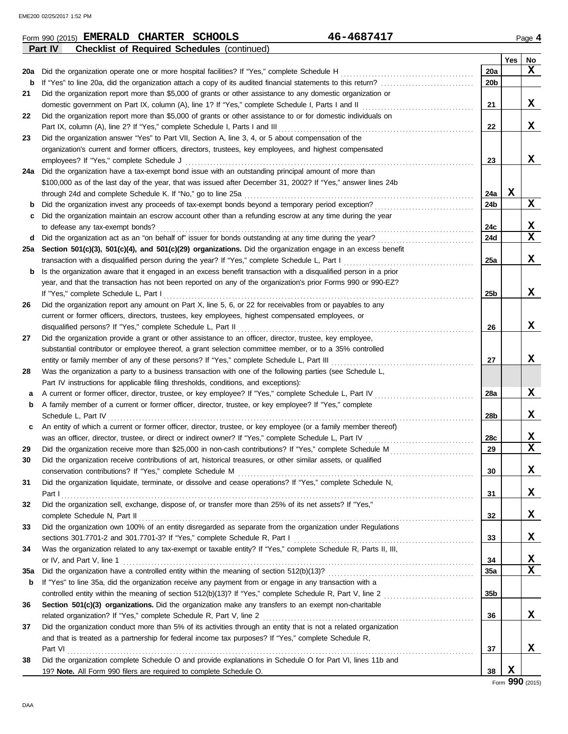|     | <b>Checklist of Required Schedules (continued)</b><br>Part IV                                                    |                 |     |                         |
|-----|------------------------------------------------------------------------------------------------------------------|-----------------|-----|-------------------------|
|     |                                                                                                                  |                 | Yes | No                      |
| 20a | Did the organization operate one or more hospital facilities? If "Yes," complete Schedule H                      | 20a             |     | x                       |
| b   | If "Yes" to line 20a, did the organization attach a copy of its audited financial statements to this return?     | 20 <sub>b</sub> |     |                         |
| 21  | Did the organization report more than \$5,000 of grants or other assistance to any domestic organization or      |                 |     |                         |
|     | domestic government on Part IX, column (A), line 1? If "Yes," complete Schedule I, Parts I and II                | 21              |     | X                       |
| 22  | Did the organization report more than \$5,000 of grants or other assistance to or for domestic individuals on    |                 |     |                         |
|     | Part IX, column (A), line 2? If "Yes," complete Schedule I, Parts I and III                                      | 22              |     | X                       |
| 23  | Did the organization answer "Yes" to Part VII, Section A, line 3, 4, or 5 about compensation of the              |                 |     |                         |
|     | organization's current and former officers, directors, trustees, key employees, and highest compensated          |                 |     |                         |
|     | employees? If "Yes," complete Schedule J                                                                         | 23              |     | X                       |
| 24a | Did the organization have a tax-exempt bond issue with an outstanding principal amount of more than              |                 |     |                         |
|     | \$100,000 as of the last day of the year, that was issued after December 31, 2002? If "Yes," answer lines 24b    |                 |     |                         |
|     | through 24d and complete Schedule K. If "No," go to line 25a                                                     | 24a             | X   |                         |
| b   | Did the organization invest any proceeds of tax-exempt bonds beyond a temporary period exception?                | 24 <sub>b</sub> |     | X                       |
| c   | Did the organization maintain an escrow account other than a refunding escrow at any time during the year        |                 |     |                         |
|     | to defease any tax-exempt bonds?                                                                                 | 24c             |     | X                       |
| d   | Did the organization act as an "on behalf of" issuer for bonds outstanding at any time during the year?<br>.     | 24d             |     | $\mathbf x$             |
| 25a | Section 501(c)(3), 501(c)(4), and 501(c)(29) organizations. Did the organization engage in an excess benefit     |                 |     |                         |
|     | transaction with a disqualified person during the year? If "Yes," complete Schedule L, Part I                    | 25a             |     | X                       |
| b   | Is the organization aware that it engaged in an excess benefit transaction with a disqualified person in a prior |                 |     |                         |
|     | year, and that the transaction has not been reported on any of the organization's prior Forms 990 or 990-EZ?     |                 |     |                         |
|     | If "Yes," complete Schedule L, Part I                                                                            | 25 <sub>b</sub> |     | X                       |
| 26  | Did the organization report any amount on Part X, line 5, 6, or 22 for receivables from or payables to any       |                 |     |                         |
|     | current or former officers, directors, trustees, key employees, highest compensated employees, or                |                 |     |                         |
|     | disqualified persons? If "Yes," complete Schedule L, Part II                                                     | 26              |     | X                       |
| 27  | Did the organization provide a grant or other assistance to an officer, director, trustee, key employee,         |                 |     |                         |
|     | substantial contributor or employee thereof, a grant selection committee member, or to a 35% controlled          |                 |     |                         |
|     | entity or family member of any of these persons? If "Yes," complete Schedule L, Part III                         | 27              |     | X                       |
| 28  | Was the organization a party to a business transaction with one of the following parties (see Schedule L,        |                 |     |                         |
|     | Part IV instructions for applicable filing thresholds, conditions, and exceptions):                              |                 |     |                         |
| a   | A current or former officer, director, trustee, or key employee? If "Yes," complete Schedule L, Part IV          | 28a             |     | X                       |
| b   | A family member of a current or former officer, director, trustee, or key employee? If "Yes," complete           |                 |     |                         |
|     | Schedule L, Part IV                                                                                              | 28b             |     | x                       |
| c   | An entity of which a current or former officer, director, trustee, or key employee (or a family member thereof)  |                 |     |                         |
|     | was an officer, director, trustee, or direct or indirect owner? If "Yes," complete Schedule L, Part IV           | 28c             |     | <u>x</u><br>$\mathbf x$ |
| 29  | Did the organization receive more than \$25,000 in non-cash contributions? If "Yes," complete Schedule M         | 29              |     |                         |
| 30  | Did the organization receive contributions of art, historical treasures, or other similar assets, or qualified   |                 |     |                         |
|     |                                                                                                                  | 30              |     | X                       |
| 31  | Did the organization liquidate, terminate, or dissolve and cease operations? If "Yes," complete Schedule N,      |                 |     |                         |
|     |                                                                                                                  | 31              |     | X                       |
| 32  | Did the organization sell, exchange, dispose of, or transfer more than 25% of its net assets? If "Yes,"          |                 |     |                         |
|     |                                                                                                                  | 32              |     | X                       |
| 33  | Did the organization own 100% of an entity disregarded as separate from the organization under Regulations       |                 |     |                         |
|     |                                                                                                                  | 33              |     | X                       |
| 34  | Was the organization related to any tax-exempt or taxable entity? If "Yes," complete Schedule R, Parts II, III,  |                 |     |                         |
|     | or IV, and Part V, line 1                                                                                        | 34              |     | X                       |
| 35a |                                                                                                                  | 35a             |     | X                       |
| b   | If "Yes" to line 35a, did the organization receive any payment from or engage in any transaction with a          |                 |     |                         |
|     |                                                                                                                  | 35 <sub>b</sub> |     |                         |
| 36  | Section 501(c)(3) organizations. Did the organization make any transfers to an exempt non-charitable             |                 |     |                         |
|     |                                                                                                                  | 36              |     | x                       |
| 37  | Did the organization conduct more than 5% of its activities through an entity that is not a related organization |                 |     |                         |
|     | and that is treated as a partnership for federal income tax purposes? If "Yes," complete Schedule R,             |                 |     |                         |
|     |                                                                                                                  | 37              |     | X                       |
| 38  | Did the organization complete Schedule O and provide explanations in Schedule O for Part VI, lines 11b and       |                 |     |                         |
|     | 19? Note. All Form 990 filers are required to complete Schedule O.                                               | 38              | x   |                         |

Form **990** (2015)

Form 990 (2015) **EMERALD CHARTER SCHOOLS**  $46-4687417$  Page 4 **EMERALD CHARTER SCHOOLS 46-4687417**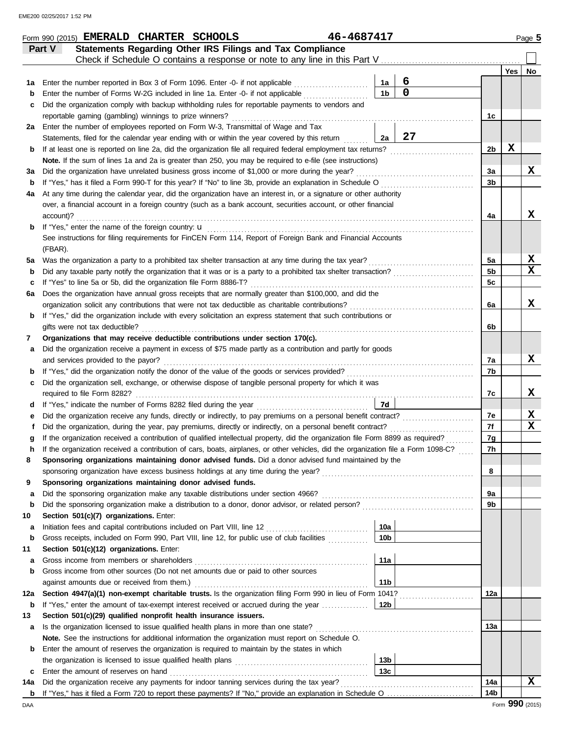|             | Form 990 (2015) EMERALD CHARTER SCHOOLS                                                                                                                         | 46-4687417 |                      |    |                |     | Page 5 |
|-------------|-----------------------------------------------------------------------------------------------------------------------------------------------------------------|------------|----------------------|----|----------------|-----|--------|
|             | Statements Regarding Other IRS Filings and Tax Compliance<br>Part V                                                                                             |            |                      |    |                |     |        |
|             | Check if Schedule O contains a response or note to any line in this Part V.                                                                                     |            |                      |    |                |     |        |
|             |                                                                                                                                                                 |            |                      | 6  |                | Yes | No     |
| 1а<br>b     | Enter the number reported in Box 3 of Form 1096. Enter -0- if not applicable<br>Enter the number of Forms W-2G included in line 1a. Enter -0- if not applicable |            | 1a<br>1 <sub>b</sub> | 0  |                |     |        |
| c           | Did the organization comply with backup withholding rules for reportable payments to vendors and                                                                |            |                      |    |                |     |        |
|             | reportable gaming (gambling) winnings to prize winners?                                                                                                         |            |                      |    | 1c             |     |        |
|             | 2a Enter the number of employees reported on Form W-3, Transmittal of Wage and Tax                                                                              |            |                      |    |                |     |        |
|             | Statements, filed for the calendar year ending with or within the year covered by this return                                                                   |            | 2a                   | 27 |                |     |        |
| b           | If at least one is reported on line 2a, did the organization file all required federal employment tax returns?                                                  |            |                      |    | 2b             | X   |        |
|             | Note. If the sum of lines 1a and 2a is greater than 250, you may be required to e-file (see instructions)                                                       |            |                      |    |                |     |        |
| За          | Did the organization have unrelated business gross income of \$1,000 or more during the year?                                                                   |            |                      |    | 3a             |     | x      |
| b           | If "Yes," has it filed a Form 990-T for this year? If "No" to line 3b, provide an explanation in Schedule O                                                     |            |                      |    | 3b             |     |        |
| 4а          | At any time during the calendar year, did the organization have an interest in, or a signature or other authority                                               |            |                      |    |                |     |        |
|             | over, a financial account in a foreign country (such as a bank account, securities account, or other financial                                                  |            |                      |    |                |     |        |
|             | account)?                                                                                                                                                       |            |                      |    | 4a             |     | x      |
| b           |                                                                                                                                                                 |            |                      |    |                |     |        |
|             | See instructions for filing requirements for FinCEN Form 114, Report of Foreign Bank and Financial Accounts                                                     |            |                      |    |                |     |        |
|             | (FBAR).                                                                                                                                                         |            |                      |    |                |     |        |
| 5a          |                                                                                                                                                                 |            |                      |    | 5a             |     | X      |
| b           | Did any taxable party notify the organization that it was or is a party to a prohibited tax shelter transaction?                                                |            |                      |    | 5 <sub>b</sub> |     | x      |
| c           | If "Yes" to line 5a or 5b, did the organization file Form 8886-T?                                                                                               |            |                      |    | 5c             |     |        |
| 6а          | Does the organization have annual gross receipts that are normally greater than \$100,000, and did the                                                          |            |                      |    |                |     |        |
|             | organization solicit any contributions that were not tax deductible as charitable contributions?                                                                |            |                      |    | 6a             |     | x      |
| b           | If "Yes," did the organization include with every solicitation an express statement that such contributions or                                                  |            |                      |    |                |     |        |
|             | gifts were not tax deductible?                                                                                                                                  |            |                      |    | 6b             |     |        |
| 7           | Organizations that may receive deductible contributions under section 170(c).                                                                                   |            |                      |    |                |     |        |
| а           | Did the organization receive a payment in excess of \$75 made partly as a contribution and partly for goods                                                     |            |                      |    |                |     |        |
|             | and services provided to the payor?                                                                                                                             |            |                      |    | 7a             |     | x      |
| b           |                                                                                                                                                                 |            |                      |    | 7b             |     |        |
| c           | Did the organization sell, exchange, or otherwise dispose of tangible personal property for which it was                                                        |            |                      |    |                |     |        |
|             |                                                                                                                                                                 |            |                      |    | 7c             |     | X      |
| d           | Did the organization receive any funds, directly or indirectly, to pay premiums on a personal benefit contract?                                                 |            | 7d                   |    | 7e             |     | X      |
| е           | Did the organization, during the year, pay premiums, directly or indirectly, on a personal benefit contract?                                                    |            |                      |    | 7f             |     | x      |
|             | If the organization received a contribution of qualified intellectual property, did the organization file Form 8899 as required?                                |            |                      |    | 7g             |     |        |
|             | If the organization received a contribution of cars, boats, airplanes, or other vehicles, did the organization file a Form 1098-C?                              |            |                      |    | 7h             |     |        |
| 8           | Sponsoring organizations maintaining donor advised funds. Did a donor advised fund maintained by the                                                            |            |                      |    |                |     |        |
|             | sponsoring organization have excess business holdings at any time during the year?                                                                              |            |                      |    | 8              |     |        |
| 9           | Sponsoring organizations maintaining donor advised funds.                                                                                                       |            |                      |    |                |     |        |
| а           |                                                                                                                                                                 |            |                      |    | 9а             |     |        |
| $\mathbf b$ |                                                                                                                                                                 |            |                      |    | 9b             |     |        |
| 10          | Section 501(c)(7) organizations. Enter:                                                                                                                         |            |                      |    |                |     |        |
| a           |                                                                                                                                                                 |            | 10a                  |    |                |     |        |
| $\mathbf b$ | Gross receipts, included on Form 990, Part VIII, line 12, for public use of club facilities                                                                     |            | 10 <sub>b</sub>      |    |                |     |        |
| 11          | Section 501(c)(12) organizations. Enter:                                                                                                                        |            |                      |    |                |     |        |
| a           | Gross income from members or shareholders                                                                                                                       |            | 11a                  |    |                |     |        |
| $\mathbf b$ | Gross income from other sources (Do not net amounts due or paid to other sources                                                                                |            |                      |    |                |     |        |
|             | against amounts due or received from them.)                                                                                                                     |            | 11 <sub>b</sub>      |    |                |     |        |
| 12a         | Section 4947(a)(1) non-exempt charitable trusts. Is the organization filing Form 990 in lieu of Form 1041?                                                      |            |                      |    | 12a            |     |        |
| b           | If "Yes," enter the amount of tax-exempt interest received or accrued during the year                                                                           |            | 12b                  |    |                |     |        |
| 13          | Section 501(c)(29) qualified nonprofit health insurance issuers.                                                                                                |            |                      |    |                |     |        |
| а           | Is the organization licensed to issue qualified health plans in more than one state?                                                                            |            |                      |    | 13а            |     |        |
|             | Note. See the instructions for additional information the organization must report on Schedule O.                                                               |            |                      |    |                |     |        |
| b           | Enter the amount of reserves the organization is required to maintain by the states in which                                                                    |            |                      |    |                |     |        |
|             |                                                                                                                                                                 |            | 13 <sub>b</sub>      |    |                |     |        |
| c           | Enter the amount of reserves on hand                                                                                                                            |            | 13 <sub>c</sub>      |    |                |     |        |
| 14a         | Did the organization receive any payments for indoor tanning services during the tax year?                                                                      |            |                      |    | 14a            |     | X      |
|             |                                                                                                                                                                 |            |                      |    | 14b            |     |        |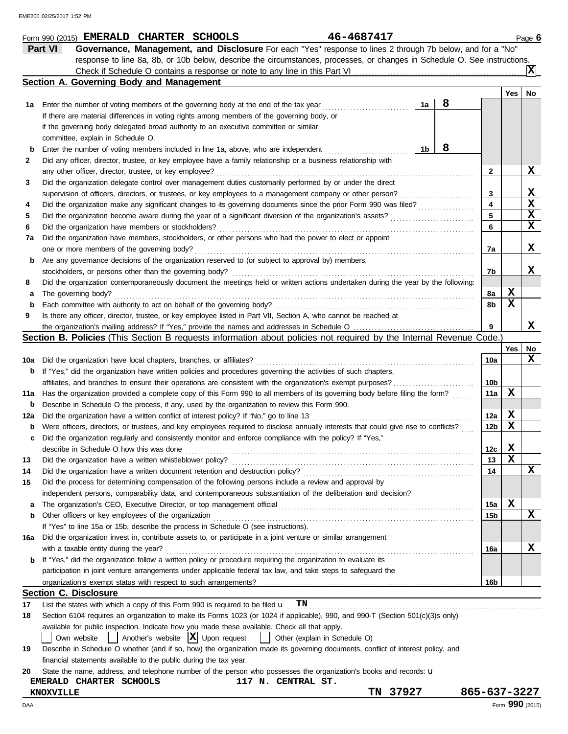|     | 46-4687417<br>Form 990 (2015) EMERALD CHARTER SCHOOLS                                                                               |          |    |   |              |             | Page $6$        |
|-----|-------------------------------------------------------------------------------------------------------------------------------------|----------|----|---|--------------|-------------|-----------------|
|     | Governance, Management, and Disclosure For each "Yes" response to lines 2 through 7b below, and for a "No"<br>Part VI               |          |    |   |              |             |                 |
|     | response to line 8a, 8b, or 10b below, describe the circumstances, processes, or changes in Schedule O. See instructions.           |          |    |   |              |             |                 |
|     |                                                                                                                                     |          |    |   |              |             | ΙX              |
|     | Section A. Governing Body and Management                                                                                            |          |    |   |              |             |                 |
|     |                                                                                                                                     |          |    |   |              | Yes         | No              |
| 1а  | Enter the number of voting members of the governing body at the end of the tax year                                                 |          | 1a | 8 |              |             |                 |
|     | If there are material differences in voting rights among members of the governing body, or                                          |          |    |   |              |             |                 |
|     | if the governing body delegated broad authority to an executive committee or similar                                                |          |    |   |              |             |                 |
|     | committee, explain in Schedule O.                                                                                                   |          |    |   |              |             |                 |
| b   | Enter the number of voting members included in line 1a, above, who are independent                                                  |          | 1b | 8 |              |             |                 |
| 2   | Did any officer, director, trustee, or key employee have a family relationship or a business relationship with                      |          |    |   |              |             |                 |
|     | any other officer, director, trustee, or key employee?                                                                              |          |    |   | 2            |             | X               |
| 3   | Did the organization delegate control over management duties customarily performed by or under the direct                           |          |    |   |              |             |                 |
|     | supervision of officers, directors, or trustees, or key employees to a management company or other person?                          |          |    |   | 3            |             | х               |
| 4   |                                                                                                                                     |          |    |   | 4            |             | X               |
| 5   |                                                                                                                                     |          |    |   | 5            |             | X               |
| 6   | Did the organization have members or stockholders?                                                                                  |          |    |   | 6            |             | X               |
| 7a  | Did the organization have members, stockholders, or other persons who had the power to elect or appoint                             |          |    |   |              |             |                 |
|     | one or more members of the governing body?                                                                                          |          |    |   | 7а           |             | X               |
| b   | Are any governance decisions of the organization reserved to (or subject to approval by) members,                                   |          |    |   |              |             |                 |
|     | stockholders, or persons other than the governing body?                                                                             |          |    |   | 7b           |             | x               |
| 8   | Did the organization contemporaneously document the meetings held or written actions undertaken during the year by the following:   |          |    |   |              |             |                 |
| а   | The governing body?                                                                                                                 |          |    |   | 8а           | х           |                 |
| b   | Each committee with authority to act on behalf of the governing body?                                                               |          |    |   | 8b           | X           |                 |
| 9   | Is there any officer, director, trustee, or key employee listed in Part VII, Section A, who cannot be reached at                    |          |    |   |              |             |                 |
|     |                                                                                                                                     |          |    |   | 9            |             | x               |
|     | Section B. Policies (This Section B requests information about policies not required by the Internal Revenue Code.)                 |          |    |   |              |             |                 |
|     |                                                                                                                                     |          |    |   |              | Yes l       | No              |
| 10a | Did the organization have local chapters, branches, or affiliates?                                                                  |          |    |   | 10a          |             | x               |
| b   | If "Yes," did the organization have written policies and procedures governing the activities of such chapters,                      |          |    |   |              |             |                 |
|     |                                                                                                                                     |          |    |   | 10b          |             |                 |
| 11a | Has the organization provided a complete copy of this Form 990 to all members of its governing body before filing the form?         |          |    |   | 11a          | х           |                 |
| b   | Describe in Schedule O the process, if any, used by the organization to review this Form 990.                                       |          |    |   |              |             |                 |
| 12a | Did the organization have a written conflict of interest policy? If "No," go to line 13                                             |          |    |   | 12a          | X           |                 |
| b   | Were officers, directors, or trustees, and key employees required to disclose annually interests that could give rise to conflicts? |          |    |   | 12b          | $\mathbf x$ |                 |
| c   | Did the organization regularly and consistently monitor and enforce compliance with the policy? If "Yes,"                           |          |    |   |              |             |                 |
|     | describe in Schedule O how this was done                                                                                            |          |    |   | 12c          | X           |                 |
| 13  | Did the organization have a written whistleblower policy?                                                                           |          |    |   | 13           | X           |                 |
| 14  | Did the organization have a written document retention and destruction policy?                                                      |          |    |   | 14           |             | x               |
| 15  | Did the process for determining compensation of the following persons include a review and approval by                              |          |    |   |              |             |                 |
|     | independent persons, comparability data, and contemporaneous substantiation of the deliberation and decision?                       |          |    |   |              |             |                 |
| a   |                                                                                                                                     |          |    |   | 15a          | X           |                 |
| b   | Other officers or key employees of the organization                                                                                 |          |    |   | 15b          |             | X               |
|     | If "Yes" to line 15a or 15b, describe the process in Schedule O (see instructions).                                                 |          |    |   |              |             |                 |
| 16a | Did the organization invest in, contribute assets to, or participate in a joint venture or similar arrangement                      |          |    |   |              |             |                 |
|     | with a taxable entity during the year?                                                                                              |          |    |   | 16a          |             | X               |
| b   | If "Yes," did the organization follow a written policy or procedure requiring the organization to evaluate its                      |          |    |   |              |             |                 |
|     | participation in joint venture arrangements under applicable federal tax law, and take steps to safeguard the                       |          |    |   |              |             |                 |
|     |                                                                                                                                     |          |    |   |              |             |                 |
|     | <b>Section C. Disclosure</b>                                                                                                        |          |    |   | 16b          |             |                 |
|     |                                                                                                                                     |          |    |   |              |             |                 |
| 17  | List the states with which a copy of this Form 990 is required to be filed $U$ TN                                                   |          |    |   |              |             |                 |
| 18  | Section 6104 requires an organization to make its Forms 1023 (or 1024 if applicable), 990, and 990-T (Section 501(c)(3)s only)      |          |    |   |              |             |                 |
|     | available for public inspection. Indicate how you made these available. Check all that apply.                                       |          |    |   |              |             |                 |
|     | Another's website $ \mathbf{X} $ Upon request<br>Other (explain in Schedule O)<br>Own website<br>$\perp$                            |          |    |   |              |             |                 |
| 19  | Describe in Schedule O whether (and if so, how) the organization made its governing documents, conflict of interest policy, and     |          |    |   |              |             |                 |
|     | financial statements available to the public during the tax year.                                                                   |          |    |   |              |             |                 |
| 20  | State the name, address, and telephone number of the person who possesses the organization's books and records: u                   |          |    |   |              |             |                 |
|     | 117 N. CENTRAL ST.<br>EMERALD CHARTER SCHOOLS                                                                                       |          |    |   |              |             |                 |
|     | <b>KNOXVILLE</b>                                                                                                                    | TN 37927 |    |   | 865-637-3227 |             |                 |
| DAA |                                                                                                                                     |          |    |   |              |             | Form 990 (2015) |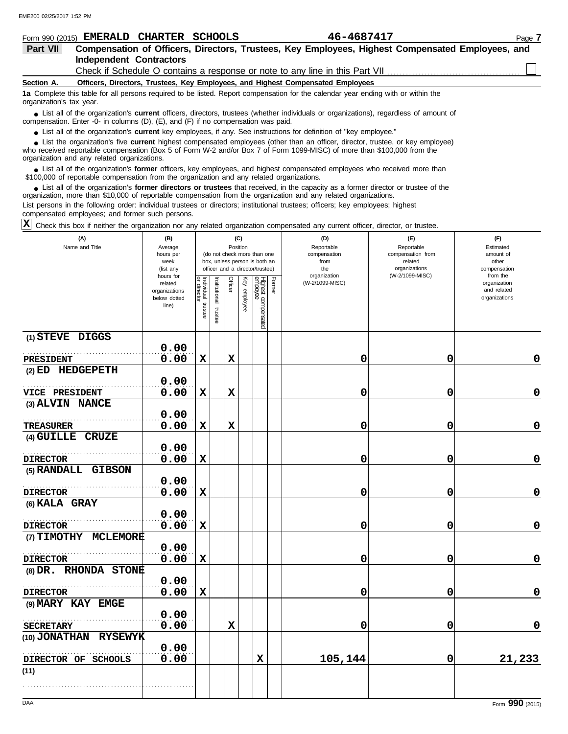| Form 990 (2015)          | <b>CHARTER</b><br><b>EMERALD</b>                                                          | SCHOOLS | 46-4687417                                                                                                                             |                                                                                                  | Page 7 |
|--------------------------|-------------------------------------------------------------------------------------------|---------|----------------------------------------------------------------------------------------------------------------------------------------|--------------------------------------------------------------------------------------------------|--------|
| Part VII                 |                                                                                           |         |                                                                                                                                        | Compensation of Officers, Directors, Trustees, Key Employees, Highest Compensated Employees, and |        |
|                          | Independent Contractors                                                                   |         |                                                                                                                                        |                                                                                                  |        |
|                          |                                                                                           |         |                                                                                                                                        |                                                                                                  |        |
| Section A.               | Officers, Directors, Trustees, Key Employees, and Highest Compensated Employees           |         |                                                                                                                                        |                                                                                                  |        |
| organization's tax year. |                                                                                           |         | 1a Complete this table for all persons required to be listed. Report compensation for the calendar year ending with or within the      |                                                                                                  |        |
|                          | compensation. Enter -0- in columns $(D)$ , $(E)$ , and $(F)$ if no compensation was paid. |         | • List all of the organization's current officers, directors, trustees (whether individuals or organizations), regardless of amount of |                                                                                                  |        |
|                          |                                                                                           |         | • List all of the organization's current key employees, if any. See instructions for definition of "key employee."                     |                                                                                                  |        |
|                          |                                                                                           |         | • List the organization's five current highest compensated employees (other than an officer, director, trustee, or key employee)       |                                                                                                  |        |

who received reportable compensation (Box 5 of Form W-2 and/or Box 7 of Form 1099-MISC) of more than \$100,000 from the organization and any related organizations. **•**

List all of the organization's **former** officers, key employees, and highest compensated employees who received more than • List all of the organization's **former** officers, key employees, and highest compensate \$100,000 of reportable compensation from the organization and any related organizations.

■ List all of the organization's **former directors or trustees** that received, in the capacity as a former director or trustee of the<br>paization, more than \$10,000 of reportable compensation from the organization and any r organization, more than \$10,000 of reportable compensation from the organization and any related organizations. List persons in the following order: individual trustees or directors; institutional trustees; officers; key employees; highest

compensated employees; and former such persons.

 $\overline{X}$  Check this box if neither the organization nor any related organization compensated any current officer, director, or trustee.

| (A)<br>Name and Title           | (B)<br>Average<br>hours per<br>week                                         |                                      |                       |             | (C)<br>Position | (do not check more than one<br>box, unless person is both an       |        | (D)<br>Reportable<br>compensation<br>from | (E)<br>Reportable<br>compensation from<br>related | (F)<br>Estimated<br>amount of<br>other                                   |
|---------------------------------|-----------------------------------------------------------------------------|--------------------------------------|-----------------------|-------------|-----------------|--------------------------------------------------------------------|--------|-------------------------------------------|---------------------------------------------------|--------------------------------------------------------------------------|
|                                 | (list any<br>hours for<br>related<br>organizations<br>below dotted<br>line) | Individual<br>or director<br>trustee | Institutional trustee | Officer     | Key employee    | officer and a director/trustee)<br>Highest compensated<br>employee | Former | the<br>organization<br>(W-2/1099-MISC)    | organizations<br>(W-2/1099-MISC)                  | compensation<br>from the<br>organization<br>and related<br>organizations |
| (1) STEVE DIGGS                 | 0.00                                                                        |                                      |                       |             |                 |                                                                    |        |                                           |                                                   |                                                                          |
| PRESIDENT                       | 0.00                                                                        | $\mathbf x$                          |                       | $\mathbf x$ |                 |                                                                    |        | 0                                         | 0                                                 | 0                                                                        |
| <b>HEDGEPETH</b>                |                                                                             |                                      |                       |             |                 |                                                                    |        |                                           |                                                   |                                                                          |
| $(2)$ ED                        | 0.00                                                                        |                                      |                       |             |                 |                                                                    |        |                                           |                                                   |                                                                          |
| VICE PRESIDENT                  | 0.00                                                                        | $\mathbf x$                          |                       | $\mathbf x$ |                 |                                                                    |        | 0                                         | 0                                                 | 0                                                                        |
| (3) ALVIN NANCE                 |                                                                             |                                      |                       |             |                 |                                                                    |        |                                           |                                                   |                                                                          |
|                                 | 0.00                                                                        |                                      |                       |             |                 |                                                                    |        |                                           |                                                   |                                                                          |
| <b>TREASURER</b>                | 0.00                                                                        | $\mathbf x$                          |                       | $\mathbf x$ |                 |                                                                    |        | 0                                         | 0                                                 | 0                                                                        |
| (4) GUILLE CRUZE                |                                                                             |                                      |                       |             |                 |                                                                    |        |                                           |                                                   |                                                                          |
|                                 | 0.00                                                                        |                                      |                       |             |                 |                                                                    |        |                                           |                                                   |                                                                          |
| <b>DIRECTOR</b>                 | 0.00                                                                        | $\mathbf x$                          |                       |             |                 |                                                                    |        | 0                                         | 0                                                 | 0                                                                        |
| (5) RANDALL GIBSON              |                                                                             |                                      |                       |             |                 |                                                                    |        |                                           |                                                   |                                                                          |
|                                 | 0.00                                                                        |                                      |                       |             |                 |                                                                    |        |                                           |                                                   |                                                                          |
| <b>DIRECTOR</b>                 | 0.00                                                                        | $\mathbf x$                          |                       |             |                 |                                                                    |        | 0                                         | 0                                                 | $\mathbf 0$                                                              |
| (6) KALA GRAY                   |                                                                             |                                      |                       |             |                 |                                                                    |        |                                           |                                                   |                                                                          |
|                                 | 0.00                                                                        |                                      |                       |             |                 |                                                                    |        |                                           |                                                   |                                                                          |
| <b>DIRECTOR</b>                 | 0.00                                                                        | $\mathbf x$                          |                       |             |                 |                                                                    |        | 0                                         | 0                                                 | $\mathbf 0$                                                              |
| (7) TIMOTHY MCLEMORE            |                                                                             |                                      |                       |             |                 |                                                                    |        |                                           |                                                   |                                                                          |
|                                 | 0.00                                                                        |                                      |                       |             |                 |                                                                    |        |                                           |                                                   |                                                                          |
| <b>DIRECTOR</b>                 | 0.00                                                                        | $\mathbf x$                          |                       |             |                 |                                                                    |        | 0                                         | 0                                                 | 0                                                                        |
| (8) DR. RHONDA STONE            |                                                                             |                                      |                       |             |                 |                                                                    |        |                                           |                                                   |                                                                          |
|                                 | 0.00                                                                        |                                      |                       |             |                 |                                                                    |        |                                           |                                                   |                                                                          |
| <b>DIRECTOR</b>                 | 0.00                                                                        | $\mathbf x$                          |                       |             |                 |                                                                    |        | 0                                         | 0                                                 | $\mathbf 0$                                                              |
| (9) MARY KAY EMGE               |                                                                             |                                      |                       |             |                 |                                                                    |        |                                           |                                                   |                                                                          |
|                                 | 0.00                                                                        |                                      |                       |             |                 |                                                                    |        |                                           |                                                   |                                                                          |
| <b>SECRETARY</b>                | 0.00                                                                        |                                      |                       | $\mathbf x$ |                 |                                                                    |        | 0                                         | 0                                                 | 0                                                                        |
| (10) JONATHAN<br><b>RYSEWYK</b> | 0.00                                                                        |                                      |                       |             |                 |                                                                    |        |                                           |                                                   |                                                                          |
|                                 | 0.00                                                                        |                                      |                       |             |                 | X                                                                  |        | 105,144                                   | 0                                                 | 21,233                                                                   |
| DIRECTOR OF SCHOOLS<br>(11)     |                                                                             |                                      |                       |             |                 |                                                                    |        |                                           |                                                   |                                                                          |
|                                 |                                                                             |                                      |                       |             |                 |                                                                    |        |                                           |                                                   |                                                                          |
|                                 |                                                                             |                                      |                       |             |                 |                                                                    |        |                                           |                                                   |                                                                          |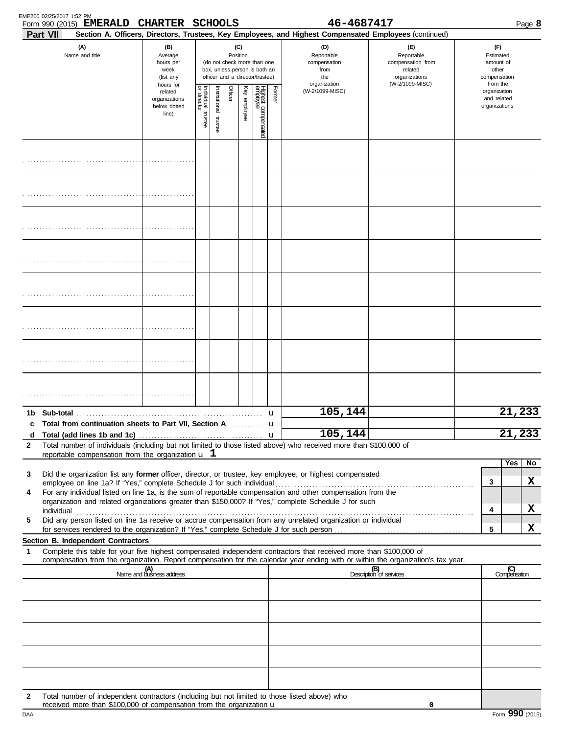| Part VII     | Form 990 (2015) <b>EMERALD</b>                                                                                                                                        | CHARTER SCHOOLS                                                                                                                                                                     |                                   |                          |         |              |                                 |        | 46-4687417<br>Section A. Officers, Directors, Trustees, Key Employees, and Highest Compensated Employees (continued)                                                                                                 |                                                                                                                                  |                                                                    | Page 8              |
|--------------|-----------------------------------------------------------------------------------------------------------------------------------------------------------------------|-------------------------------------------------------------------------------------------------------------------------------------------------------------------------------------|-----------------------------------|--------------------------|---------|--------------|---------------------------------|--------|----------------------------------------------------------------------------------------------------------------------------------------------------------------------------------------------------------------------|----------------------------------------------------------------------------------------------------------------------------------|--------------------------------------------------------------------|---------------------|
|              | (A)<br>Name and title                                                                                                                                                 | (C)<br>(B)<br>Position<br>Average<br>hours per<br>(do not check more than one<br>box, unless person is both an<br>week<br>officer and a director/trustee)<br>(list any<br>hours for |                                   |                          |         |              |                                 |        | (D)<br>Reportable<br>compensation<br>from<br>the<br>organization                                                                                                                                                     | (E)<br>Reportable<br>compensation from<br>related<br>organizations<br>(W-2/1099-MISC)                                            | (F)<br>Estimated<br>amount of<br>other<br>compensation<br>from the |                     |
|              |                                                                                                                                                                       | related<br>organizations<br>below dotted<br>line)                                                                                                                                   | Individual trustee<br>or director | Institutional<br>trustee | Officer | Key employee | Highest compensated<br>employee | Former | (W-2/1099-MISC)                                                                                                                                                                                                      |                                                                                                                                  | organization<br>and related<br>organizations                       |                     |
|              |                                                                                                                                                                       |                                                                                                                                                                                     |                                   |                          |         |              |                                 |        |                                                                                                                                                                                                                      |                                                                                                                                  |                                                                    |                     |
|              |                                                                                                                                                                       |                                                                                                                                                                                     |                                   |                          |         |              |                                 |        |                                                                                                                                                                                                                      |                                                                                                                                  |                                                                    |                     |
|              |                                                                                                                                                                       |                                                                                                                                                                                     |                                   |                          |         |              |                                 |        |                                                                                                                                                                                                                      |                                                                                                                                  |                                                                    |                     |
|              |                                                                                                                                                                       |                                                                                                                                                                                     |                                   |                          |         |              |                                 |        |                                                                                                                                                                                                                      |                                                                                                                                  |                                                                    |                     |
|              |                                                                                                                                                                       |                                                                                                                                                                                     |                                   |                          |         |              |                                 |        |                                                                                                                                                                                                                      |                                                                                                                                  |                                                                    |                     |
|              |                                                                                                                                                                       |                                                                                                                                                                                     |                                   |                          |         |              |                                 |        |                                                                                                                                                                                                                      |                                                                                                                                  |                                                                    |                     |
|              |                                                                                                                                                                       |                                                                                                                                                                                     |                                   |                          |         |              |                                 |        |                                                                                                                                                                                                                      |                                                                                                                                  |                                                                    |                     |
|              |                                                                                                                                                                       |                                                                                                                                                                                     |                                   |                          |         |              |                                 |        |                                                                                                                                                                                                                      |                                                                                                                                  |                                                                    |                     |
|              | Total from continuation sheets to Part VII, Section A                                                                                                                 |                                                                                                                                                                                     |                                   |                          |         |              |                                 | u      | 105,144                                                                                                                                                                                                              |                                                                                                                                  |                                                                    | 21,233              |
|              |                                                                                                                                                                       |                                                                                                                                                                                     |                                   |                          |         |              |                                 | u      | 105, 144                                                                                                                                                                                                             |                                                                                                                                  |                                                                    | 21,233              |
| $\mathbf{2}$ | reportable compensation from the organization $\mu$ 1                                                                                                                 |                                                                                                                                                                                     |                                   |                          |         |              |                                 |        | Total number of individuals (including but not limited to those listed above) who received more than \$100,000 of                                                                                                    |                                                                                                                                  |                                                                    |                     |
|              |                                                                                                                                                                       |                                                                                                                                                                                     |                                   |                          |         |              |                                 |        |                                                                                                                                                                                                                      |                                                                                                                                  |                                                                    | Yes<br>No           |
| 3            |                                                                                                                                                                       |                                                                                                                                                                                     |                                   |                          |         |              |                                 |        | Did the organization list any former officer, director, or trustee, key employee, or highest compensated                                                                                                             |                                                                                                                                  | 3                                                                  | x                   |
| 4            |                                                                                                                                                                       |                                                                                                                                                                                     |                                   |                          |         |              |                                 |        | For any individual listed on line 1a, is the sum of reportable compensation and other compensation from the<br>organization and related organizations greater than \$150,000? If "Yes," complete Schedule J for such |                                                                                                                                  |                                                                    |                     |
|              |                                                                                                                                                                       |                                                                                                                                                                                     |                                   |                          |         |              |                                 |        |                                                                                                                                                                                                                      |                                                                                                                                  | 4                                                                  | x                   |
| 5            |                                                                                                                                                                       |                                                                                                                                                                                     |                                   |                          |         |              |                                 |        | Did any person listed on line 1a receive or accrue compensation from any unrelated organization or individual                                                                                                        |                                                                                                                                  | 5                                                                  | x                   |
|              | Section B. Independent Contractors                                                                                                                                    |                                                                                                                                                                                     |                                   |                          |         |              |                                 |        |                                                                                                                                                                                                                      |                                                                                                                                  |                                                                    |                     |
| 1            |                                                                                                                                                                       |                                                                                                                                                                                     |                                   |                          |         |              |                                 |        | Complete this table for your five highest compensated independent contractors that received more than \$100,000 of                                                                                                   | compensation from the organization. Report compensation for the calendar year ending with or within the organization's tax year. |                                                                    |                     |
|              |                                                                                                                                                                       | (A)<br>Name and business address                                                                                                                                                    |                                   |                          |         |              |                                 |        |                                                                                                                                                                                                                      | (B)<br>Description of services                                                                                                   |                                                                    | (C)<br>Compensation |
|              |                                                                                                                                                                       |                                                                                                                                                                                     |                                   |                          |         |              |                                 |        |                                                                                                                                                                                                                      |                                                                                                                                  |                                                                    |                     |
|              |                                                                                                                                                                       |                                                                                                                                                                                     |                                   |                          |         |              |                                 |        |                                                                                                                                                                                                                      |                                                                                                                                  |                                                                    |                     |
|              |                                                                                                                                                                       |                                                                                                                                                                                     |                                   |                          |         |              |                                 |        |                                                                                                                                                                                                                      |                                                                                                                                  |                                                                    |                     |
|              |                                                                                                                                                                       |                                                                                                                                                                                     |                                   |                          |         |              |                                 |        |                                                                                                                                                                                                                      |                                                                                                                                  |                                                                    |                     |
|              |                                                                                                                                                                       |                                                                                                                                                                                     |                                   |                          |         |              |                                 |        |                                                                                                                                                                                                                      |                                                                                                                                  |                                                                    |                     |
| $\mathbf{2}$ | Total number of independent contractors (including but not limited to those listed above) who<br>received more than \$100,000 of compensation from the organization u |                                                                                                                                                                                     |                                   |                          |         |              |                                 |        |                                                                                                                                                                                                                      | 0                                                                                                                                |                                                                    |                     |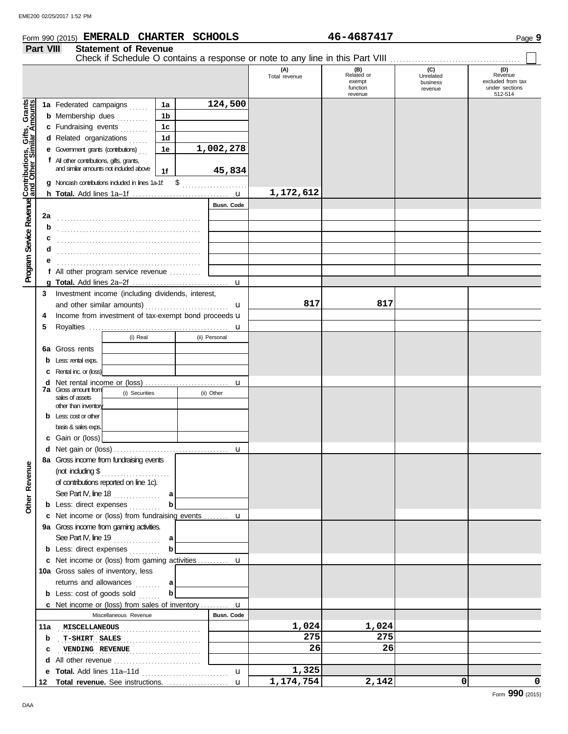## Form 990 (2015) Page **9 EMERALD CHARTER SCHOOLS 46-4687417 Part VIII Statement of Revenue**

|                                                                                                                  |     | Check if Schedule O contains a response or note to any line in this Part VIII |                |                                  |                      |                                                    |                                         |                                                                  |
|------------------------------------------------------------------------------------------------------------------|-----|-------------------------------------------------------------------------------|----------------|----------------------------------|----------------------|----------------------------------------------------|-----------------------------------------|------------------------------------------------------------------|
|                                                                                                                  |     |                                                                               |                |                                  | (A)<br>Total revenue | (B)<br>Related or<br>exempt<br>function<br>revenue | (C)<br>Unrelated<br>business<br>revenue | (D)<br>Revenue<br>excluded from tax<br>under sections<br>512-514 |
|                                                                                                                  |     | 1a Federated campaigns                                                        | 1a             | 124,500                          |                      |                                                    |                                         |                                                                  |
|                                                                                                                  |     | <b>b</b> Membership dues                                                      | 1b             |                                  |                      |                                                    |                                         |                                                                  |
|                                                                                                                  |     | c Fundraising events                                                          | 1 <sub>c</sub> |                                  |                      |                                                    |                                         |                                                                  |
|                                                                                                                  |     | d Related organizations                                                       | 1 <sub>d</sub> |                                  |                      |                                                    |                                         |                                                                  |
|                                                                                                                  |     | Government grants (contributions)                                             | 1e             | 1,002,278                        |                      |                                                    |                                         |                                                                  |
|                                                                                                                  |     | f All other contributions, gifts, grants,                                     |                |                                  |                      |                                                    |                                         |                                                                  |
|                                                                                                                  |     | and similar amounts not induded above                                         | 1f             | 45,834                           |                      |                                                    |                                         |                                                                  |
|                                                                                                                  |     | Noncash contributions included in lines 1a-1f.                                |                |                                  |                      |                                                    |                                         |                                                                  |
|                                                                                                                  |     |                                                                               | \$             |                                  | 1,172,612            |                                                    |                                         |                                                                  |
| <b>Program Service Revenue Contributions, Gifts, Grants</b><br>Program Service Revenue and Other Similar Amounts |     |                                                                               |                | $\mathbf u$<br><b>Busn. Code</b> |                      |                                                    |                                         |                                                                  |
|                                                                                                                  |     |                                                                               |                |                                  |                      |                                                    |                                         |                                                                  |
|                                                                                                                  | 2a  |                                                                               |                |                                  |                      |                                                    |                                         |                                                                  |
|                                                                                                                  | b   |                                                                               |                |                                  |                      |                                                    |                                         |                                                                  |
|                                                                                                                  | c   |                                                                               |                |                                  |                      |                                                    |                                         |                                                                  |
|                                                                                                                  | d   |                                                                               |                |                                  |                      |                                                    |                                         |                                                                  |
|                                                                                                                  |     |                                                                               |                |                                  |                      |                                                    |                                         |                                                                  |
|                                                                                                                  |     | f All other program service revenue $\ldots \ldots$                           |                |                                  |                      |                                                    |                                         |                                                                  |
|                                                                                                                  | 3   | Investment income (including dividends, interest,                             |                | u                                |                      |                                                    |                                         |                                                                  |
|                                                                                                                  |     | and other similar amounts)                                                    |                |                                  | 817                  | 817                                                |                                         |                                                                  |
|                                                                                                                  | 4   | Income from investment of tax-exempt bond proceeds <b>u</b>                   |                | u                                |                      |                                                    |                                         |                                                                  |
|                                                                                                                  | 5   |                                                                               |                |                                  |                      |                                                    |                                         |                                                                  |
|                                                                                                                  |     | (i) Real                                                                      |                | u<br>(ii) Personal               |                      |                                                    |                                         |                                                                  |
|                                                                                                                  | 6a  | Gross rents                                                                   |                |                                  |                      |                                                    |                                         |                                                                  |
|                                                                                                                  | b   | Less: rental exps.                                                            |                |                                  |                      |                                                    |                                         |                                                                  |
|                                                                                                                  | c   | Rental inc. or (loss)                                                         |                |                                  |                      |                                                    |                                         |                                                                  |
|                                                                                                                  | d   |                                                                               |                | u                                |                      |                                                    |                                         |                                                                  |
|                                                                                                                  |     | <b>7a</b> Gross amount from<br>(i) Securities                                 |                | (ii) Other                       |                      |                                                    |                                         |                                                                  |
|                                                                                                                  |     | sales of assets                                                               |                |                                  |                      |                                                    |                                         |                                                                  |
|                                                                                                                  | b   | other than inventory<br>Less: cost or other                                   |                |                                  |                      |                                                    |                                         |                                                                  |
|                                                                                                                  |     | basis & sales exps.                                                           |                |                                  |                      |                                                    |                                         |                                                                  |
|                                                                                                                  | С   | Gain or (loss)                                                                |                |                                  |                      |                                                    |                                         |                                                                  |
|                                                                                                                  | d   |                                                                               |                | u                                |                      |                                                    |                                         |                                                                  |
|                                                                                                                  |     | 8a Gross income from fundraising events                                       |                |                                  |                      |                                                    |                                         |                                                                  |
| g                                                                                                                |     |                                                                               |                |                                  |                      |                                                    |                                         |                                                                  |
|                                                                                                                  |     | of contributions reported on line 1c).                                        |                |                                  |                      |                                                    |                                         |                                                                  |
|                                                                                                                  |     | See Part IV, line 18                                                          | a              |                                  |                      |                                                    |                                         |                                                                  |
| Other Reven                                                                                                      |     | <b>b</b> Less: direct expenses                                                | b              |                                  |                      |                                                    |                                         |                                                                  |
|                                                                                                                  |     | c Net income or (loss) from fundraising events  u                             |                |                                  |                      |                                                    |                                         |                                                                  |
|                                                                                                                  |     | 9a Gross income from gaming activities.                                       |                |                                  |                      |                                                    |                                         |                                                                  |
|                                                                                                                  |     | See Part IV, line 19 $\ldots$                                                 | a              |                                  |                      |                                                    |                                         |                                                                  |
|                                                                                                                  |     | <b>b</b> Less: direct expenses                                                | b              |                                  |                      |                                                    |                                         |                                                                  |
|                                                                                                                  |     | c Net income or (loss) from gaming activities  u                              |                |                                  |                      |                                                    |                                         |                                                                  |
|                                                                                                                  |     | 10a Gross sales of inventory, less                                            |                |                                  |                      |                                                    |                                         |                                                                  |
|                                                                                                                  |     | returns and allowances                                                        | a              |                                  |                      |                                                    |                                         |                                                                  |
|                                                                                                                  |     | <b>b</b> Less: cost of goods sold                                             | b              |                                  |                      |                                                    |                                         |                                                                  |
|                                                                                                                  |     | c Net income or (loss) from sales of inventory  u                             |                |                                  |                      |                                                    |                                         |                                                                  |
|                                                                                                                  |     | Miscellaneous Revenue                                                         |                | <b>Busn. Code</b>                |                      |                                                    |                                         |                                                                  |
|                                                                                                                  | 11a | <b>MISCELLANEOUS</b>                                                          |                |                                  | 1,024                | 1,024                                              |                                         |                                                                  |
|                                                                                                                  | b   | <b>T-SHIRT SALES</b>                                                          |                |                                  | 275                  | 275                                                |                                         |                                                                  |
|                                                                                                                  | c   | <b>VENDING REVENUE</b>                                                        |                |                                  | 26                   | 26                                                 |                                         |                                                                  |
|                                                                                                                  | d   | All other revenue                                                             |                |                                  |                      |                                                    |                                         |                                                                  |
|                                                                                                                  | е   |                                                                               |                | u                                | 1,325                |                                                    |                                         |                                                                  |
|                                                                                                                  |     |                                                                               |                | $\mathbf{u}$                     | 1,174,754            | 2,142                                              | 0                                       | 0                                                                |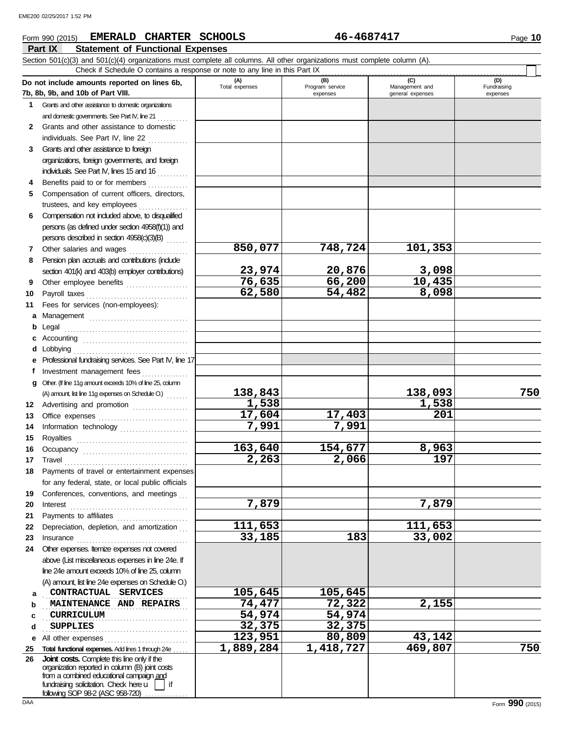#### **Part IX Statement of Functional Expenses** Form 990 (2015) Page **10 EMERALD CHARTER SCHOOLS 46-4687417** Section 501(c)(3) and 501(c)(4) organizations must complete all columns. All other organizations must complete column (A). **Do not include amounts reported on lines 6b, 7b, 8b, 9b, and 10b of Part VIII. 1 2** Grants and other assistance to domestic organizations and domestic governments. See Part IV, line 21  $\ldots$ Grants and other assistance to domestic individuals. See Part IV, line 22  $\ldots$ ......... **(A) (B) (C) (D)** Total expenses Program service Management and expenses general expenses (D)<br>Fundraising expenses Check if Schedule O contains a response or note to any line in this Part IX

|    | and domestic governments. See Part IV, line 21                                                                                                                                                                                                                                                                                                                                                                                                                                                                              |           |           |         |     |
|----|-----------------------------------------------------------------------------------------------------------------------------------------------------------------------------------------------------------------------------------------------------------------------------------------------------------------------------------------------------------------------------------------------------------------------------------------------------------------------------------------------------------------------------|-----------|-----------|---------|-----|
|    | 2 Grants and other assistance to domestic                                                                                                                                                                                                                                                                                                                                                                                                                                                                                   |           |           |         |     |
|    | individuals. See Part IV, line 22                                                                                                                                                                                                                                                                                                                                                                                                                                                                                           |           |           |         |     |
| 3  | Grants and other assistance to foreign                                                                                                                                                                                                                                                                                                                                                                                                                                                                                      |           |           |         |     |
|    | organizations, foreign governments, and foreign                                                                                                                                                                                                                                                                                                                                                                                                                                                                             |           |           |         |     |
|    | individuals. See Part IV, lines 15 and 16                                                                                                                                                                                                                                                                                                                                                                                                                                                                                   |           |           |         |     |
| 4  | Benefits paid to or for members                                                                                                                                                                                                                                                                                                                                                                                                                                                                                             |           |           |         |     |
| 5  | Compensation of current officers, directors,                                                                                                                                                                                                                                                                                                                                                                                                                                                                                |           |           |         |     |
|    |                                                                                                                                                                                                                                                                                                                                                                                                                                                                                                                             |           |           |         |     |
| 6  | Compensation not included above, to disqualified                                                                                                                                                                                                                                                                                                                                                                                                                                                                            |           |           |         |     |
|    | persons (as defined under section 4958(f)(1)) and                                                                                                                                                                                                                                                                                                                                                                                                                                                                           |           |           |         |     |
|    | persons described in section 4958(c)(3)(B)                                                                                                                                                                                                                                                                                                                                                                                                                                                                                  |           |           |         |     |
| 7  | Other salaries and wages                                                                                                                                                                                                                                                                                                                                                                                                                                                                                                    | 850,077   | 748,724   | 101,353 |     |
|    |                                                                                                                                                                                                                                                                                                                                                                                                                                                                                                                             |           |           |         |     |
| 8  | Pension plan accruals and contributions (indude                                                                                                                                                                                                                                                                                                                                                                                                                                                                             | 23,974    | 20,876    | 3,098   |     |
|    | section 401(k) and 403(b) employer contributions)                                                                                                                                                                                                                                                                                                                                                                                                                                                                           |           |           |         |     |
| 9  | Other employee benefits                                                                                                                                                                                                                                                                                                                                                                                                                                                                                                     | 76,635    | 66,200    | 10,435  |     |
| 10 |                                                                                                                                                                                                                                                                                                                                                                                                                                                                                                                             | 62,580    | 54,482    | 8,098   |     |
| 11 | Fees for services (non-employees):                                                                                                                                                                                                                                                                                                                                                                                                                                                                                          |           |           |         |     |
| a  | Management                                                                                                                                                                                                                                                                                                                                                                                                                                                                                                                  |           |           |         |     |
| b  |                                                                                                                                                                                                                                                                                                                                                                                                                                                                                                                             |           |           |         |     |
|    |                                                                                                                                                                                                                                                                                                                                                                                                                                                                                                                             |           |           |         |     |
| d  |                                                                                                                                                                                                                                                                                                                                                                                                                                                                                                                             |           |           |         |     |
|    | Professional fundraising services. See Part IV, line 17                                                                                                                                                                                                                                                                                                                                                                                                                                                                     |           |           |         |     |
| f  | Investment management fees                                                                                                                                                                                                                                                                                                                                                                                                                                                                                                  |           |           |         |     |
|    | g Other. (If line 11g amount exceeds 10% of line 25, column                                                                                                                                                                                                                                                                                                                                                                                                                                                                 |           |           |         |     |
|    |                                                                                                                                                                                                                                                                                                                                                                                                                                                                                                                             | 138,843   |           | 138,093 | 750 |
| 12 | Advertising and promotion                                                                                                                                                                                                                                                                                                                                                                                                                                                                                                   | 1,538     |           | 1,538   |     |
| 13 |                                                                                                                                                                                                                                                                                                                                                                                                                                                                                                                             | 17,604    | 17,403    | 201     |     |
| 14 |                                                                                                                                                                                                                                                                                                                                                                                                                                                                                                                             | 7,991     | 7,991     |         |     |
| 15 |                                                                                                                                                                                                                                                                                                                                                                                                                                                                                                                             |           |           |         |     |
| 16 |                                                                                                                                                                                                                                                                                                                                                                                                                                                                                                                             | 163,640   | 154,677   | 8,963   |     |
| 17 | $\begin{minipage}[c]{0.9\linewidth} \begin{tabular}{l} \textbf{Travel} \end{tabular} \end{minipage} \end{minipage} \begin{minipage}[c]{0.9\linewidth} \begin{tabular}{l} \textbf{True} \end{tabular} \end{minipage} \end{minipage} \begin{minipage}[c]{0.9\linewidth} \begin{tabular}{l} \textbf{True} \end{tabular} \end{minipage} \end{minipage} \begin{minipage}[c]{0.9\linewidth} \begin{tabular}{l} \textbf{True} \end{tabular} \end{minipage} \end{minipage} \begin{minipage}[c]{0.9\linewidth} \begin{tabular}{l} \$ | 2,263     | 2,066     | 197     |     |
| 18 | Payments of travel or entertainment expenses                                                                                                                                                                                                                                                                                                                                                                                                                                                                                |           |           |         |     |
|    | for any federal, state, or local public officials                                                                                                                                                                                                                                                                                                                                                                                                                                                                           |           |           |         |     |
| 19 | Conferences, conventions, and meetings                                                                                                                                                                                                                                                                                                                                                                                                                                                                                      |           |           |         |     |
| 20 |                                                                                                                                                                                                                                                                                                                                                                                                                                                                                                                             | 7,879     |           | 7,879   |     |
| 21 |                                                                                                                                                                                                                                                                                                                                                                                                                                                                                                                             |           |           |         |     |
| 22 | Depreciation, depletion, and amortization                                                                                                                                                                                                                                                                                                                                                                                                                                                                                   | 111,653   |           | 111,653 |     |
| 23 |                                                                                                                                                                                                                                                                                                                                                                                                                                                                                                                             | 33,185    | 183       | 33,002  |     |
| 24 | Other expenses. Itemize expenses not covered                                                                                                                                                                                                                                                                                                                                                                                                                                                                                |           |           |         |     |
|    | above (List miscellaneous expenses in line 24e. If                                                                                                                                                                                                                                                                                                                                                                                                                                                                          |           |           |         |     |
|    | line 24e amount exceeds 10% of line 25, column                                                                                                                                                                                                                                                                                                                                                                                                                                                                              |           |           |         |     |
|    | (A) amount, list line 24e expenses on Schedule O.)                                                                                                                                                                                                                                                                                                                                                                                                                                                                          |           |           |         |     |
|    | CONTRACTUAL SERVICES                                                                                                                                                                                                                                                                                                                                                                                                                                                                                                        | 105,645   | 105,645   |         |     |
| а  |                                                                                                                                                                                                                                                                                                                                                                                                                                                                                                                             |           | 72,322    |         |     |
| b  | MAINTENANCE AND REPAIRS                                                                                                                                                                                                                                                                                                                                                                                                                                                                                                     | 74,477    |           | 2,155   |     |
| c  | <b>CURRICULUM</b>                                                                                                                                                                                                                                                                                                                                                                                                                                                                                                           | 54,974    | 54,974    |         |     |
| d  | <b>SUPPLIES</b>                                                                                                                                                                                                                                                                                                                                                                                                                                                                                                             | 32,375    | 32,375    |         |     |
| е  | All other expenses                                                                                                                                                                                                                                                                                                                                                                                                                                                                                                          | 123,951   | 80,809    | 43,142  |     |
| 25 | Total functional expenses. Add lines 1 through 24e                                                                                                                                                                                                                                                                                                                                                                                                                                                                          | 1,889,284 | 1,418,727 | 469,807 | 750 |
| 26 | Joint costs. Complete this line only if the<br>organization reported in column (B) joint costs                                                                                                                                                                                                                                                                                                                                                                                                                              |           |           |         |     |
|    | from a combined educational campaign and                                                                                                                                                                                                                                                                                                                                                                                                                                                                                    |           |           |         |     |
|    | fundraising solicitation. Check here u<br>if                                                                                                                                                                                                                                                                                                                                                                                                                                                                                |           |           |         |     |
|    | following SOP 98-2 (ASC 958-720)                                                                                                                                                                                                                                                                                                                                                                                                                                                                                            |           |           |         |     |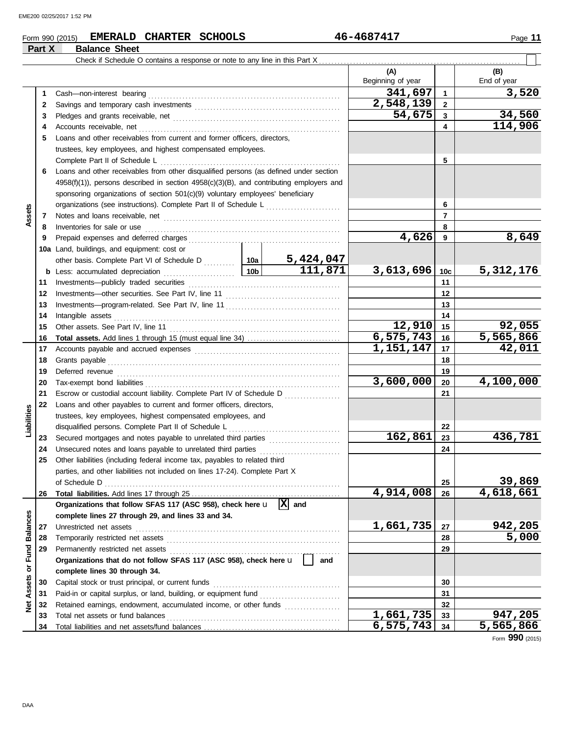#### Form 990 (2015) **EMERALD CHARTER SCHOOLS** 46-4687417 Page 11 **EMERALD CHARTER SCHOOLS 46-4687417**

|                      | Part X   | <b>Balance Sheet</b>                                                                                                                                       |        |                             |                          |                |                    |
|----------------------|----------|------------------------------------------------------------------------------------------------------------------------------------------------------------|--------|-----------------------------|--------------------------|----------------|--------------------|
|                      |          | Check if Schedule O contains a response or note to any line in this Part X                                                                                 |        |                             |                          |                |                    |
|                      |          |                                                                                                                                                            |        |                             | (A)<br>Beginning of year |                | (B)<br>End of year |
|                      | 1        | Cash-non-interest bearing                                                                                                                                  |        |                             | 341,697                  | $\mathbf{1}$   | 3,520              |
|                      | 2        |                                                                                                                                                            |        |                             | 2,548,139                | $\mathbf{2}$   |                    |
|                      | 3        |                                                                                                                                                            |        |                             | 54,675                   | 3              | 34,560             |
|                      | 4        | Accounts receivable, net                                                                                                                                   |        |                             |                          | 4              | 114,906            |
|                      | 5        | Loans and other receivables from current and former officers, directors,                                                                                   |        |                             |                          |                |                    |
|                      |          | trustees, key employees, and highest compensated employees.                                                                                                |        |                             |                          |                |                    |
|                      |          | Complete Part II of Schedule L                                                                                                                             |        | 5                           |                          |                |                    |
|                      | 6        | Loans and other receivables from other disqualified persons (as defined under section                                                                      |        |                             |                          |                |                    |
|                      |          | $4958(f)(1)$ ), persons described in section $4958(c)(3)(B)$ , and contributing employers and                                                              |        |                             |                          |                |                    |
|                      |          | sponsoring organizations of section 501(c)(9) voluntary employees' beneficiary                                                                             |        |                             |                          |                |                    |
|                      |          | organizations (see instructions). Complete Part II of Schedule L                                                                                           |        |                             |                          | 6              |                    |
| Assets               | 7        |                                                                                                                                                            |        |                             |                          | $\overline{7}$ |                    |
|                      | 8        | Inventories for sale or use <i>communically contained as a measure of the sale</i> or use of the sale or use of the sale                                   |        |                             |                          | 8              |                    |
|                      | 9        |                                                                                                                                                            |        |                             | 4,626                    | 9              | 8,649              |
|                      |          | 10a Land, buildings, and equipment: cost or                                                                                                                |        |                             |                          |                |                    |
|                      |          | other basis. Complete Part VI of Schedule D  10a                                                                                                           |        | $\frac{5,424,047}{111,871}$ |                          |                |                    |
|                      | b        |                                                                                                                                                            | 10b    |                             | 3,613,696                | 10c            | 5, 312, 176        |
|                      | 11       |                                                                                                                                                            |        |                             |                          | 11             |                    |
|                      | 12       |                                                                                                                                                            |        |                             | 12                       |                |                    |
|                      | 13       |                                                                                                                                                            |        |                             | 13                       |                |                    |
|                      | 14       | Intangible assets                                                                                                                                          |        |                             |                          | 14             |                    |
|                      | 15       | Other assets. See Part IV, line 11                                                                                                                         | 12,910 | 15                          | 92,055                   |                |                    |
|                      | 16       |                                                                                                                                                            |        |                             | 6,575,743                | 16             | 5,565,866          |
|                      | 17       |                                                                                                                                                            |        | 1,151,147                   | 17                       | 42,011         |                    |
|                      | 18       | Grants payable                                                                                                                                             |        | 18                          |                          |                |                    |
|                      | 19       | Deferred revenue                                                                                                                                           |        |                             |                          | 19             |                    |
|                      | 20       | Tax-exempt bond liabilities                                                                                                                                |        |                             | 3,600,000                | 20             | 4,100,000          |
|                      | 21       | Escrow or custodial account liability. Complete Part IV of Schedule D                                                                                      |        |                             |                          | 21             |                    |
|                      | 22       | Loans and other payables to current and former officers, directors,                                                                                        |        |                             |                          |                |                    |
| Liabilities          |          | trustees, key employees, highest compensated employees, and                                                                                                |        |                             |                          |                |                    |
|                      |          | disqualified persons. Complete Part II of Schedule L                                                                                                       |        |                             |                          | 22             |                    |
|                      | 23       |                                                                                                                                                            |        |                             | 162,861                  | 23             | 436,781            |
|                      | 24<br>25 | Unsecured notes and loans payable to unrelated third parties                                                                                               |        |                             |                          | 24             |                    |
|                      |          | Other liabilities (including federal income tax, payables to related third<br>parties, and other liabilities not included on lines 17-24). Complete Part X |        |                             |                          |                |                    |
|                      |          | of Schedule D                                                                                                                                              |        |                             |                          | 25             | <u>39,869</u>      |
|                      | 26       |                                                                                                                                                            |        |                             | 4,914,008                | 26             | 4,618,661          |
|                      |          | Organizations that follow SFAS 117 (ASC 958), check here $\mathbf{u}$ $\overline{\mathbf{X}}$ and                                                          |        |                             |                          |                |                    |
|                      |          | complete lines 27 through 29, and lines 33 and 34.                                                                                                         |        |                             |                          |                |                    |
|                      | 27       | Unrestricted net assets                                                                                                                                    |        |                             | 1,661,735                | 27             | 942,205            |
|                      | 28       |                                                                                                                                                            |        |                             |                          | 28             | 5,000              |
| <b>Fund Balances</b> | 29       |                                                                                                                                                            |        |                             |                          | 29             |                    |
|                      |          | Organizations that do not follow SFAS 117 (ASC 958), check here u                                                                                          |        | and                         |                          |                |                    |
| ð                    |          | complete lines 30 through 34.                                                                                                                              |        |                             |                          |                |                    |
| Assets               | 30       | Capital stock or trust principal, or current funds                                                                                                         |        |                             |                          | 30             |                    |
|                      | 31       |                                                                                                                                                            |        |                             |                          | 31             |                    |
| <b>Net</b>           | 32       | Retained earnings, endowment, accumulated income, or other funds                                                                                           |        |                             |                          | 32             |                    |
|                      | 33       | Total net assets or fund balances                                                                                                                          |        |                             | 1,661,735                | 33             | 947,205            |
|                      | 34       |                                                                                                                                                            |        | 6,575,743                   | 34                       | 5,565,866      |                    |

Form **990** (2015)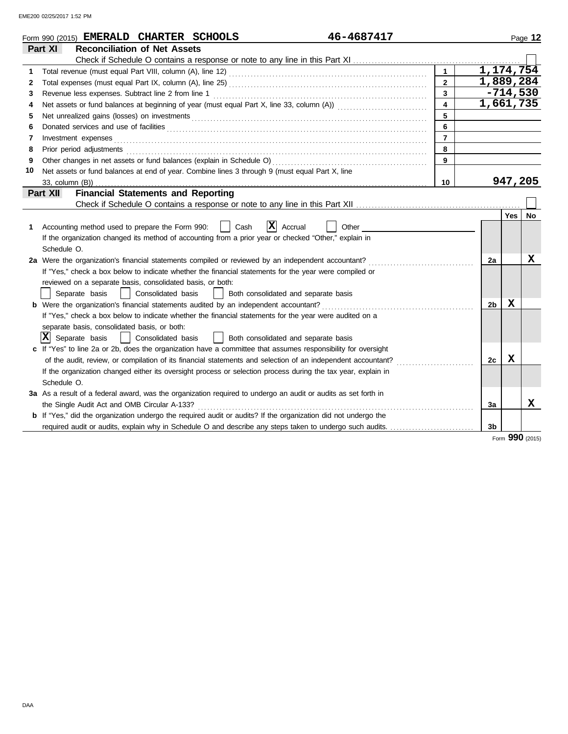|    | 46-4687417<br>Form 990 (2015) EMERALD CHARTER SCHOOLS                                                                                                                                                                               |                |                |             | Page 12   |
|----|-------------------------------------------------------------------------------------------------------------------------------------------------------------------------------------------------------------------------------------|----------------|----------------|-------------|-----------|
|    | Part XI<br><b>Reconciliation of Net Assets</b>                                                                                                                                                                                      |                |                |             |           |
|    |                                                                                                                                                                                                                                     |                |                |             |           |
| 1  |                                                                                                                                                                                                                                     | $\mathbf{1}$   |                | 1,174,754   |           |
| 2  | Total expenses (must equal Part IX, column (A), line 25) Mathematic contracts and expenses (must equal Part IX, column (A), line 25)                                                                                                | $\overline{2}$ |                | 1,889,284   |           |
| 3  | Revenue less expenses. Subtract line 2 from line 1                                                                                                                                                                                  | 3              |                | $-714,530$  |           |
| 4  |                                                                                                                                                                                                                                     | $\overline{4}$ |                | 1,661,735   |           |
| 5  | Net unrealized gains (losses) on investments [11] with the content of the content of the state of the state of the state of the state of the state of the state of the state of the state of the state of the state of the sta      | 5              |                |             |           |
| 6  |                                                                                                                                                                                                                                     | 6              |                |             |           |
| 7  | Investment expenses <b>contract and the expenses</b>                                                                                                                                                                                | $\overline{7}$ |                |             |           |
| 8  | Prior period adjustments <b>constructs</b> and construct of the construction of the construction of the construction of the construction of the construction of the construction of the construction of the construction of the con | 8              |                |             |           |
| 9  |                                                                                                                                                                                                                                     | 9              |                |             |           |
| 10 | Net assets or fund balances at end of year. Combine lines 3 through 9 (must equal Part X, line                                                                                                                                      |                |                |             |           |
|    |                                                                                                                                                                                                                                     | 10             |                | 947,205     |           |
|    | <b>Financial Statements and Reporting</b><br>Part XII                                                                                                                                                                               |                |                |             |           |
|    |                                                                                                                                                                                                                                     |                |                |             |           |
|    |                                                                                                                                                                                                                                     |                |                | Yes         | <b>No</b> |
| 1  | $ \mathbf{X} $ Accrual<br>Accounting method used to prepare the Form 990:<br>Cash<br>Other                                                                                                                                          |                |                |             |           |
|    | If the organization changed its method of accounting from a prior year or checked "Other," explain in                                                                                                                               |                |                |             |           |
|    | Schedule O.                                                                                                                                                                                                                         |                |                |             |           |
|    | 2a Were the organization's financial statements compiled or reviewed by an independent accountant?                                                                                                                                  |                | 2a             |             | X         |
|    | If "Yes," check a box below to indicate whether the financial statements for the year were compiled or                                                                                                                              |                |                |             |           |
|    | reviewed on a separate basis, consolidated basis, or both:                                                                                                                                                                          |                |                |             |           |
|    | Separate basis<br>Consolidated basis<br>Both consolidated and separate basis<br>$\perp$                                                                                                                                             |                |                |             |           |
|    | <b>b</b> Were the organization's financial statements audited by an independent accountant?                                                                                                                                         |                | 2b             | x           |           |
|    | If "Yes," check a box below to indicate whether the financial statements for the year were audited on a                                                                                                                             |                |                |             |           |
|    | separate basis, consolidated basis, or both:                                                                                                                                                                                        |                |                |             |           |
|    | Ixl<br>Separate basis<br>Consolidated basis<br>Both consolidated and separate basis                                                                                                                                                 |                |                |             |           |
|    | c If "Yes" to line 2a or 2b, does the organization have a committee that assumes responsibility for oversight                                                                                                                       |                |                |             |           |
|    | of the audit, review, or compilation of its financial statements and selection of an independent accountant?                                                                                                                        |                | 2c             | $\mathbf x$ |           |
|    | If the organization changed either its oversight process or selection process during the tax year, explain in                                                                                                                       |                |                |             |           |
|    | Schedule O.                                                                                                                                                                                                                         |                |                |             |           |
|    | 3a As a result of a federal award, was the organization required to undergo an audit or audits as set forth in                                                                                                                      |                |                |             |           |
|    | the Single Audit Act and OMB Circular A-133?                                                                                                                                                                                        |                | За             |             | x         |
|    | <b>b</b> If "Yes," did the organization undergo the required audit or audits? If the organization did not undergo the                                                                                                               |                |                |             |           |
|    | required audit or audits, explain why in Schedule O and describe any steps taken to undergo such audits.                                                                                                                            |                | 3 <sub>b</sub> |             |           |

Form **990** (2015)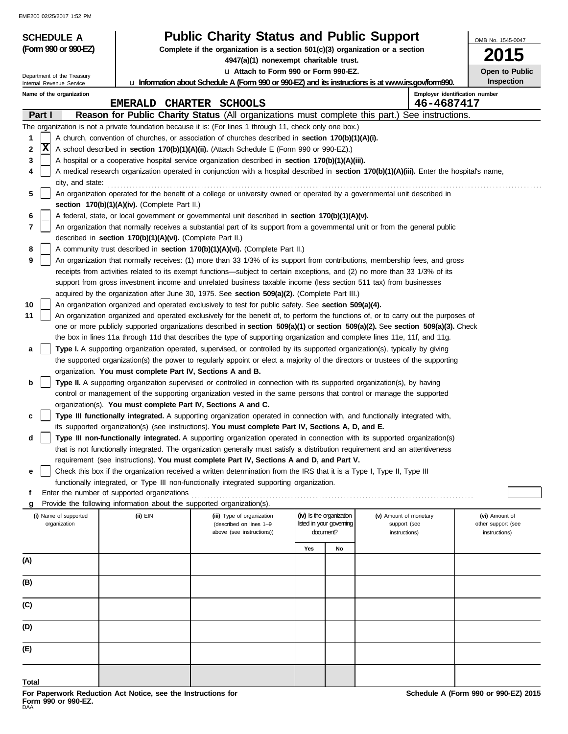| <b>SCHEDULE A</b>                                      |                                                                        | <b>Public Charity Status and Public Support</b>                                                                                                                                                                                                                       |                          |                          |                        | OMB No. 1545-0047                   |
|--------------------------------------------------------|------------------------------------------------------------------------|-----------------------------------------------------------------------------------------------------------------------------------------------------------------------------------------------------------------------------------------------------------------------|--------------------------|--------------------------|------------------------|-------------------------------------|
| (Form 990 or 990-EZ)                                   |                                                                        | Complete if the organization is a section $501(c)(3)$ organization or a section                                                                                                                                                                                       |                          |                          |                        | 5                                   |
|                                                        |                                                                        | 4947(a)(1) nonexempt charitable trust.                                                                                                                                                                                                                                |                          |                          |                        |                                     |
| Department of the Treasury<br>Internal Revenue Service |                                                                        | U Attach to Form 990 or Form 990-EZ.<br>La Information about Schedule A (Form 990 or 990-EZ) and its instructions is at www.irs.gov/form990.                                                                                                                          |                          |                          |                        | Open to Public<br>Inspection        |
| Name of the organization                               |                                                                        |                                                                                                                                                                                                                                                                       |                          |                          |                        | Employer identification number      |
|                                                        | <b>EMERALD</b>                                                         | CHARTER SCHOOLS                                                                                                                                                                                                                                                       |                          |                          | 46-4687417             |                                     |
| Part I                                                 |                                                                        | Reason for Public Charity Status (All organizations must complete this part.) See instructions.                                                                                                                                                                       |                          |                          |                        |                                     |
|                                                        |                                                                        | The organization is not a private foundation because it is: (For lines 1 through 11, check only one box.)                                                                                                                                                             |                          |                          |                        |                                     |
| 1                                                      |                                                                        | A church, convention of churches, or association of churches described in section 170(b)(1)(A)(i).                                                                                                                                                                    |                          |                          |                        |                                     |
| $\overline{\textbf{x}}$<br>2                           |                                                                        | A school described in section 170(b)(1)(A)(ii). (Attach Schedule E (Form 990 or 990-EZ).)                                                                                                                                                                             |                          |                          |                        |                                     |
| 3                                                      |                                                                        | A hospital or a cooperative hospital service organization described in section 170(b)(1)(A)(iii).                                                                                                                                                                     |                          |                          |                        |                                     |
| 4                                                      |                                                                        | A medical research organization operated in conjunction with a hospital described in section 170(b)(1)(A)(iii). Enter the hospital's name,                                                                                                                            |                          |                          |                        |                                     |
| city, and state:<br>5                                  |                                                                        |                                                                                                                                                                                                                                                                       |                          |                          |                        |                                     |
|                                                        | section 170(b)(1)(A)(iv). (Complete Part II.)                          | An organization operated for the benefit of a college or university owned or operated by a governmental unit described in                                                                                                                                             |                          |                          |                        |                                     |
| 6                                                      |                                                                        | A federal, state, or local government or governmental unit described in section 170(b)(1)(A)(v).                                                                                                                                                                      |                          |                          |                        |                                     |
| 7                                                      |                                                                        | An organization that normally receives a substantial part of its support from a governmental unit or from the general public                                                                                                                                          |                          |                          |                        |                                     |
|                                                        | described in section 170(b)(1)(A)(vi). (Complete Part II.)             |                                                                                                                                                                                                                                                                       |                          |                          |                        |                                     |
| 8                                                      |                                                                        | A community trust described in section 170(b)(1)(A)(vi). (Complete Part II.)                                                                                                                                                                                          |                          |                          |                        |                                     |
| 9                                                      |                                                                        | An organization that normally receives: (1) more than 33 1/3% of its support from contributions, membership fees, and gross                                                                                                                                           |                          |                          |                        |                                     |
|                                                        |                                                                        | receipts from activities related to its exempt functions—subject to certain exceptions, and (2) no more than 33 1/3% of its                                                                                                                                           |                          |                          |                        |                                     |
|                                                        |                                                                        | support from gross investment income and unrelated business taxable income (less section 511 tax) from businesses                                                                                                                                                     |                          |                          |                        |                                     |
|                                                        |                                                                        | acquired by the organization after June 30, 1975. See section 509(a)(2). (Complete Part III.)                                                                                                                                                                         |                          |                          |                        |                                     |
| 10                                                     |                                                                        | An organization organized and operated exclusively to test for public safety. See section 509(a)(4).                                                                                                                                                                  |                          |                          |                        |                                     |
| 11                                                     |                                                                        | An organization organized and operated exclusively for the benefit of, to perform the functions of, or to carry out the purposes of<br>one or more publicly supported organizations described in section 509(a)(1) or section 509(a)(2). See section 509(a)(3). Check |                          |                          |                        |                                     |
|                                                        |                                                                        | the box in lines 11a through 11d that describes the type of supporting organization and complete lines 11e, 11f, and 11g.                                                                                                                                             |                          |                          |                        |                                     |
| a                                                      |                                                                        | Type I. A supporting organization operated, supervised, or controlled by its supported organization(s), typically by giving                                                                                                                                           |                          |                          |                        |                                     |
|                                                        |                                                                        | the supported organization(s) the power to regularly appoint or elect a majority of the directors or trustees of the supporting                                                                                                                                       |                          |                          |                        |                                     |
|                                                        | organization. You must complete Part IV, Sections A and B.             |                                                                                                                                                                                                                                                                       |                          |                          |                        |                                     |
| b                                                      |                                                                        | Type II. A supporting organization supervised or controlled in connection with its supported organization(s), by having                                                                                                                                               |                          |                          |                        |                                     |
|                                                        |                                                                        | control or management of the supporting organization vested in the same persons that control or manage the supported                                                                                                                                                  |                          |                          |                        |                                     |
|                                                        | organization(s). You must complete Part IV, Sections A and C.          |                                                                                                                                                                                                                                                                       |                          |                          |                        |                                     |
| c                                                      |                                                                        | Type III functionally integrated. A supporting organization operated in connection with, and functionally integrated with,                                                                                                                                            |                          |                          |                        |                                     |
|                                                        |                                                                        | its supported organization(s) (see instructions). You must complete Part IV, Sections A, D, and E.                                                                                                                                                                    |                          |                          |                        |                                     |
| d                                                      |                                                                        | Type III non-functionally integrated. A supporting organization operated in connection with its supported organization(s)                                                                                                                                             |                          |                          |                        |                                     |
|                                                        |                                                                        | that is not functionally integrated. The organization generally must satisfy a distribution requirement and an attentiveness                                                                                                                                          |                          |                          |                        |                                     |
|                                                        |                                                                        | requirement (see instructions). You must complete Part IV, Sections A and D, and Part V.<br>Check this box if the organization received a written determination from the IRS that it is a Type I, Type II, Type III                                                   |                          |                          |                        |                                     |
| е                                                      |                                                                        | functionally integrated, or Type III non-functionally integrated supporting organization.                                                                                                                                                                             |                          |                          |                        |                                     |
|                                                        | Enter the number of supported organizations                            |                                                                                                                                                                                                                                                                       |                          |                          |                        |                                     |
|                                                        | Provide the following information about the supported organization(s). |                                                                                                                                                                                                                                                                       |                          |                          |                        |                                     |
| (i) Name of supported                                  | (ii) EIN                                                               | (iii) Type of organization                                                                                                                                                                                                                                            | (iv) Is the organization |                          | (v) Amount of monetary | (vi) Amount of                      |
| organization                                           |                                                                        | (described on lines 1-9<br>above (see instructions))                                                                                                                                                                                                                  | document?                | listed in your governing | support (see           | other support (see<br>instructions) |
|                                                        |                                                                        |                                                                                                                                                                                                                                                                       |                          |                          | instructions)          |                                     |
|                                                        |                                                                        |                                                                                                                                                                                                                                                                       | Yes                      | No                       |                        |                                     |
| (A)                                                    |                                                                        |                                                                                                                                                                                                                                                                       |                          |                          |                        |                                     |
|                                                        |                                                                        |                                                                                                                                                                                                                                                                       |                          |                          |                        |                                     |
| (B)                                                    |                                                                        |                                                                                                                                                                                                                                                                       |                          |                          |                        |                                     |
| (C)                                                    |                                                                        |                                                                                                                                                                                                                                                                       |                          |                          |                        |                                     |
|                                                        |                                                                        |                                                                                                                                                                                                                                                                       |                          |                          |                        |                                     |
| (D)                                                    |                                                                        |                                                                                                                                                                                                                                                                       |                          |                          |                        |                                     |
|                                                        |                                                                        |                                                                                                                                                                                                                                                                       |                          |                          |                        |                                     |
| (E)                                                    |                                                                        |                                                                                                                                                                                                                                                                       |                          |                          |                        |                                     |

**Total**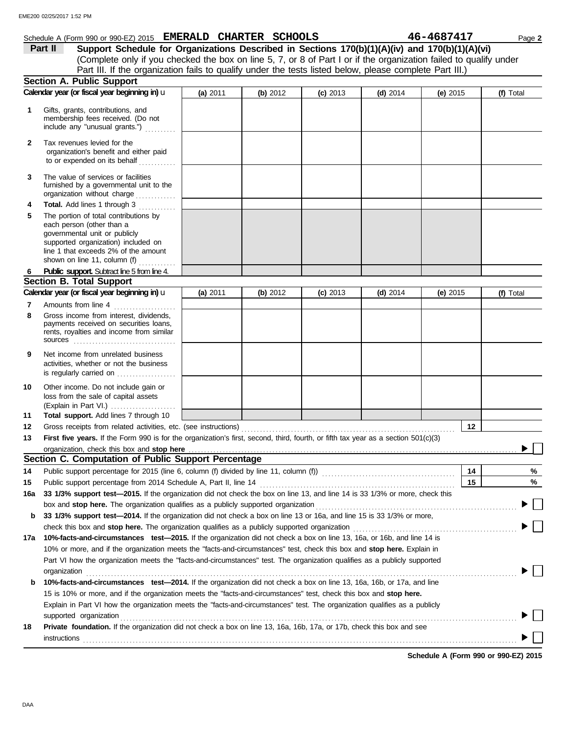### **Schedule A (Form 990 or 990-EZ) 2015 EMERALD CHARTER SCHOOLS** 46-4687417 Page 2

(Complete only if you checked the box on line 5, 7, or 8 of Part I or if the organization failed to qualify under **Part II Support Schedule for Organizations Described in Sections 170(b)(1)(A)(iv) and 170(b)(1)(A)(vi)** Part III. If the organization fails to qualify under the tests listed below, please complete Part III.)

|              | <b>Section A. Public Support</b>                                                                                                                                                                                                                 |          |            |            |            |            |           |
|--------------|--------------------------------------------------------------------------------------------------------------------------------------------------------------------------------------------------------------------------------------------------|----------|------------|------------|------------|------------|-----------|
|              | Calendar year (or fiscal year beginning in) u                                                                                                                                                                                                    | (a) 2011 | (b) 2012   | $(c)$ 2013 | $(d)$ 2014 | (e) 2015   | (f) Total |
| 1            | Gifts, grants, contributions, and<br>membership fees received. (Do not<br>include any "unusual grants.")                                                                                                                                         |          |            |            |            |            |           |
| $\mathbf{2}$ | Tax revenues levied for the<br>organization's benefit and either paid<br>to or expended on its behalf<br>.                                                                                                                                       |          |            |            |            |            |           |
| 3            | The value of services or facilities<br>furnished by a governmental unit to the<br>organization without charge                                                                                                                                    |          |            |            |            |            |           |
| 4            | Total. Add lines 1 through 3<br>.                                                                                                                                                                                                                |          |            |            |            |            |           |
| 5            | The portion of total contributions by<br>each person (other than a<br>governmental unit or publicly<br>supported organization) included on<br>line 1 that exceeds 2% of the amount<br>shown on line 11, column (f)                               |          |            |            |            |            |           |
| 6            | Public support. Subtract line 5 from line 4.                                                                                                                                                                                                     |          |            |            |            |            |           |
|              | <b>Section B. Total Support</b>                                                                                                                                                                                                                  |          |            |            |            |            |           |
|              | Calendar year (or fiscal year beginning in) u                                                                                                                                                                                                    | (a) 2011 | (b) $2012$ | $(c)$ 2013 | $(d)$ 2014 | (e) $2015$ | (f) Total |
| 7            | Amounts from line 4<br>.                                                                                                                                                                                                                         |          |            |            |            |            |           |
| 8            | Gross income from interest, dividends,<br>payments received on securities loans,<br>rents, royalties and income from similar<br>sources                                                                                                          |          |            |            |            |            |           |
| 9            | Net income from unrelated business<br>activities, whether or not the business<br>is regularly carried on                                                                                                                                         |          |            |            |            |            |           |
| 10           | Other income. Do not include gain or<br>loss from the sale of capital assets<br>(Explain in Part VI.)                                                                                                                                            |          |            |            |            |            |           |
| 11           | Total support. Add lines 7 through 10                                                                                                                                                                                                            |          |            |            |            |            |           |
| 12           | Gross receipts from related activities, etc. (see instructions)                                                                                                                                                                                  |          |            |            |            | 12         |           |
| 13           | First five years. If the Form 990 is for the organization's first, second, third, fourth, or fifth tax year as a section 501(c)(3)                                                                                                               |          |            |            |            |            |           |
|              | organization, check this box and stop here                                                                                                                                                                                                       |          |            |            |            |            |           |
|              | Section C. Computation of Public Support Percentage                                                                                                                                                                                              |          |            |            |            |            |           |
| 14           | Public support percentage for 2015 (line 6, column (f) divided by line 11, column (f)) [[[[[[[[[[[[[[[[[[[[[[                                                                                                                                    |          |            |            |            | 14         | ℅         |
| 15           |                                                                                                                                                                                                                                                  |          |            |            |            | 15         | %         |
| 16а          | 33 1/3% support test-2015. If the organization did not check the box on line 13, and line 14 is 33 1/3% or more, check this                                                                                                                      |          |            |            |            |            |           |
|              | box and stop here. The organization qualifies as a publicly supported organization                                                                                                                                                               |          |            |            |            |            |           |
| b            | 33 1/3% support test-2014. If the organization did not check a box on line 13 or 16a, and line 15 is 33 1/3% or more,                                                                                                                            |          |            |            |            |            |           |
|              | check this box and stop here. The organization qualifies as a publicly supported organization [11] condition [11] condition [11] check this box and stop here. The organization [11] check this box and stop here. The organiz                   |          |            |            |            |            |           |
| 17a          | 10%-facts-and-circumstances test-2015. If the organization did not check a box on line 13, 16a, or 16b, and line 14 is                                                                                                                           |          |            |            |            |            |           |
|              | 10% or more, and if the organization meets the "facts-and-circumstances" test, check this box and stop here. Explain in                                                                                                                          |          |            |            |            |            |           |
|              | Part VI how the organization meets the "facts-and-circumstances" test. The organization qualifies as a publicly supported                                                                                                                        |          |            |            |            |            |           |
|              | organization<br>10%-facts-and-circumstances test-2014. If the organization did not check a box on line 13, 16a, 16b, or 17a, and line                                                                                                            |          |            |            |            |            |           |
| b            |                                                                                                                                                                                                                                                  |          |            |            |            |            |           |
|              | 15 is 10% or more, and if the organization meets the "facts-and-circumstances" test, check this box and stop here.<br>Explain in Part VI how the organization meets the "facts-and-circumstances" test. The organization qualifies as a publicly |          |            |            |            |            |           |
|              | supported organization                                                                                                                                                                                                                           |          |            |            |            |            |           |
| 18           | Private foundation. If the organization did not check a box on line 13, 16a, 16b, 17a, or 17b, check this box and see                                                                                                                            |          |            |            |            |            |           |
|              | instructions                                                                                                                                                                                                                                     |          |            |            |            |            |           |
|              |                                                                                                                                                                                                                                                  |          |            |            |            |            |           |

**Schedule A (Form 990 or 990-EZ) 2015**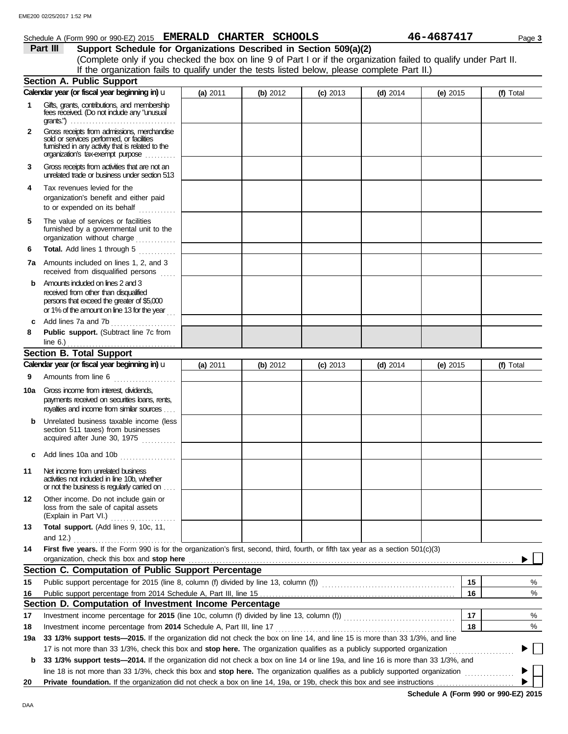### **Schedule A (Form 990 or 990-EZ) 2015 EMERALD CHARTER SCHOOLS** 46-4687417 Page 3

**Part III Support Schedule for Organizations Described in Section 509(a)(2)** (Complete only if you checked the box on line 9 of Part I or if the organization failed to qualify under Part II. If the organization fails to qualify under the tests listed below, please complete Part II.)

|              | <b>Section A. Public Support</b>                                                                                                                                                                                                                                                                                                                                         |          |          |            |            |            |           |
|--------------|--------------------------------------------------------------------------------------------------------------------------------------------------------------------------------------------------------------------------------------------------------------------------------------------------------------------------------------------------------------------------|----------|----------|------------|------------|------------|-----------|
|              | Calendar year (or fiscal year beginning in) u                                                                                                                                                                                                                                                                                                                            | (a) 2011 | (b) 2012 | $(c)$ 2013 | $(d)$ 2014 | (e) $2015$ | (f) Total |
| 1            | Gifts, grants, contributions, and membership<br>fees received. (Do not include any "unusual                                                                                                                                                                                                                                                                              |          |          |            |            |            |           |
| $\mathbf{2}$ | Gross receipts from admissions, merchandise<br>sold or services performed, or facilities<br>furnished in any activity that is related to the<br>organization's tax-exempt purpose                                                                                                                                                                                        |          |          |            |            |            |           |
| 3            | Gross receipts from activities that are not an<br>unrelated trade or business under section 513                                                                                                                                                                                                                                                                          |          |          |            |            |            |           |
| 4            | Tax revenues levied for the<br>organization's benefit and either paid<br>to or expended on its behalf                                                                                                                                                                                                                                                                    |          |          |            |            |            |           |
| 5            | The value of services or facilities<br>furnished by a governmental unit to the<br>organization without charge                                                                                                                                                                                                                                                            |          |          |            |            |            |           |
| 6            | Total. Add lines 1 through 5                                                                                                                                                                                                                                                                                                                                             |          |          |            |            |            |           |
|              | 7a Amounts included on lines 1, 2, and 3<br>received from disqualified persons                                                                                                                                                                                                                                                                                           |          |          |            |            |            |           |
| b            | Amounts included on lines 2 and 3<br>received from other than disqualified<br>persons that exceed the greater of \$5,000<br>or 1% of the amount on line 13 for the year                                                                                                                                                                                                  |          |          |            |            |            |           |
| C            | Add lines 7a and 7b                                                                                                                                                                                                                                                                                                                                                      |          |          |            |            |            |           |
| 8            | Public support. (Subtract line 7c from                                                                                                                                                                                                                                                                                                                                   |          |          |            |            |            |           |
|              | <b>Section B. Total Support</b>                                                                                                                                                                                                                                                                                                                                          |          |          |            |            |            |           |
|              | Calendar year (or fiscal year beginning in) u                                                                                                                                                                                                                                                                                                                            | (a) 2011 | (b) 2012 | $(c)$ 2013 | (d) $2014$ | (e) $2015$ | (f) Total |
| 9            | Amounts from line 6                                                                                                                                                                                                                                                                                                                                                      |          |          |            |            |            |           |
| 10a l        | Gross income from interest, dividends,<br>payments received on securities loans, rents,<br>royalties and income from similar sources                                                                                                                                                                                                                                     |          |          |            |            |            |           |
| b            | Unrelated business taxable income (less<br>section 511 taxes) from businesses<br>acquired after June 30, 1975                                                                                                                                                                                                                                                            |          |          |            |            |            |           |
|              | Add lines 10a and 10b                                                                                                                                                                                                                                                                                                                                                    |          |          |            |            |            |           |
| 11           | Net income from unrelated business<br>activities not included in line 10b, whether<br>or not the business is regularly carried on                                                                                                                                                                                                                                        |          |          |            |            |            |           |
| 12           | Other income. Do not include gain or<br>loss from the sale of capital assets<br>(Explain in Part VI.)                                                                                                                                                                                                                                                                    |          |          |            |            |            |           |
| 13           | Total support. (Add lines 9, 10c, 11,<br>and 12.) $\ldots$ $\ldots$ $\ldots$ $\ldots$ $\ldots$                                                                                                                                                                                                                                                                           |          |          |            |            |            |           |
| 14           | First five years. If the Form 990 is for the organization's first, second, third, fourth, or fifth tax year as a section 501(c)(3)<br>organization, check this box and stop here <i>manufactured contained and stop</i> here and stop here and stop here and stop here and stop here and stop here and stop here and stop here and stop here and stop here and stop here |          |          |            |            |            |           |
|              | Section C. Computation of Public Support Percentage                                                                                                                                                                                                                                                                                                                      |          |          |            |            |            |           |
| 15           |                                                                                                                                                                                                                                                                                                                                                                          |          |          |            |            | 15         | %         |
| 16           |                                                                                                                                                                                                                                                                                                                                                                          |          |          |            |            | 16         | %         |
|              | Section D. Computation of Investment Income Percentage                                                                                                                                                                                                                                                                                                                   |          |          |            |            |            |           |
| 17           |                                                                                                                                                                                                                                                                                                                                                                          |          |          |            |            | 17         | %         |
| 18           | Investment income percentage from 2014 Schedule A, Part III, line 17                                                                                                                                                                                                                                                                                                     |          |          |            |            | 18         | %         |
| 19a          | 33 1/3% support tests-2015. If the organization did not check the box on line 14, and line 15 is more than 33 1/3%, and line                                                                                                                                                                                                                                             |          |          |            |            |            |           |
|              | 17 is not more than 33 1/3%, check this box and stop here. The organization qualifies as a publicly supported organization                                                                                                                                                                                                                                               |          |          |            |            |            |           |
| b            | 33 1/3% support tests-2014. If the organization did not check a box on line 14 or line 19a, and line 16 is more than 33 1/3%, and                                                                                                                                                                                                                                        |          |          |            |            |            |           |
|              | line 18 is not more than 33 1/3%, check this box and stop here. The organization qualifies as a publicly supported organization                                                                                                                                                                                                                                          |          |          |            |            |            |           |
| 20           | <b>Private foundation.</b> If the organization did not check a box on line 14, 19a, or 19b, check this box and see instructions                                                                                                                                                                                                                                          |          |          |            |            |            |           |

**Schedule A (Form 990 or 990-EZ) 2015**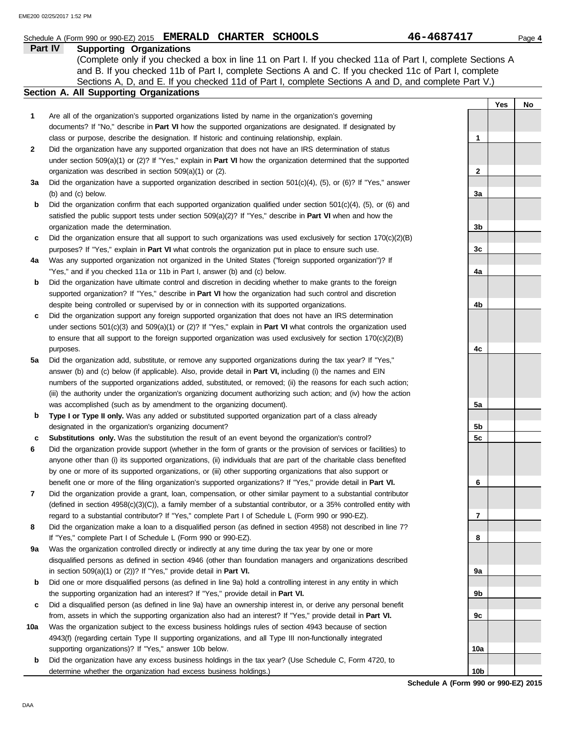|              | Schedule A (Form 990 or 990-EZ) 2015 EMERALD CHARTER SCHOOLS                                                                                                                                                                                                                                                                                                                                                | 46-4687417 |     | Page 4 |
|--------------|-------------------------------------------------------------------------------------------------------------------------------------------------------------------------------------------------------------------------------------------------------------------------------------------------------------------------------------------------------------------------------------------------------------|------------|-----|--------|
| Part IV      | <b>Supporting Organizations</b><br>(Complete only if you checked a box in line 11 on Part I. If you checked 11a of Part I, complete Sections A<br>and B. If you checked 11b of Part I, complete Sections A and C. If you checked 11c of Part I, complete<br>Sections A, D, and E. If you checked 11d of Part I, complete Sections A and D, and complete Part V.)<br>Section A. All Supporting Organizations |            |     |        |
|              |                                                                                                                                                                                                                                                                                                                                                                                                             |            | Yes | No     |
| 1            | Are all of the organization's supported organizations listed by name in the organization's governing                                                                                                                                                                                                                                                                                                        |            |     |        |
|              | documents? If "No," describe in Part VI how the supported organizations are designated. If designated by                                                                                                                                                                                                                                                                                                    |            |     |        |
| $\mathbf{2}$ | class or purpose, describe the designation. If historic and continuing relationship, explain.<br>Did the organization have any supported organization that does not have an IRS determination of status                                                                                                                                                                                                     | 1          |     |        |
|              | under section $509(a)(1)$ or (2)? If "Yes," explain in <b>Part VI</b> how the organization determined that the supported                                                                                                                                                                                                                                                                                    |            |     |        |
|              | organization was described in section 509(a)(1) or (2).                                                                                                                                                                                                                                                                                                                                                     | 2          |     |        |
| За           | Did the organization have a supported organization described in section $501(c)(4)$ , (5), or (6)? If "Yes," answer                                                                                                                                                                                                                                                                                         |            |     |        |
|              | (b) and (c) below.                                                                                                                                                                                                                                                                                                                                                                                          | За         |     |        |
| b            | Did the organization confirm that each supported organization qualified under section $501(c)(4)$ , $(5)$ , or $(6)$ and                                                                                                                                                                                                                                                                                    |            |     |        |
|              | satisfied the public support tests under section 509(a)(2)? If "Yes," describe in Part VI when and how the                                                                                                                                                                                                                                                                                                  |            |     |        |
|              | organization made the determination.                                                                                                                                                                                                                                                                                                                                                                        | 3b         |     |        |
| c            | Did the organization ensure that all support to such organizations was used exclusively for section $170(c)(2)(B)$<br>purposes? If "Yes," explain in Part VI what controls the organization put in place to ensure such use.                                                                                                                                                                                | 3c         |     |        |
| 4a           | Was any supported organization not organized in the United States ("foreign supported organization")? If                                                                                                                                                                                                                                                                                                    |            |     |        |
|              | "Yes," and if you checked 11a or 11b in Part I, answer (b) and (c) below.                                                                                                                                                                                                                                                                                                                                   | 4a         |     |        |
| b            | Did the organization have ultimate control and discretion in deciding whether to make grants to the foreign                                                                                                                                                                                                                                                                                                 |            |     |        |
|              | supported organization? If "Yes," describe in Part VI how the organization had such control and discretion                                                                                                                                                                                                                                                                                                  |            |     |        |
|              | despite being controlled or supervised by or in connection with its supported organizations.                                                                                                                                                                                                                                                                                                                | 4b         |     |        |
| c            | Did the organization support any foreign supported organization that does not have an IRS determination                                                                                                                                                                                                                                                                                                     |            |     |        |
|              | under sections $501(c)(3)$ and $509(a)(1)$ or (2)? If "Yes," explain in <b>Part VI</b> what controls the organization used                                                                                                                                                                                                                                                                                  |            |     |        |
|              | to ensure that all support to the foreign supported organization was used exclusively for section $170(c)(2)(B)$<br>purposes.                                                                                                                                                                                                                                                                               | 4c         |     |        |
| 5а           | Did the organization add, substitute, or remove any supported organizations during the tax year? If "Yes,"                                                                                                                                                                                                                                                                                                  |            |     |        |
|              | answer (b) and (c) below (if applicable). Also, provide detail in Part VI, including (i) the names and EIN                                                                                                                                                                                                                                                                                                  |            |     |        |
|              | numbers of the supported organizations added, substituted, or removed; (ii) the reasons for each such action;                                                                                                                                                                                                                                                                                               |            |     |        |
|              | (iii) the authority under the organization's organizing document authorizing such action; and (iv) how the action                                                                                                                                                                                                                                                                                           |            |     |        |
|              | was accomplished (such as by amendment to the organizing document).                                                                                                                                                                                                                                                                                                                                         | 5a         |     |        |
| b            | Type I or Type II only. Was any added or substituted supported organization part of a class already                                                                                                                                                                                                                                                                                                         |            |     |        |
|              | designated in the organization's organizing document?                                                                                                                                                                                                                                                                                                                                                       | 5b         |     |        |
| c<br>6       | <b>Substitutions only.</b> Was the substitution the result of an event beyond the organization's control?<br>Did the organization provide support (whether in the form of grants or the provision of services or facilities) to                                                                                                                                                                             | 5c         |     |        |
|              | anyone other than (i) its supported organizations, (ii) individuals that are part of the charitable class benefited                                                                                                                                                                                                                                                                                         |            |     |        |
|              | by one or more of its supported organizations, or (iii) other supporting organizations that also support or                                                                                                                                                                                                                                                                                                 |            |     |        |
|              | benefit one or more of the filing organization's supported organizations? If "Yes," provide detail in Part VI.                                                                                                                                                                                                                                                                                              | 6          |     |        |
| 7            | Did the organization provide a grant, loan, compensation, or other similar payment to a substantial contributor                                                                                                                                                                                                                                                                                             |            |     |        |
|              | (defined in section $4958(c)(3)(C)$ ), a family member of a substantial contributor, or a 35% controlled entity with                                                                                                                                                                                                                                                                                        |            |     |        |
|              | regard to a substantial contributor? If "Yes," complete Part I of Schedule L (Form 990 or 990-EZ).                                                                                                                                                                                                                                                                                                          | 7          |     |        |
| 8            | Did the organization make a loan to a disqualified person (as defined in section 4958) not described in line 7?                                                                                                                                                                                                                                                                                             |            |     |        |
| 9a           | If "Yes," complete Part I of Schedule L (Form 990 or 990-EZ).<br>Was the organization controlled directly or indirectly at any time during the tax year by one or more                                                                                                                                                                                                                                      | 8          |     |        |
|              | disqualified persons as defined in section 4946 (other than foundation managers and organizations described                                                                                                                                                                                                                                                                                                 |            |     |        |
|              | in section $509(a)(1)$ or $(2)$ ? If "Yes," provide detail in <b>Part VI.</b>                                                                                                                                                                                                                                                                                                                               | 9a         |     |        |
| b            | Did one or more disqualified persons (as defined in line 9a) hold a controlling interest in any entity in which                                                                                                                                                                                                                                                                                             |            |     |        |
|              | the supporting organization had an interest? If "Yes," provide detail in Part VI.                                                                                                                                                                                                                                                                                                                           | 9b         |     |        |
| c            | Did a disqualified person (as defined in line 9a) have an ownership interest in, or derive any personal benefit                                                                                                                                                                                                                                                                                             |            |     |        |
|              | from, assets in which the supporting organization also had an interest? If "Yes," provide detail in Part VI.                                                                                                                                                                                                                                                                                                | 9с         |     |        |
| 10a          | Was the organization subject to the excess business holdings rules of section 4943 because of section                                                                                                                                                                                                                                                                                                       |            |     |        |
|              | 4943(f) (regarding certain Type II supporting organizations, and all Type III non-functionally integrated                                                                                                                                                                                                                                                                                                   |            |     |        |

**b** supporting organizations)? If "Yes," answer 10b below. Did the organization have any excess business holdings in the tax year? (Use Schedule C, Form 4720, to determine whether the organization had excess business holdings.)

**Schedule A (Form 990 or 990-EZ) 2015 10b**

**10a**

DAA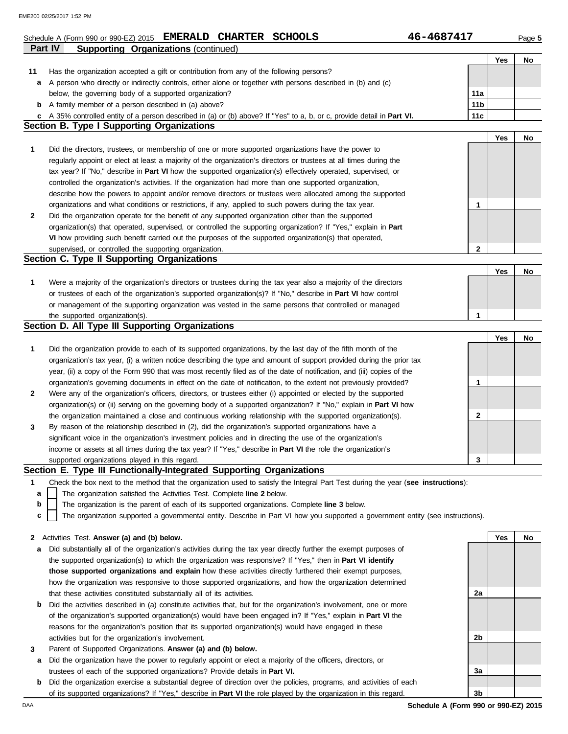#### **Part IV Supporting Organizations** (continued) **Schedule A (Form 990 or 990-EZ) 2015 EMERALD CHARTER SCHOOLS** 46-4687417 Page 5 **Yes No 2 1** organizations and what conditions or restrictions, if any, applied to such powers during the tax year. describe how the powers to appoint and/or remove directors or trustees were allocated among the supported controlled the organization's activities. If the organization had more than one supported organization, tax year? If "No," describe in **Part VI** how the supported organization(s) effectively operated, supervised, or regularly appoint or elect at least a majority of the organization's directors or trustees at all times during the **Section B. Type I Supporting Organizations 11 c b** A family member of a person described in (a) above? **a** A person who directly or indirectly controls, either alone or together with persons described in (b) and (c) Has the organization accepted a gift or contribution from any of the following persons? below, the governing body of a supported organization? A 35% controlled entity of a person described in (a) or (b) above? If "Yes" to a, b, or c, provide detail in **Part VI. 11a 11b 11c** Did the directors, trustees, or membership of one or more supported organizations have the power to Did the organization operate for the benefit of any supported organization other than the supported organization(s) that operated, supervised, or controlled the supporting organization? If "Yes," explain in **Part VI** how providing such benefit carried out the purposes of the supported organization(s) that operated, supervised, or controlled the supporting organization. **Section C. Type II Supporting Organizations** Were a majority of the organization's directors or trustees during the tax year also a majority of the directors or trustees of each of the organization's supported organization(s)? If "No," describe in **Part VI** how control **1** or management of the supporting organization was vested in the same persons that controlled or managed the supported organization(s). **Section D. All Type III Supporting Organizations** Did the organization provide to each of its supported organizations, by the last day of the fifth month of the organization's tax year, (i) a written notice describing the type and amount of support provided during the prior tax **1** year, (ii) a copy of the Form 990 that was most recently filed as of the date of notification, and (iii) copies of the organization's governing documents in effect on the date of notification, to the extent not previously provided? **2** Were any of the organization's officers, directors, or trustees either (i) appointed or elected by the supported the organization maintained a close and continuous working relationship with the supported organization(s). organization(s) or (ii) serving on the governing body of a supported organization? If "No," explain in **Part VI** how supported organizations played in this regard. income or assets at all times during the tax year? If "Yes," describe in **Part VI** the role the organization's **3** significant voice in the organization's investment policies and in directing the use of the organization's By reason of the relationship described in (2), did the organization's supported organizations have a **Section E. Type III Functionally-Integrated Supporting Organizations 1** Check the box next to the method that the organization used to satisfy the Integral Part Test during the year (**see instructions**): The organization satisfied the Activities Test. Complete **line 2** below. The organization is the parent of each of its supported organizations. Complete **line 3** below. The organization supported a governmental entity. Describe in Part VI how you supported a government entity (see instructions). **c b a Yes No 1 2 1 Yes No Yes No 1 2 3**

|  | 2 Activities Test. Answer (a) and (b) below. |  |  |  |  |  |  |  |
|--|----------------------------------------------|--|--|--|--|--|--|--|
|--|----------------------------------------------|--|--|--|--|--|--|--|

- **a** Did substantially all of the organization's activities during the tax year directly further the exempt purposes of the supported organization(s) to which the organization was responsive? If "Yes," then in **Part VI identify those supported organizations and explain** how these activities directly furthered their exempt purposes, how the organization was responsive to those supported organizations, and how the organization determined that these activities constituted substantially all of its activities.
- **b** Did the activities described in (a) constitute activities that, but for the organization's involvement, one or more of the organization's supported organization(s) would have been engaged in? If "Yes," explain in **Part VI** the reasons for the organization's position that its supported organization(s) would have engaged in these activities but for the organization's involvement.
- **3** Parent of Supported Organizations. **Answer (a) and (b) below.**
- **a** Did the organization have the power to regularly appoint or elect a majority of the officers, directors, or trustees of each of the supported organizations? Provide details in **Part VI.**
- **b** Did the organization exercise a substantial degree of direction over the policies, programs, and activities of each of its supported organizations? If "Yes," describe in **Part VI** the role played by the organization in this regard.

**2a 2b 3a 3b**

**Yes No**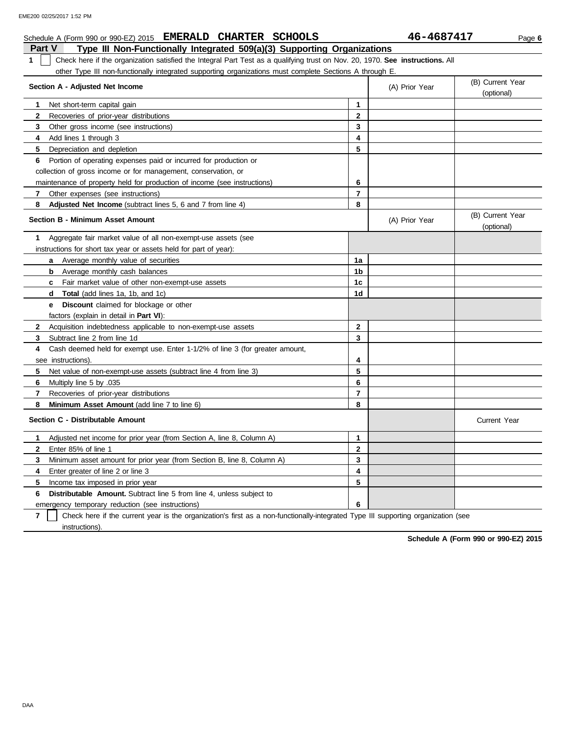#### **Part V Type III Non-Functionally Integrated 509(a)(3) Supporting Organizations Schedule A (Form 990 or 990-EZ) 2015 EMERALD CHARTER SCHOOLS** 46-4687417 Page 6 **1** Check here if the organization satisfied the Integral Part Test as a qualifying trust on Nov. 20, 1970. **See instructions.** All other Type III non-functionally integrated supporting organizations must complete Sections A through E. **1 2** Recoveries of prior-year distributions **3 4** Add lines 1 through 3 **5** Depreciation and depletion **6 7 8 1** Aggregate fair market value of all non-exempt-use assets (see **Section A - Adjusted Net Income** Net short-term capital gain Other gross income (see instructions) Portion of operating expenses paid or incurred for production or collection of gross income or for management, conservation, or maintenance of property held for production of income (see instructions) Other expenses (see instructions) **Adjusted Net Income** (subtract lines 5, 6 and 7 from line 4) **Section B - Minimum Asset Amount** instructions for short tax year or assets held for part of year): **a** Average monthly value of securities **b** Average monthly cash balances **8 7 6 5 4 3 2 1** (A) Prior Year (B) Current Year (optional) (optional) (B) Current Year (A) Prior Year **1a**  $|1b|$

|   | Fair market value of other non-exempt-use assets                             | 1c           |                     |
|---|------------------------------------------------------------------------------|--------------|---------------------|
|   | Total (add lines 1a, 1b, and 1c)                                             | 1d           |                     |
|   | Discount claimed for blockage or other<br>е                                  |              |                     |
|   | factors (explain in detail in <b>Part VI)</b> :                              |              |                     |
| 2 | Acquisition indebtedness applicable to non-exempt-use assets                 | $\mathbf{2}$ |                     |
| 3 | Subtract line 2 from line 1d                                                 | 3            |                     |
| 4 | Cash deemed held for exempt use. Enter 1-1/2% of line 3 (for greater amount, |              |                     |
|   | see instructions).                                                           | 4            |                     |
| 5 | Net value of non-exempt-use assets (subtract line 4 from line 3)             | 5            |                     |
| 6 | Multiply line 5 by .035                                                      | 6            |                     |
|   | Recoveries of prior-year distributions                                       | 7            |                     |
| 8 | Minimum Asset Amount (add line 7 to line 6)                                  | 8            |                     |
|   | Section C - Distributable Amount                                             |              | <b>Current Year</b> |
|   | Adjusted net income for prior year (from Section A, line 8, Column A)        | 1            |                     |
| 2 | Enter 85% of line 1                                                          | $\mathbf{2}$ |                     |
| 3 | Minimum asset amount for prior year (from Section B, line 8, Column A)       | 3            |                     |
| 4 | Enter greater of line 2 or line 3                                            | 4            |                     |
| 5 | Income tax imposed in prior year                                             | 5            |                     |
| 6 | <b>Distributable Amount.</b> Subtract line 5 from line 4, unless subject to  |              |                     |
|   | emergency temporary reduction (see instructions)                             | 6            |                     |

**7** instructions). Check here if the current year is the organization's first as a non-functionally-integrated Type III supporting organization (see

**Schedule A (Form 990 or 990-EZ) 2015**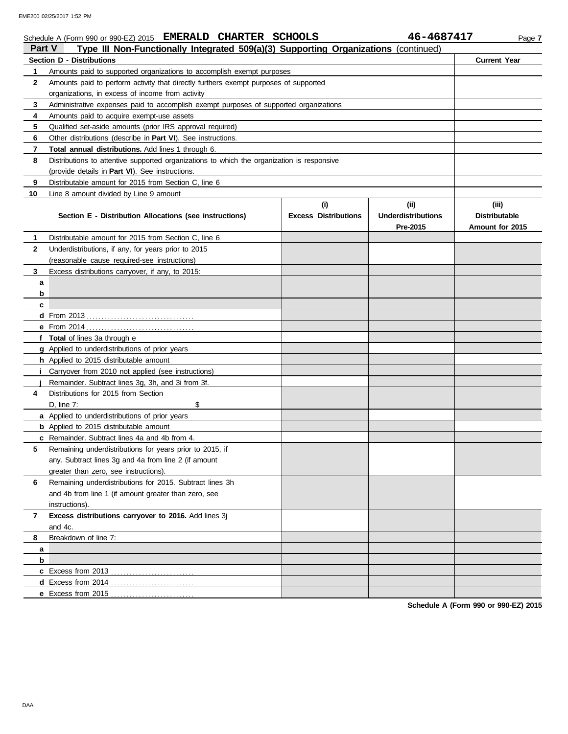## **Schedule A (Form 990 or 990-EZ) 2015 EMERALD CHARTER SCHOOLS** 46-4687417 Page 7

| Part V | Type III Non-Functionally Integrated 509(a)(3) Supporting Organizations (continued)        |                             |                                       |                                         |
|--------|--------------------------------------------------------------------------------------------|-----------------------------|---------------------------------------|-----------------------------------------|
|        | <b>Section D - Distributions</b>                                                           |                             |                                       | <b>Current Year</b>                     |
| 1      | Amounts paid to supported organizations to accomplish exempt purposes                      |                             |                                       |                                         |
| 2      | Amounts paid to perform activity that directly furthers exempt purposes of supported       |                             |                                       |                                         |
|        | organizations, in excess of income from activity                                           |                             |                                       |                                         |
| 3      | Administrative expenses paid to accomplish exempt purposes of supported organizations      |                             |                                       |                                         |
| 4      | Amounts paid to acquire exempt-use assets                                                  |                             |                                       |                                         |
| 5      | Qualified set-aside amounts (prior IRS approval required)                                  |                             |                                       |                                         |
| 6      | Other distributions (describe in Part VI). See instructions.                               |                             |                                       |                                         |
| 7      | Total annual distributions. Add lines 1 through 6.                                         |                             |                                       |                                         |
| 8      | Distributions to attentive supported organizations to which the organization is responsive |                             |                                       |                                         |
|        | (provide details in Part VI). See instructions.                                            |                             |                                       |                                         |
| 9      | Distributable amount for 2015 from Section C, line 6                                       |                             |                                       |                                         |
| 10     | Line 8 amount divided by Line 9 amount                                                     |                             |                                       |                                         |
|        |                                                                                            | (i)                         | (ii)                                  | (iii)                                   |
|        | Section E - Distribution Allocations (see instructions)                                    | <b>Excess Distributions</b> | <b>Underdistributions</b><br>Pre-2015 | <b>Distributable</b><br>Amount for 2015 |
| 1      | Distributable amount for 2015 from Section C, line 6                                       |                             |                                       |                                         |
| 2      | Underdistributions, if any, for years prior to 2015                                        |                             |                                       |                                         |
|        | (reasonable cause required-see instructions)                                               |                             |                                       |                                         |
| 3      | Excess distributions carryover, if any, to 2015:                                           |                             |                                       |                                         |
| a      |                                                                                            |                             |                                       |                                         |
| b      |                                                                                            |                             |                                       |                                         |
| c      |                                                                                            |                             |                                       |                                         |
|        |                                                                                            |                             |                                       |                                         |
|        |                                                                                            |                             |                                       |                                         |
|        | f Total of lines 3a through e                                                              |                             |                                       |                                         |
|        | g Applied to underdistributions of prior years                                             |                             |                                       |                                         |
|        | h Applied to 2015 distributable amount                                                     |                             |                                       |                                         |
|        | <i>i</i> Carryover from 2010 not applied (see instructions)                                |                             |                                       |                                         |
|        | Remainder. Subtract lines 3g, 3h, and 3i from 3f.                                          |                             |                                       |                                         |
| 4      | Distributions for 2015 from Section                                                        |                             |                                       |                                         |
|        | \$<br>D, line 7:                                                                           |                             |                                       |                                         |
|        | a Applied to underdistributions of prior years                                             |                             |                                       |                                         |
|        | <b>b</b> Applied to 2015 distributable amount                                              |                             |                                       |                                         |
|        | c Remainder. Subtract lines 4a and 4b from 4.                                              |                             |                                       |                                         |
| 5      | Remaining underdistributions for years prior to 2015, if                                   |                             |                                       |                                         |
|        | any. Subtract lines 3g and 4a from line 2 (if amount                                       |                             |                                       |                                         |
|        | greater than zero, see instructions).                                                      |                             |                                       |                                         |
| 6      | Remaining underdistributions for 2015. Subtract lines 3h                                   |                             |                                       |                                         |
|        | and 4b from line 1 (if amount greater than zero, see                                       |                             |                                       |                                         |
|        | instructions).                                                                             |                             |                                       |                                         |
| 7      | Excess distributions carryover to 2016. Add lines 3j                                       |                             |                                       |                                         |
|        | and 4c.                                                                                    |                             |                                       |                                         |
| 8      | Breakdown of line 7:                                                                       |                             |                                       |                                         |
| a      |                                                                                            |                             |                                       |                                         |
| b      |                                                                                            |                             |                                       |                                         |
|        | c Excess from 2013                                                                         |                             |                                       |                                         |
|        | <b>d</b> Excess from 2014                                                                  |                             |                                       |                                         |
|        | .                                                                                          |                             |                                       |                                         |
|        |                                                                                            |                             |                                       |                                         |

**Schedule A (Form 990 or 990-EZ) 2015**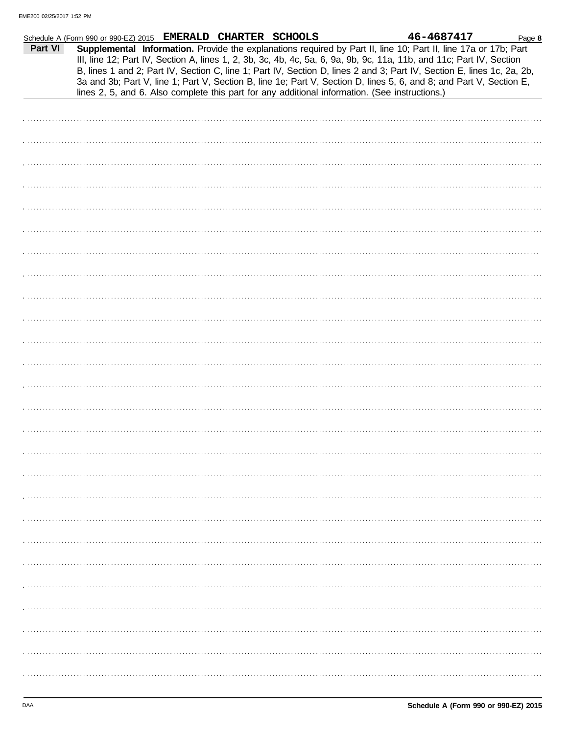|         | Schedule A (Form 990 or 990-EZ) 2015 EMERALD CHARTER SCHOOLS |  |                                                                                                | 46-4687417                                                                                                                                                                                                                                                                                                                                                                                                                                                                               | Page 8 |
|---------|--------------------------------------------------------------|--|------------------------------------------------------------------------------------------------|------------------------------------------------------------------------------------------------------------------------------------------------------------------------------------------------------------------------------------------------------------------------------------------------------------------------------------------------------------------------------------------------------------------------------------------------------------------------------------------|--------|
| Part VI |                                                              |  |                                                                                                | Supplemental Information. Provide the explanations required by Part II, line 10; Part II, line 17a or 17b; Part<br>III, line 12; Part IV, Section A, lines 1, 2, 3b, 3c, 4b, 4c, 5a, 6, 9a, 9b, 9c, 11a, 11b, and 11c; Part IV, Section<br>B, lines 1 and 2; Part IV, Section C, line 1; Part IV, Section D, lines 2 and 3; Part IV, Section E, lines 1c, 2a, 2b,<br>3a and 3b; Part V, line 1; Part V, Section B, line 1e; Part V, Section D, lines 5, 6, and 8; and Part V, Section E, |        |
|         |                                                              |  | lines 2, 5, and 6. Also complete this part for any additional information. (See instructions.) |                                                                                                                                                                                                                                                                                                                                                                                                                                                                                          |        |
|         |                                                              |  |                                                                                                |                                                                                                                                                                                                                                                                                                                                                                                                                                                                                          |        |
|         |                                                              |  |                                                                                                |                                                                                                                                                                                                                                                                                                                                                                                                                                                                                          |        |
|         |                                                              |  |                                                                                                |                                                                                                                                                                                                                                                                                                                                                                                                                                                                                          |        |
|         |                                                              |  |                                                                                                |                                                                                                                                                                                                                                                                                                                                                                                                                                                                                          |        |
|         |                                                              |  |                                                                                                |                                                                                                                                                                                                                                                                                                                                                                                                                                                                                          |        |
|         |                                                              |  |                                                                                                |                                                                                                                                                                                                                                                                                                                                                                                                                                                                                          |        |
|         |                                                              |  |                                                                                                |                                                                                                                                                                                                                                                                                                                                                                                                                                                                                          |        |
|         |                                                              |  |                                                                                                |                                                                                                                                                                                                                                                                                                                                                                                                                                                                                          |        |
|         |                                                              |  |                                                                                                |                                                                                                                                                                                                                                                                                                                                                                                                                                                                                          |        |
|         |                                                              |  |                                                                                                |                                                                                                                                                                                                                                                                                                                                                                                                                                                                                          |        |
|         |                                                              |  |                                                                                                |                                                                                                                                                                                                                                                                                                                                                                                                                                                                                          |        |
|         |                                                              |  |                                                                                                |                                                                                                                                                                                                                                                                                                                                                                                                                                                                                          |        |
|         |                                                              |  |                                                                                                |                                                                                                                                                                                                                                                                                                                                                                                                                                                                                          |        |
|         |                                                              |  |                                                                                                |                                                                                                                                                                                                                                                                                                                                                                                                                                                                                          |        |
|         |                                                              |  |                                                                                                |                                                                                                                                                                                                                                                                                                                                                                                                                                                                                          |        |
|         |                                                              |  |                                                                                                |                                                                                                                                                                                                                                                                                                                                                                                                                                                                                          |        |
|         |                                                              |  |                                                                                                |                                                                                                                                                                                                                                                                                                                                                                                                                                                                                          |        |
|         |                                                              |  |                                                                                                |                                                                                                                                                                                                                                                                                                                                                                                                                                                                                          |        |
|         |                                                              |  |                                                                                                |                                                                                                                                                                                                                                                                                                                                                                                                                                                                                          |        |
|         |                                                              |  |                                                                                                |                                                                                                                                                                                                                                                                                                                                                                                                                                                                                          |        |
|         |                                                              |  |                                                                                                |                                                                                                                                                                                                                                                                                                                                                                                                                                                                                          |        |
|         |                                                              |  |                                                                                                |                                                                                                                                                                                                                                                                                                                                                                                                                                                                                          |        |
|         |                                                              |  |                                                                                                |                                                                                                                                                                                                                                                                                                                                                                                                                                                                                          |        |
|         |                                                              |  |                                                                                                |                                                                                                                                                                                                                                                                                                                                                                                                                                                                                          |        |
|         |                                                              |  |                                                                                                |                                                                                                                                                                                                                                                                                                                                                                                                                                                                                          |        |
|         |                                                              |  |                                                                                                |                                                                                                                                                                                                                                                                                                                                                                                                                                                                                          |        |
|         |                                                              |  |                                                                                                |                                                                                                                                                                                                                                                                                                                                                                                                                                                                                          |        |
|         |                                                              |  |                                                                                                |                                                                                                                                                                                                                                                                                                                                                                                                                                                                                          |        |
|         |                                                              |  |                                                                                                |                                                                                                                                                                                                                                                                                                                                                                                                                                                                                          |        |
|         |                                                              |  |                                                                                                |                                                                                                                                                                                                                                                                                                                                                                                                                                                                                          |        |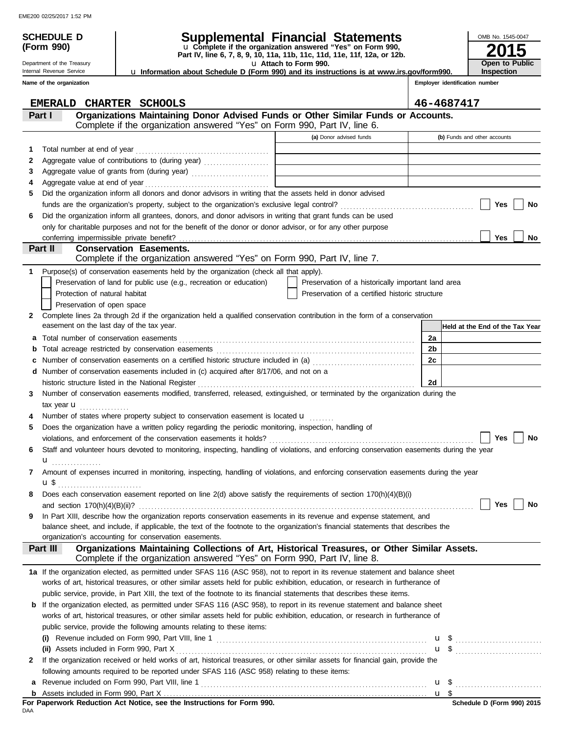# **(Form 990)**

Department of the Treasury Internal Revenue Service **Name of the organization**

## **SCHEDULE D Supplemental Financial Statements**

u **Attach to Form 990. Part IV, line 6, 7, 8, 9, 10, 11a, 11b, 11c, 11d, 11e, 11f, 12a, or 12b.** u **Complete if the organization answered "Yes" on Form 990,**

u **Information about Schedule D (Form 990) and its instructions is at www.irs.gov/form990.**

**Employer identification number**

|              | <b>CHARTER SCHOOLS</b><br><b>EMERALD</b>                                                                                                  |                                                    | 46-4687417                                                   |
|--------------|-------------------------------------------------------------------------------------------------------------------------------------------|----------------------------------------------------|--------------------------------------------------------------|
|              | Organizations Maintaining Donor Advised Funds or Other Similar Funds or Accounts.<br>Part I                                               |                                                    |                                                              |
|              | Complete if the organization answered "Yes" on Form 990, Part IV, line 6.                                                                 |                                                    |                                                              |
|              |                                                                                                                                           | (a) Donor advised funds                            | (b) Funds and other accounts                                 |
| 1.           | Total number at end of year                                                                                                               |                                                    |                                                              |
| 2            | Aggregate value of contributions to (during year)                                                                                         |                                                    |                                                              |
| 3            |                                                                                                                                           | <u> 1980 - Johann Barbara, martxa alemaniar a</u>  |                                                              |
| 4            |                                                                                                                                           |                                                    |                                                              |
| 5            | Did the organization inform all donors and donor advisors in writing that the assets held in donor advised                                |                                                    |                                                              |
|              |                                                                                                                                           |                                                    | Yes<br>No                                                    |
| 6            | Did the organization inform all grantees, donors, and donor advisors in writing that grant funds can be used                              |                                                    |                                                              |
|              | only for charitable purposes and not for the benefit of the donor or donor advisor, or for any other purpose                              |                                                    |                                                              |
|              |                                                                                                                                           |                                                    | Yes<br>No                                                    |
|              | Part II<br><b>Conservation Easements.</b>                                                                                                 |                                                    |                                                              |
|              | Complete if the organization answered "Yes" on Form 990, Part IV, line 7.                                                                 |                                                    |                                                              |
| 1.           | Purpose(s) of conservation easements held by the organization (check all that apply).                                                     |                                                    |                                                              |
|              | Preservation of land for public use (e.g., recreation or education)                                                                       | Preservation of a historically important land area |                                                              |
|              | Protection of natural habitat                                                                                                             | Preservation of a certified historic structure     |                                                              |
|              | Preservation of open space                                                                                                                |                                                    |                                                              |
| $\mathbf{2}$ | Complete lines 2a through 2d if the organization held a qualified conservation contribution in the form of a conservation                 |                                                    |                                                              |
|              | easement on the last day of the tax year.                                                                                                 |                                                    | Held at the End of the Tax Year                              |
| а            |                                                                                                                                           |                                                    | 2a                                                           |
| b            |                                                                                                                                           |                                                    | 2b                                                           |
| с            | Number of conservation easements on a certified historic structure included in (a) [[[[[ [ [ ]]]                                          |                                                    | 2c                                                           |
| d            | Number of conservation easements included in (c) acquired after 8/17/06, and not on a                                                     |                                                    |                                                              |
|              | historic structure listed in the National Register                                                                                        |                                                    | 2d                                                           |
| 3.           | Number of conservation easements modified, transferred, released, extinguished, or terminated by the organization during the              |                                                    |                                                              |
|              | tax year $\mathsf{u}$                                                                                                                     |                                                    |                                                              |
| 4            | Number of states where property subject to conservation easement is located u                                                             |                                                    |                                                              |
| 5            | Does the organization have a written policy regarding the periodic monitoring, inspection, handling of                                    |                                                    |                                                              |
|              | violations, and enforcement of the conservation easements it holds?                                                                       |                                                    | Yes<br>No                                                    |
| 6            | Staff and volunteer hours devoted to monitoring, inspecting, handling of violations, and enforcing conservation easements during the year |                                                    |                                                              |
|              | u                                                                                                                                         |                                                    |                                                              |
| 7            | Amount of expenses incurred in monitoring, inspecting, handling of violations, and enforcing conservation easements during the year       |                                                    |                                                              |
|              |                                                                                                                                           |                                                    |                                                              |
| 8            | u\$<br>Does each conservation easement reported on line 2(d) above satisfy the requirements of section 170(h)(4)(B)(i)                    |                                                    |                                                              |
|              |                                                                                                                                           |                                                    | Yes $\Box$<br><b>No</b>                                      |
| 9            | In Part XIII, describe how the organization reports conservation easements in its revenue and expense statement, and                      |                                                    |                                                              |
|              | balance sheet, and include, if applicable, the text of the footnote to the organization's financial statements that describes the         |                                                    |                                                              |
|              | organization's accounting for conservation easements.                                                                                     |                                                    |                                                              |
|              | Organizations Maintaining Collections of Art, Historical Treasures, or Other Similar Assets.<br>Part III                                  |                                                    |                                                              |
|              | Complete if the organization answered "Yes" on Form 990, Part IV, line 8.                                                                 |                                                    |                                                              |
|              | 1a If the organization elected, as permitted under SFAS 116 (ASC 958), not to report in its revenue statement and balance sheet           |                                                    |                                                              |
|              | works of art, historical treasures, or other similar assets held for public exhibition, education, or research in furtherance of          |                                                    |                                                              |
|              | public service, provide, in Part XIII, the text of the footnote to its financial statements that describes these items.                   |                                                    |                                                              |
|              | <b>b</b> If the organization elected, as permitted under SFAS 116 (ASC 958), to report in its revenue statement and balance sheet         |                                                    |                                                              |
|              | works of art, historical treasures, or other similar assets held for public exhibition, education, or research in furtherance of          |                                                    |                                                              |
|              | public service, provide the following amounts relating to these items:                                                                    |                                                    |                                                              |
|              |                                                                                                                                           |                                                    |                                                              |
|              |                                                                                                                                           |                                                    | $\mathsf{u}$ \$ $\ldots$ $\ldots$ $\ldots$ $\ldots$ $\ldots$ |
| 2            | If the organization received or held works of art, historical treasures, or other similar assets for financial gain, provide the          |                                                    |                                                              |
|              | following amounts required to be reported under SFAS 116 (ASC 958) relating to these items:                                               |                                                    |                                                              |
| а            |                                                                                                                                           |                                                    |                                                              |
| b            |                                                                                                                                           |                                                    |                                                              |

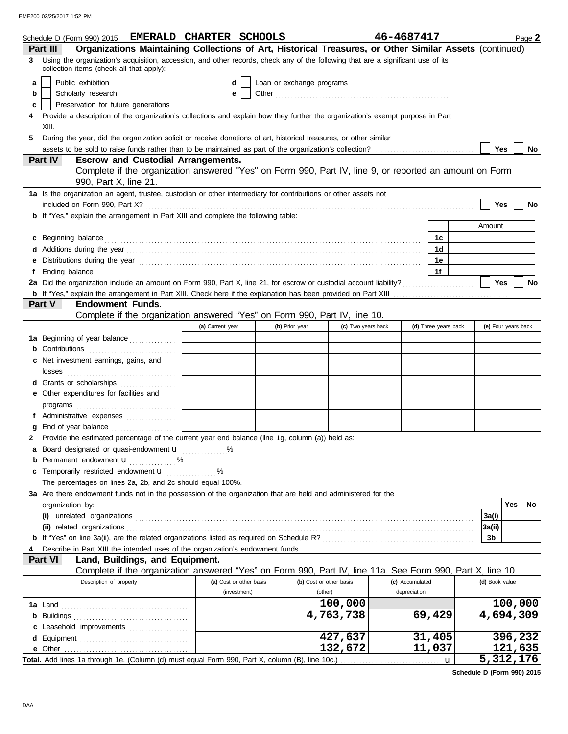|   | Schedule D (Form 990) 2015 EMERALD CHARTER SCHOOLS                                                                                                                                                                                  |                         |                           |                    | 46-4687417      |                      |                        |         | Page 2 |
|---|-------------------------------------------------------------------------------------------------------------------------------------------------------------------------------------------------------------------------------------|-------------------------|---------------------------|--------------------|-----------------|----------------------|------------------------|---------|--------|
|   | Organizations Maintaining Collections of Art, Historical Treasures, or Other Similar Assets (continued)<br>Part III                                                                                                                 |                         |                           |                    |                 |                      |                        |         |        |
| 3 | Using the organization's acquisition, accession, and other records, check any of the following that are a significant use of its<br>collection items (check all that apply):                                                        |                         |                           |                    |                 |                      |                        |         |        |
| a | Public exhibition                                                                                                                                                                                                                   |                         | Loan or exchange programs |                    |                 |                      |                        |         |        |
| b | Scholarly research                                                                                                                                                                                                                  | е                       |                           |                    |                 |                      |                        |         |        |
| c | Preservation for future generations                                                                                                                                                                                                 |                         |                           |                    |                 |                      |                        |         |        |
| 4 | Provide a description of the organization's collections and explain how they further the organization's exempt purpose in Part<br>XIII.                                                                                             |                         |                           |                    |                 |                      |                        |         |        |
| 5 | During the year, did the organization solicit or receive donations of art, historical treasures, or other similar                                                                                                                   |                         |                           |                    |                 |                      |                        |         |        |
|   |                                                                                                                                                                                                                                     |                         |                           |                    |                 |                      | Yes                    |         | No.    |
|   | Part IV<br><b>Escrow and Custodial Arrangements.</b>                                                                                                                                                                                |                         |                           |                    |                 |                      |                        |         |        |
|   | Complete if the organization answered "Yes" on Form 990, Part IV, line 9, or reported an amount on Form<br>990, Part X, line 21.                                                                                                    |                         |                           |                    |                 |                      |                        |         |        |
|   | 1a Is the organization an agent, trustee, custodian or other intermediary for contributions or other assets not                                                                                                                     |                         |                           |                    |                 |                      |                        |         |        |
|   |                                                                                                                                                                                                                                     |                         |                           |                    |                 |                      | Yes                    |         | No     |
|   | <b>b</b> If "Yes," explain the arrangement in Part XIII and complete the following table:                                                                                                                                           |                         |                           |                    |                 |                      |                        |         |        |
|   |                                                                                                                                                                                                                                     |                         |                           |                    |                 |                      | Amount                 |         |        |
| c |                                                                                                                                                                                                                                     |                         |                           |                    |                 | 1c                   |                        |         |        |
|   | Additions during the year contact the search contact the year contact the year contact the year contact the year                                                                                                                    |                         |                           |                    |                 | 1 <sub>d</sub>       |                        |         |        |
|   |                                                                                                                                                                                                                                     |                         |                           |                    |                 | 1e                   |                        |         |        |
|   | f Ending balance <b>constructs</b> and constructs and constructs and constructs and constructs and constructs and constructs and constructs and constructs and constructs and constructs and constructs and constructs and construc |                         |                           |                    |                 | 1f                   |                        |         |        |
|   | 2a Did the organization include an amount on Form 990, Part X, line 21, for escrow or custodial account liability?                                                                                                                  |                         |                           |                    |                 |                      | <b>Yes</b>             |         | No     |
|   |                                                                                                                                                                                                                                     |                         |                           |                    |                 |                      |                        |         |        |
|   | <b>Endowment Funds.</b><br>Part V                                                                                                                                                                                                   |                         |                           |                    |                 |                      |                        |         |        |
|   | Complete if the organization answered "Yes" on Form 990, Part IV, line 10.                                                                                                                                                          |                         |                           |                    |                 |                      |                        |         |        |
|   |                                                                                                                                                                                                                                     | (a) Current year        | (b) Prior year            | (c) Two years back |                 | (d) Three years back | (e) Four years back    |         |        |
|   | <b>1a</b> Beginning of year balance                                                                                                                                                                                                 |                         |                           |                    |                 |                      |                        |         |        |
|   | <b>b</b> Contributions <b>contributions</b>                                                                                                                                                                                         |                         |                           |                    |                 |                      |                        |         |        |
|   | c Net investment earnings, gains, and<br>losses                                                                                                                                                                                     |                         |                           |                    |                 |                      |                        |         |        |
|   | d Grants or scholarships                                                                                                                                                                                                            |                         |                           |                    |                 |                      |                        |         |        |
|   | e Other expenditures for facilities and                                                                                                                                                                                             |                         |                           |                    |                 |                      |                        |         |        |
|   | f Administrative expenses                                                                                                                                                                                                           |                         |                           |                    |                 |                      |                        |         |        |
|   |                                                                                                                                                                                                                                     |                         |                           |                    |                 |                      |                        |         |        |
| 2 | Provide the estimated percentage of the current year end balance (line 1g, column (a)) held as:                                                                                                                                     |                         |                           |                    |                 |                      |                        |         |        |
|   | a Board designated or quasi-endowment u                                                                                                                                                                                             |                         |                           |                    |                 |                      |                        |         |        |
|   | <b>b</b> Permanent endowment <b>u</b><br>. %                                                                                                                                                                                        |                         |                           |                    |                 |                      |                        |         |        |
|   | c Temporarily restricted endowment u                                                                                                                                                                                                |                         |                           |                    |                 |                      |                        |         |        |
|   | The percentages on lines 2a, 2b, and 2c should equal 100%.                                                                                                                                                                          |                         |                           |                    |                 |                      |                        |         |        |
|   | 3a Are there endowment funds not in the possession of the organization that are held and administered for the                                                                                                                       |                         |                           |                    |                 |                      |                        |         |        |
|   | organization by:                                                                                                                                                                                                                    |                         |                           |                    |                 |                      |                        | Yes     | No     |
|   |                                                                                                                                                                                                                                     |                         |                           |                    |                 |                      | 3a(i)                  |         |        |
|   |                                                                                                                                                                                                                                     |                         |                           |                    |                 |                      | 3a(ii)                 |         |        |
|   |                                                                                                                                                                                                                                     |                         |                           |                    |                 |                      | 3b                     |         |        |
|   | Describe in Part XIII the intended uses of the organization's endowment funds.                                                                                                                                                      |                         |                           |                    |                 |                      |                        |         |        |
|   | Land, Buildings, and Equipment.<br>Part VI<br>Complete if the organization answered "Yes" on Form 990, Part IV, line 11a. See Form 990, Part X, line 10.                                                                            |                         |                           |                    |                 |                      |                        |         |        |
|   | Description of property                                                                                                                                                                                                             | (a) Cost or other basis | (b) Cost or other basis   |                    | (c) Accumulated |                      | (d) Book value         |         |        |
|   |                                                                                                                                                                                                                                     | (investment)            | (other)                   |                    | depreciation    |                      |                        |         |        |
|   |                                                                                                                                                                                                                                     |                         |                           | 100,000            |                 |                      |                        | 100,000 |        |
|   |                                                                                                                                                                                                                                     |                         |                           | 4,763,738          |                 | 69,429               | 4,694,309              |         |        |
|   | c Leasehold improvements                                                                                                                                                                                                            |                         |                           |                    |                 |                      |                        |         |        |
|   |                                                                                                                                                                                                                                     |                         |                           | 427,637            |                 | 31,405               |                        | 396,232 |        |
|   | e Other                                                                                                                                                                                                                             |                         |                           | 132,672            |                 | 11,037               |                        | 121,635 |        |
|   | Total. Add lines 1a through 1e. (Column (d) must equal Form 990, Part X, column (B), line 10c.)                                                                                                                                     |                         |                           |                    |                 | u                    | $\overline{5,312,176}$ |         |        |

**Schedule D (Form 990) 2015**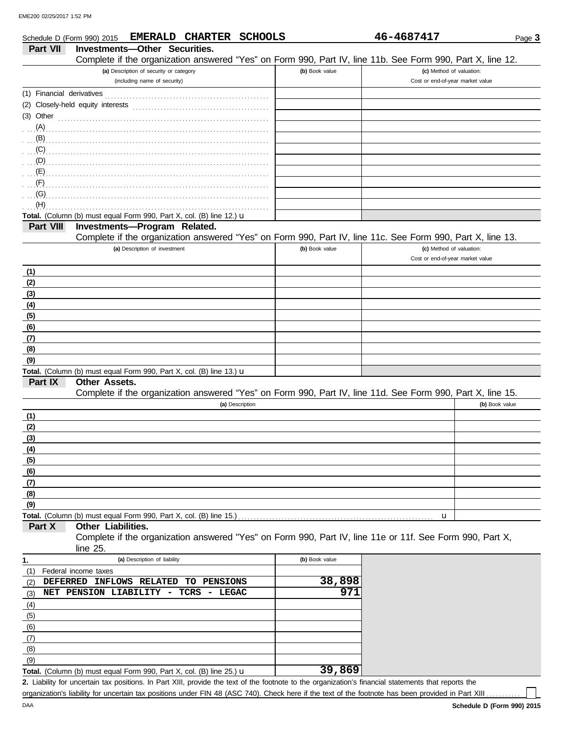|                        | EMERALD CHARTER SCHOOLS<br>Schedule D (Form 990) 2015                                                      |                | 46-4687417                                                   | Page 3         |
|------------------------|------------------------------------------------------------------------------------------------------------|----------------|--------------------------------------------------------------|----------------|
| Part VII               | Investments-Other Securities.                                                                              |                |                                                              |                |
|                        | Complete if the organization answered "Yes" on Form 990, Part IV, line 11b. See Form 990, Part X, line 12. |                |                                                              |                |
|                        | (a) Description of security or category                                                                    | (b) Book value | (c) Method of valuation:                                     |                |
|                        | (including name of security)                                                                               |                | Cost or end-of-year market value                             |                |
|                        |                                                                                                            |                |                                                              |                |
| (2)                    | Closely-held equity interests                                                                              |                |                                                              |                |
|                        | (3) Other $\qquad \qquad \qquad \qquad$                                                                    |                |                                                              |                |
|                        | (A)                                                                                                        |                |                                                              |                |
|                        | (B)                                                                                                        |                |                                                              |                |
| (C)                    |                                                                                                            |                |                                                              |                |
| (D)                    |                                                                                                            |                |                                                              |                |
| (E)                    |                                                                                                            |                |                                                              |                |
|                        |                                                                                                            |                |                                                              |                |
| (F)                    |                                                                                                            |                |                                                              |                |
| (G)                    |                                                                                                            |                |                                                              |                |
| (H)                    |                                                                                                            |                |                                                              |                |
|                        | Total. (Column (b) must equal Form 990, Part X, col. (B) line 12.) u                                       |                |                                                              |                |
| Part VIII              | Investments-Program Related.                                                                               |                |                                                              |                |
|                        | Complete if the organization answered "Yes" on Form 990, Part IV, line 11c. See Form 990, Part X, line 13. |                |                                                              |                |
|                        | (a) Description of investment                                                                              | (b) Book value | (c) Method of valuation:<br>Cost or end-of-year market value |                |
|                        |                                                                                                            |                |                                                              |                |
| (1)                    |                                                                                                            |                |                                                              |                |
| (2)                    |                                                                                                            |                |                                                              |                |
| (3)                    |                                                                                                            |                |                                                              |                |
| (4)                    |                                                                                                            |                |                                                              |                |
| (5)                    |                                                                                                            |                |                                                              |                |
| (6)                    |                                                                                                            |                |                                                              |                |
| (7)                    |                                                                                                            |                |                                                              |                |
| (8)                    |                                                                                                            |                |                                                              |                |
| (9)                    |                                                                                                            |                |                                                              |                |
|                        | Total. (Column (b) must equal Form 990, Part X, col. (B) line 13.) u                                       |                |                                                              |                |
| Part IX                | Other Assets.                                                                                              |                |                                                              |                |
|                        | Complete if the organization answered "Yes" on Form 990, Part IV, line 11d. See Form 990, Part X, line 15. |                |                                                              |                |
|                        | (a) Description                                                                                            |                |                                                              | (b) Book value |
| (1)                    |                                                                                                            |                |                                                              |                |
| (2)                    |                                                                                                            |                |                                                              |                |
| (3)                    |                                                                                                            |                |                                                              |                |
| (4)                    |                                                                                                            |                |                                                              |                |
| (5)                    |                                                                                                            |                |                                                              |                |
| (6)                    |                                                                                                            |                |                                                              |                |
| (7)                    |                                                                                                            |                |                                                              |                |
| (8)                    |                                                                                                            |                |                                                              |                |
| (9)                    |                                                                                                            |                |                                                              |                |
|                        | Total. (Column (b) must equal Form 990, Part X, col. (B) line 15.)                                         |                | u                                                            |                |
| Part X                 | Other Liabilities.                                                                                         |                |                                                              |                |
|                        | Complete if the organization answered "Yes" on Form 990, Part IV, line 11e or 11f. See Form 990, Part X,   |                |                                                              |                |
|                        | line 25.                                                                                                   |                |                                                              |                |
| 1.                     | (a) Description of liability                                                                               | (b) Book value |                                                              |                |
| (1)                    | Federal income taxes                                                                                       |                |                                                              |                |
| <b>DEFERRED</b><br>(2) | INFLOWS RELATED<br><b>PENSIONS</b><br>TO                                                                   | 38,898         |                                                              |                |
| (3)                    | NET PENSION LIABILITY -<br>TCRS<br>LEGAC<br>$\overline{\phantom{a}}$                                       | 971            |                                                              |                |
| (4)                    |                                                                                                            |                |                                                              |                |
| (5)                    |                                                                                                            |                |                                                              |                |
|                        |                                                                                                            |                |                                                              |                |
| (6)                    |                                                                                                            |                |                                                              |                |
| (7)                    |                                                                                                            |                |                                                              |                |
| (8)                    |                                                                                                            |                |                                                              |                |
| (9)                    |                                                                                                            |                |                                                              |                |

| <b>Total.</b> (Column (b) must equal Form 990, Part X, col. (B) line 25.) <b>u</b> |  |
|------------------------------------------------------------------------------------|--|

Liability for uncertain tax positions. In Part XIII, provide the text of the footnote to the organization's financial statements that reports the **2.** organization's liability for uncertain tax positions under FIN 48 (ASC 740). Check here if the text of the footnote has been provided in Part XIII . . . . . . .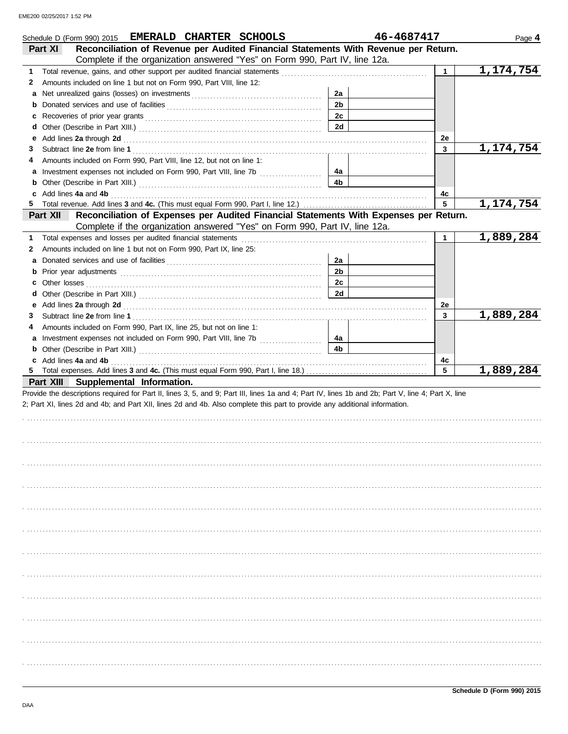|   | Schedule D (Form 990) 2015 EMERALD CHARTER SCHOOLS                                                                                                                                                                            |                | 46-4687417   | Page 4    |
|---|-------------------------------------------------------------------------------------------------------------------------------------------------------------------------------------------------------------------------------|----------------|--------------|-----------|
|   | Reconciliation of Revenue per Audited Financial Statements With Revenue per Return.<br>Part XI                                                                                                                                |                |              |           |
|   | Complete if the organization answered "Yes" on Form 990, Part IV, line 12a.                                                                                                                                                   |                |              |           |
| 1 |                                                                                                                                                                                                                               |                | $\mathbf{1}$ | 1,174,754 |
| 2 | Amounts included on line 1 but not on Form 990, Part VIII, line 12:                                                                                                                                                           |                |              |           |
| а |                                                                                                                                                                                                                               | 2a             |              |           |
| b |                                                                                                                                                                                                                               | 2 <sub>b</sub> |              |           |
| c |                                                                                                                                                                                                                               | 2c             |              |           |
| d |                                                                                                                                                                                                                               | 2d             |              |           |
| е | Add lines 2a through 2d [11] And The Contract of the Contract of the Contract of the Contract of the Contract of the Contract of the Contract of the Contract of the Contract of the Contract of the Contract of the Contract |                | 2e           |           |
| 3 |                                                                                                                                                                                                                               |                | 3            | 1,174,754 |
| 4 | Amounts included on Form 990, Part VIII, line 12, but not on line 1:                                                                                                                                                          |                |              |           |
| a |                                                                                                                                                                                                                               | 4a             |              |           |
| b |                                                                                                                                                                                                                               | 4b             |              |           |
|   | c Add lines 4a and 4b                                                                                                                                                                                                         |                | 4с           |           |
|   |                                                                                                                                                                                                                               |                | 5            | 1,174,754 |
|   | Reconciliation of Expenses per Audited Financial Statements With Expenses per Return.<br>Part XII                                                                                                                             |                |              |           |
|   | Complete if the organization answered "Yes" on Form 990, Part IV, line 12a.                                                                                                                                                   |                |              |           |
| 1 |                                                                                                                                                                                                                               |                | 1            | 1,889,284 |
| 2 | Amounts included on line 1 but not on Form 990, Part IX, line 25:                                                                                                                                                             |                |              |           |
|   |                                                                                                                                                                                                                               |                |              |           |
| а |                                                                                                                                                                                                                               | 2a             |              |           |
| b |                                                                                                                                                                                                                               | 2 <sub>b</sub> |              |           |
|   |                                                                                                                                                                                                                               | 2c             |              |           |
| d |                                                                                                                                                                                                                               | 2d             |              |           |
| е |                                                                                                                                                                                                                               |                | 2e           |           |
| 3 |                                                                                                                                                                                                                               |                | 3            | 1,889,284 |
| 4 | Amounts included on Form 990, Part IX, line 25, but not on line 1:                                                                                                                                                            |                |              |           |
|   | a Investment expenses not included on Form 990, Part VIII, line 7b [                                                                                                                                                          | 4a             |              |           |
| b |                                                                                                                                                                                                                               | 4b             |              |           |
|   | c Add lines 4a and 4b                                                                                                                                                                                                         |                | 4с           |           |
| 5 |                                                                                                                                                                                                                               |                | 5            | 1,889,284 |
|   | Part XIII Supplemental Information.                                                                                                                                                                                           |                |              |           |
|   | Provide the descriptions required for Part II, lines 3, 5, and 9; Part III, lines 1a and 4; Part IV, lines 1b and 2b; Part V, line 4; Part X, line                                                                            |                |              |           |
|   | 2; Part XI, lines 2d and 4b; and Part XII, lines 2d and 4b. Also complete this part to provide any additional information.                                                                                                    |                |              |           |
|   |                                                                                                                                                                                                                               |                |              |           |
|   |                                                                                                                                                                                                                               |                |              |           |
|   |                                                                                                                                                                                                                               |                |              |           |
|   |                                                                                                                                                                                                                               |                |              |           |
|   |                                                                                                                                                                                                                               |                |              |           |
|   |                                                                                                                                                                                                                               |                |              |           |
|   |                                                                                                                                                                                                                               |                |              |           |
|   |                                                                                                                                                                                                                               |                |              |           |
|   |                                                                                                                                                                                                                               |                |              |           |
|   |                                                                                                                                                                                                                               |                |              |           |
|   |                                                                                                                                                                                                                               |                |              |           |
|   |                                                                                                                                                                                                                               |                |              |           |
|   |                                                                                                                                                                                                                               |                |              |           |
|   |                                                                                                                                                                                                                               |                |              |           |
|   |                                                                                                                                                                                                                               |                |              |           |
|   |                                                                                                                                                                                                                               |                |              |           |
|   |                                                                                                                                                                                                                               |                |              |           |
|   |                                                                                                                                                                                                                               |                |              |           |
|   |                                                                                                                                                                                                                               |                |              |           |
|   |                                                                                                                                                                                                                               |                |              |           |
|   |                                                                                                                                                                                                                               |                |              |           |
|   |                                                                                                                                                                                                                               |                |              |           |
|   |                                                                                                                                                                                                                               |                |              |           |
|   |                                                                                                                                                                                                                               |                |              |           |
|   |                                                                                                                                                                                                                               |                |              |           |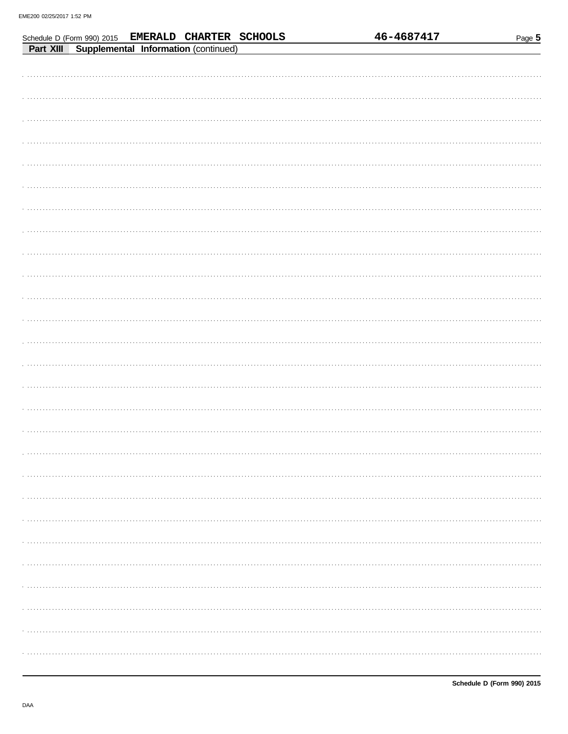|           |  |                                             | Schedule D (Form 990) 2015 EMERALD CHARTER SCHOOLS | 46-4687417 | Page 5 |
|-----------|--|---------------------------------------------|----------------------------------------------------|------------|--------|
| Part XIII |  | <b>Supplemental Information (continued)</b> |                                                    |            |        |
|           |  |                                             |                                                    |            |        |
|           |  |                                             |                                                    |            |        |
|           |  |                                             |                                                    |            |        |
|           |  |                                             |                                                    |            |        |
|           |  |                                             |                                                    |            |        |
|           |  |                                             |                                                    |            |        |
|           |  |                                             |                                                    |            |        |
|           |  |                                             |                                                    |            |        |
|           |  |                                             |                                                    |            |        |
|           |  |                                             |                                                    |            |        |
|           |  |                                             |                                                    |            |        |
|           |  |                                             |                                                    |            |        |
|           |  |                                             |                                                    |            |        |
|           |  |                                             |                                                    |            |        |
|           |  |                                             |                                                    |            |        |
|           |  |                                             |                                                    |            |        |
|           |  |                                             |                                                    |            |        |
|           |  |                                             |                                                    |            |        |
|           |  |                                             |                                                    |            |        |
|           |  |                                             |                                                    |            |        |
|           |  |                                             |                                                    |            |        |
|           |  |                                             |                                                    |            |        |
|           |  |                                             |                                                    |            |        |
|           |  |                                             |                                                    |            |        |
|           |  |                                             |                                                    |            |        |
|           |  |                                             |                                                    |            |        |
|           |  |                                             |                                                    |            |        |
|           |  |                                             |                                                    |            |        |
|           |  |                                             |                                                    |            |        |
|           |  |                                             |                                                    |            |        |
|           |  |                                             |                                                    |            |        |
|           |  |                                             |                                                    |            |        |
|           |  |                                             |                                                    |            |        |
|           |  |                                             |                                                    |            |        |
|           |  |                                             |                                                    |            |        |
|           |  |                                             |                                                    |            |        |
|           |  |                                             |                                                    |            |        |
|           |  |                                             |                                                    |            |        |
|           |  |                                             |                                                    |            |        |
|           |  |                                             |                                                    |            |        |
|           |  |                                             |                                                    |            |        |
|           |  |                                             |                                                    |            |        |
|           |  |                                             |                                                    |            |        |
|           |  |                                             |                                                    |            |        |
|           |  |                                             |                                                    |            |        |
|           |  |                                             |                                                    |            |        |
|           |  |                                             |                                                    |            |        |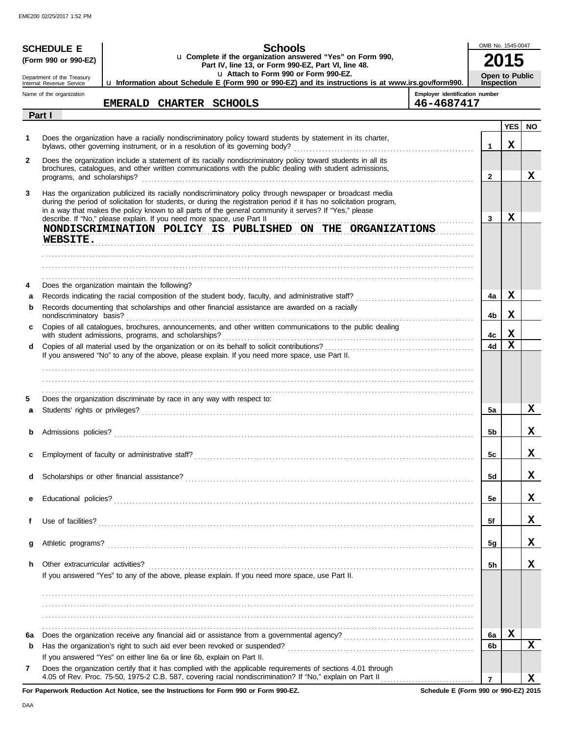|                   | <b>SCHEDULE E</b><br>(Form 990 or 990-EZ)                               |                |                 | <b>Schools</b><br>L Complete if the organization answered "Yes" on Form 990,<br>Part IV, line 13, or Form 990-EZ, Part VI, line 48.                                                                                                                                                                                                          |  |                                              | OMB No. 1545-0047                          |                 |           |
|-------------------|-------------------------------------------------------------------------|----------------|-----------------|----------------------------------------------------------------------------------------------------------------------------------------------------------------------------------------------------------------------------------------------------------------------------------------------------------------------------------------------|--|----------------------------------------------|--------------------------------------------|-----------------|-----------|
|                   | Department of the Treasury<br>Internal Revenue Service                  |                |                 | U Attach to Form 990 or Form 990-EZ.<br>U Information about Schedule E (Form 990 or 990-EZ) and its instructions is at www.irs.gov/form990.                                                                                                                                                                                                  |  |                                              | <b>Open to Public</b><br><b>Inspection</b> |                 |           |
|                   | Name of the organization                                                | <b>EMERALD</b> | CHARTER SCHOOLS |                                                                                                                                                                                                                                                                                                                                              |  | Employer identification number<br>46-4687417 |                                            |                 |           |
|                   | Part I                                                                  |                |                 |                                                                                                                                                                                                                                                                                                                                              |  |                                              |                                            |                 |           |
| 1                 |                                                                         |                |                 | Does the organization have a racially nondiscriminatory policy toward students by statement in its charter,                                                                                                                                                                                                                                  |  |                                              | 1                                          | <b>YES</b><br>X | <b>NO</b> |
| $\mathbf{2}$      |                                                                         |                |                 | Does the organization include a statement of its racially nondiscriminatory policy toward students in all its<br>brochures, catalogues, and other written communications with the public dealing with student admissions,                                                                                                                    |  |                                              | $\overline{2}$                             |                 | х         |
| 3                 | describe. If "No," please explain. If you need more space, use Part II  |                |                 | Has the organization publicized its racially nondiscriminatory policy through newspaper or broadcast media<br>during the period of solicitation for students, or during the registration period if it has no solicitation program,<br>in a way that makes the policy known to all parts of the general community it serves? If "Yes," please |  |                                              | 3                                          | x               |           |
|                   | WEBSITE.                                                                |                |                 | NONDISCRIMINATION POLICY IS PUBLISHED ON THE ORGANIZATIONS                                                                                                                                                                                                                                                                                   |  |                                              |                                            |                 |           |
| 4                 | Does the organization maintain the following?                           |                |                 |                                                                                                                                                                                                                                                                                                                                              |  |                                              |                                            |                 |           |
| a                 |                                                                         |                |                 |                                                                                                                                                                                                                                                                                                                                              |  |                                              | 4a                                         | х               |           |
| b                 |                                                                         |                |                 | Records documenting that scholarships and other financial assistance are awarded on a racially                                                                                                                                                                                                                                               |  |                                              | 4b                                         | х               |           |
| C                 | with student admissions, programs, and scholarships?                    |                |                 | Copies of all catalogues, brochures, announcements, and other written communications to the public dealing                                                                                                                                                                                                                                   |  |                                              |                                            | х               |           |
| d                 |                                                                         |                |                 |                                                                                                                                                                                                                                                                                                                                              |  |                                              | 4с<br>4d                                   | X               |           |
| 5                 | Does the organization discriminate by race in any way with respect to:  |                |                 | If you answered "No" to any of the above, please explain. If you need more space, use Part II.                                                                                                                                                                                                                                               |  |                                              |                                            |                 |           |
| a                 |                                                                         |                |                 |                                                                                                                                                                                                                                                                                                                                              |  |                                              | 5a                                         |                 | x         |
|                   |                                                                         |                |                 |                                                                                                                                                                                                                                                                                                                                              |  |                                              | 5b                                         |                 | х         |
| C                 |                                                                         |                |                 |                                                                                                                                                                                                                                                                                                                                              |  |                                              | 5c                                         |                 | X         |
| d                 | Scholarships or other financial assistance?                             |                |                 |                                                                                                                                                                                                                                                                                                                                              |  |                                              | 5d                                         |                 | х         |
| е                 |                                                                         |                |                 |                                                                                                                                                                                                                                                                                                                                              |  |                                              | <b>5e</b>                                  |                 | х         |
| f                 | Use of facilities?                                                      |                |                 |                                                                                                                                                                                                                                                                                                                                              |  |                                              | <b>5f</b>                                  |                 | х         |
| g                 | Athletic programs?                                                      |                |                 |                                                                                                                                                                                                                                                                                                                                              |  |                                              | 5g                                         |                 | х         |
| h                 | Other extracurricular activities?                                       |                |                 |                                                                                                                                                                                                                                                                                                                                              |  |                                              | 5h                                         |                 | x         |
|                   |                                                                         |                |                 | If you answered "Yes" to any of the above, please explain. If you need more space, use Part II.                                                                                                                                                                                                                                              |  |                                              |                                            |                 |           |
|                   |                                                                         |                |                 |                                                                                                                                                                                                                                                                                                                                              |  |                                              |                                            |                 |           |
|                   |                                                                         |                |                 |                                                                                                                                                                                                                                                                                                                                              |  |                                              |                                            |                 |           |
|                   |                                                                         |                |                 |                                                                                                                                                                                                                                                                                                                                              |  |                                              |                                            |                 |           |
| 6а<br>$\mathbf b$ |                                                                         |                |                 |                                                                                                                                                                                                                                                                                                                                              |  |                                              | 6a<br>6b                                   | X               | X         |
|                   | If you answered "Yes" on either line 6a or line 6b, explain on Part II. |                |                 |                                                                                                                                                                                                                                                                                                                                              |  |                                              |                                            |                 |           |
| 7                 |                                                                         |                |                 | Does the organization certify that it has complied with the applicable requirements of sections 4.01 through<br>4.05 of Rev. Proc. 75-50, 1975-2 C.B. 587, covering racial nondiscrimination? If "No," explain on Part II                                                                                                                    |  |                                              | 7                                          |                 | X.        |

**For Paperwork Reduction Act Notice, see the Instructions for Form 990 or Form 990-EZ.**

**Schedule E (Form 990 or 990-EZ) 2015**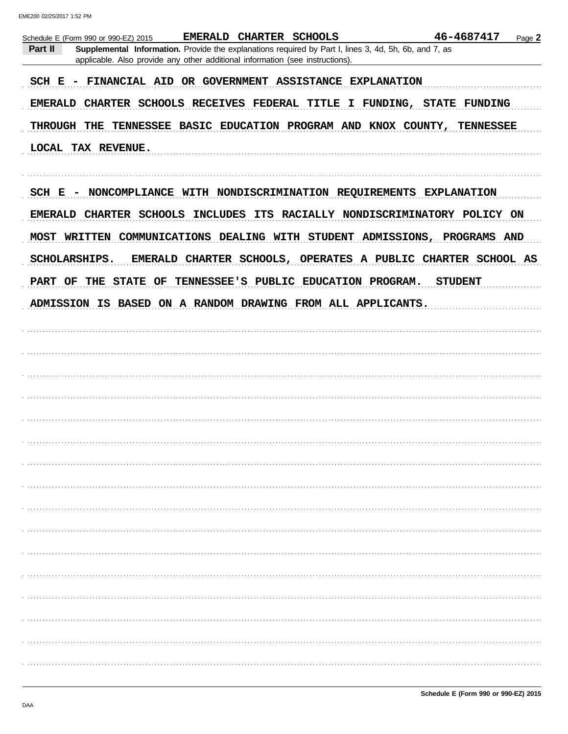| 46-4687417<br>EMERALD CHARTER SCHOOLS<br>Page 2<br>Schedule E (Form 990 or 990-EZ) 2015                                                                                                           |
|---------------------------------------------------------------------------------------------------------------------------------------------------------------------------------------------------|
| Part II<br>Supplemental Information. Provide the explanations required by Part I, lines 3, 4d, 5h, 6b, and 7, as<br>applicable. Also provide any other additional information (see instructions). |
| SCH E - FINANCIAL AID OR GOVERNMENT ASSISTANCE EXPLANATION                                                                                                                                        |
| EMERALD CHARTER SCHOOLS RECEIVES FEDERAL TITLE I FUNDING, STATE FUNDING                                                                                                                           |
| THROUGH THE TENNESSEE BASIC EDUCATION PROGRAM AND KNOX COUNTY, TENNESSEE                                                                                                                          |
| LOCAL TAX REVENUE.                                                                                                                                                                                |
| SCH E - NONCOMPLIANCE WITH NONDISCRIMINATION REQUIREMENTS EXPLANATION                                                                                                                             |
| EMERALD CHARTER SCHOOLS INCLUDES ITS RACIALLY NONDISCRIMINATORY POLICY ON                                                                                                                         |
| MOST WRITTEN COMMUNICATIONS DEALING WITH STUDENT ADMISSIONS, PROGRAMS AND                                                                                                                         |
| EMERALD CHARTER SCHOOLS, OPERATES A PUBLIC CHARTER SCHOOL AS<br><b>SCHOLARSHIPS.</b>                                                                                                              |
| PART OF THE STATE OF TENNESSEE'S PUBLIC EDUCATION PROGRAM.<br>STUDENT                                                                                                                             |
| ADMISSION IS BASED ON A RANDOM DRAWING FROM ALL APPLICANTS.                                                                                                                                       |
|                                                                                                                                                                                                   |
|                                                                                                                                                                                                   |
|                                                                                                                                                                                                   |
|                                                                                                                                                                                                   |
|                                                                                                                                                                                                   |
|                                                                                                                                                                                                   |
|                                                                                                                                                                                                   |
|                                                                                                                                                                                                   |
|                                                                                                                                                                                                   |
|                                                                                                                                                                                                   |
|                                                                                                                                                                                                   |
|                                                                                                                                                                                                   |
|                                                                                                                                                                                                   |
|                                                                                                                                                                                                   |
|                                                                                                                                                                                                   |
|                                                                                                                                                                                                   |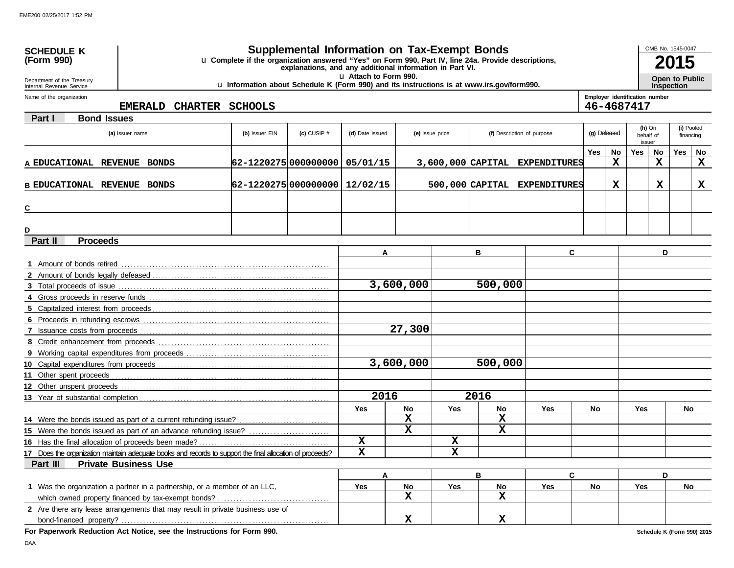| <b>SCHEDULE K</b>                                                                                         |                                                                                                      | <b>Supplemental Information on Tax-Exempt Bonds</b>      |                         |                 |             |             |                                |              |                   |                                 |                          | OMB No. 1545-0047       |                   |
|-----------------------------------------------------------------------------------------------------------|------------------------------------------------------------------------------------------------------|----------------------------------------------------------|-------------------------|-----------------|-------------|-------------|--------------------------------|--------------|-------------------|---------------------------------|--------------------------|-------------------------|-------------------|
| (Form 990)                                                                                                | La Complete if the organization answered "Yes" on Form 990, Part IV, line 24a. Provide descriptions, | explanations, and any additional information in Part VI. |                         |                 |             |             |                                |              |                   |                                 |                          |                         |                   |
| Department of the Treasury<br>Internal Revenue Service                                                    | U Information about Schedule K (Form 990) and its instructions is at www.irs.gov/form990.            |                                                          | U Attach to Form 990.   |                 |             |             |                                |              |                   |                                 | <b>Inspection</b>        | <b>Open to Public</b>   |                   |
| Name of the organization                                                                                  |                                                                                                      |                                                          |                         |                 |             |             |                                |              |                   | Employer identification number  |                          |                         |                   |
| EMERALD CHARTER SCHOOLS                                                                                   |                                                                                                      |                                                          |                         |                 |             |             |                                |              |                   | 46-4687417                      |                          |                         |                   |
| <b>Bond Issues</b><br>Part I                                                                              |                                                                                                      |                                                          |                         |                 |             |             |                                |              |                   |                                 |                          |                         |                   |
| (a) Issuer name                                                                                           | (b) Issuer EIN                                                                                       | (c) CUSIP $#$                                            | (d) Date issued         | (e) Issue price |             |             | (f) Description of purpose     | (g) Defeased |                   | $(h)$ On<br>behalf of<br>issuer |                          | (i) Pooled<br>financing |                   |
| <b>A EDUCATIONAL REVENUE BONDS</b>                                                                        | 62-1220275 000000000 05/01/15                                                                        |                                                          |                         |                 |             |             | 3,600,000 CAPITAL EXPENDITURES | Yes          | No<br>$\mathbf x$ | Yes                             | <b>No</b><br>$\mathbf x$ | Yes                     | No<br>$\mathbf x$ |
|                                                                                                           |                                                                                                      |                                                          |                         |                 |             |             |                                |              |                   |                                 |                          |                         |                   |
| <b>B EDUCATIONAL REVENUE BONDS</b>                                                                        | 62-1220275 000000000 12/02/15                                                                        |                                                          |                         |                 |             |             | 500,000 CAPITAL EXPENDITURES   |              | х                 |                                 | х                        |                         | x                 |
|                                                                                                           |                                                                                                      |                                                          |                         |                 |             |             |                                |              |                   |                                 |                          |                         |                   |
| C                                                                                                         |                                                                                                      |                                                          |                         |                 |             |             |                                |              |                   |                                 |                          |                         |                   |
| D                                                                                                         |                                                                                                      |                                                          |                         |                 |             |             |                                |              |                   |                                 |                          |                         |                   |
| <b>Proceeds</b><br>Part II                                                                                |                                                                                                      |                                                          |                         |                 |             |             |                                |              |                   |                                 |                          |                         |                   |
|                                                                                                           |                                                                                                      |                                                          | А                       |                 |             | в           | C                              |              |                   |                                 | D                        |                         |                   |
|                                                                                                           |                                                                                                      |                                                          |                         |                 |             |             |                                |              |                   |                                 |                          |                         |                   |
|                                                                                                           |                                                                                                      |                                                          |                         |                 |             |             |                                |              |                   |                                 |                          |                         |                   |
| <b>3</b> Total proceeds of issue                                                                          |                                                                                                      |                                                          |                         | 3,600,000       |             | 500,000     |                                |              |                   |                                 |                          |                         |                   |
|                                                                                                           |                                                                                                      |                                                          |                         |                 |             |             |                                |              |                   |                                 |                          |                         |                   |
|                                                                                                           |                                                                                                      |                                                          |                         |                 |             |             |                                |              |                   |                                 |                          |                         |                   |
|                                                                                                           |                                                                                                      |                                                          |                         |                 |             |             |                                |              |                   |                                 |                          |                         |                   |
|                                                                                                           |                                                                                                      |                                                          |                         | 27,300          |             |             |                                |              |                   |                                 |                          |                         |                   |
|                                                                                                           |                                                                                                      |                                                          |                         |                 |             |             |                                |              |                   |                                 |                          |                         |                   |
|                                                                                                           |                                                                                                      |                                                          |                         |                 |             |             |                                |              |                   |                                 |                          |                         |                   |
|                                                                                                           |                                                                                                      |                                                          |                         | 3,600,000       |             | 500,000     |                                |              |                   |                                 |                          |                         |                   |
|                                                                                                           |                                                                                                      |                                                          |                         |                 |             |             |                                |              |                   |                                 |                          |                         |                   |
|                                                                                                           |                                                                                                      |                                                          | 2016                    |                 |             | 2016        |                                |              |                   |                                 |                          |                         |                   |
|                                                                                                           |                                                                                                      |                                                          | Yes                     | No              | Yes         | No          | Yes                            | No           |                   | Yes                             |                          | No                      |                   |
| 14 Were the bonds issued as part of a current refunding issue?                                            |                                                                                                      |                                                          |                         | $\mathbf x$     |             | X           |                                |              |                   |                                 |                          |                         |                   |
|                                                                                                           |                                                                                                      |                                                          |                         | $\mathbf x$     |             | X           |                                |              |                   |                                 |                          |                         |                   |
| 16 Has the final allocation of proceeds been made?                                                        |                                                                                                      |                                                          | x                       |                 | х           |             |                                |              |                   |                                 |                          |                         |                   |
| 17 Does the organization maintain adequate books and records to support the final allocation of proceeds? |                                                                                                      |                                                          | $\overline{\mathbf{x}}$ |                 | $\mathbf x$ |             |                                |              |                   |                                 |                          |                         |                   |
| <b>Private Business Use</b><br>Part III                                                                   |                                                                                                      |                                                          |                         |                 |             |             |                                |              |                   |                                 |                          |                         |                   |
|                                                                                                           |                                                                                                      |                                                          | Α                       |                 |             | в           | C                              |              |                   |                                 | D                        |                         |                   |
| 1 Was the organization a partner in a partnership, or a member of an LLC,                                 |                                                                                                      |                                                          | Yes                     | No              | Yes         | No          | Yes                            | No           |                   | Yes                             |                          | No                      |                   |
| which owned property financed by tax-exempt bonds?                                                        |                                                                                                      |                                                          |                         | $\mathbf x$     |             | X           |                                |              |                   |                                 |                          |                         |                   |
| 2 Are there any lease arrangements that may result in private business use of                             |                                                                                                      |                                                          |                         |                 |             |             |                                |              |                   |                                 |                          |                         |                   |
|                                                                                                           |                                                                                                      |                                                          |                         | $\mathbf x$     |             | $\mathbf x$ |                                |              |                   |                                 |                          |                         |                   |

**For Paperwork Reduction Act Notice, see the Instructions for Form 990.**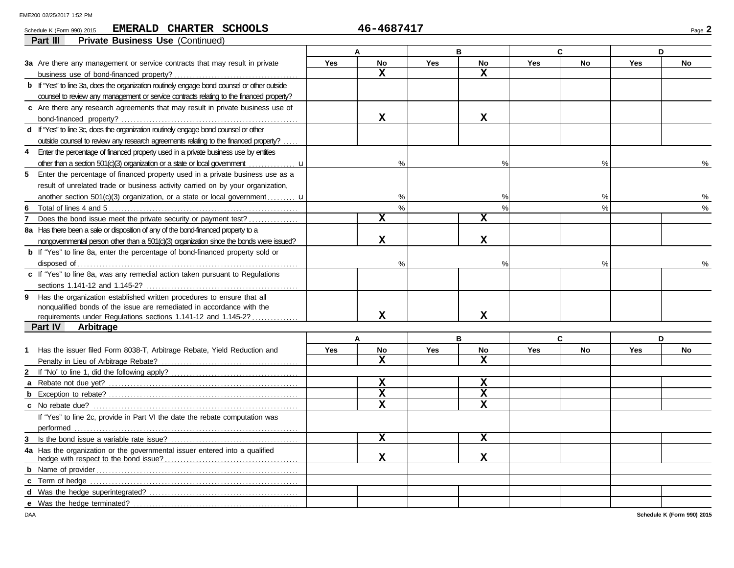|   | EMERALD CHARTER SCHOOLS<br>Schedule K (Form 990) 2015                                       |            | 46-4687417              |            |                         |            |               |            | Page 2 |
|---|---------------------------------------------------------------------------------------------|------------|-------------------------|------------|-------------------------|------------|---------------|------------|--------|
|   | Part III<br>Private Business Use (Continued)                                                |            |                         |            |                         |            |               |            |        |
|   |                                                                                             |            | A                       |            | B                       |            | C             |            | D      |
|   | 3a Are there any management or service contracts that may result in private                 | <b>Yes</b> | No                      | <b>Yes</b> | No                      | <b>Yes</b> | <b>No</b>     | <b>Yes</b> | No     |
|   |                                                                                             |            | $\mathbf x$             |            | $\mathbf{x}$            |            |               |            |        |
|   | b If "Yes" to line 3a, does the organization routinely engage bond counsel or other outside |            |                         |            |                         |            |               |            |        |
|   | counsel to review any management or service contracts relating to the financed property?    |            |                         |            |                         |            |               |            |        |
|   | c Are there any research agreements that may result in private business use of              |            |                         |            |                         |            |               |            |        |
|   |                                                                                             |            | X                       |            | $\mathbf x$             |            |               |            |        |
|   | d If "Yes" to line 3c, does the organization routinely engage bond counsel or other         |            |                         |            |                         |            |               |            |        |
|   | outside counsel to review any research agreements relating to the financed property?        |            |                         |            |                         |            |               |            |        |
| 4 | Enter the percentage of financed property used in a private business use by entities        |            |                         |            |                         |            |               |            |        |
|   | other than a section 501(c)(3) organization or a state or local government $\ldots$         |            | %                       |            | %                       |            | %             |            | %      |
|   | 5 Enter the percentage of financed property used in a private business use as a             |            |                         |            |                         |            |               |            |        |
|   | result of unrelated trade or business activity carried on by your organization,             |            |                         |            |                         |            |               |            |        |
|   | another section 501(c)(3) organization, or a state or local government $\Box$               |            | %                       |            | %                       |            | %             |            | %      |
| 6 |                                                                                             |            | $\frac{1}{2}$           |            | $\frac{1}{2}$           |            | $\frac{0}{0}$ |            | $\%$   |
| 7 | Does the bond issue meet the private security or payment test?                              |            | $\overline{\mathbf{x}}$ |            | $\overline{\mathbf{x}}$ |            |               |            |        |
|   | 8a Has there been a sale or disposition of any of the bond-financed property to a           |            |                         |            |                         |            |               |            |        |
|   | nongovernmental person other than a 501(c)(3) organization since the bonds were issued?     |            | $\mathbf x$             |            | x                       |            |               |            |        |
|   | <b>b</b> If "Yes" to line 8a, enter the percentage of bond-financed property sold or        |            |                         |            |                         |            |               |            |        |
|   |                                                                                             |            | %                       |            | $\frac{0}{0}$           |            | $\frac{0}{0}$ |            | ℅      |
|   | c If "Yes" to line 8a, was any remedial action taken pursuant to Regulations                |            |                         |            |                         |            |               |            |        |
|   |                                                                                             |            |                         |            |                         |            |               |            |        |
|   | 9 Has the organization established written procedures to ensure that all                    |            |                         |            |                         |            |               |            |        |
|   | nonqualified bonds of the issue are remediated in accordance with the                       |            |                         |            |                         |            |               |            |        |
|   | requirements under Regulations sections 1.141-12 and 1.145-2?                               |            | X                       |            | x                       |            |               |            |        |
|   | Part IV<br>Arbitrage                                                                        |            |                         |            |                         |            |               |            |        |
|   |                                                                                             |            | A                       |            | B                       |            | C             |            | D      |
|   | 1 Has the issuer filed Form 8038-T, Arbitrage Rebate, Yield Reduction and                   | Yes        | No                      | Yes        | No                      | <b>Yes</b> | No            | <b>Yes</b> | No     |
|   | Penalty in Lieu of Arbitrage Rebate?                                                        |            | $\mathbf{x}$            |            | $\mathbf x$             |            |               |            |        |
| 2 |                                                                                             |            |                         |            |                         |            |               |            |        |
|   |                                                                                             |            | $\mathbf x$             |            | X                       |            |               |            |        |
|   |                                                                                             |            | $\mathbf x$             |            | X                       |            |               |            |        |
|   |                                                                                             |            | $\mathbf x$             |            | $\mathbf x$             |            |               |            |        |
|   | If "Yes" to line 2c, provide in Part VI the date the rebate computation was                 |            |                         |            |                         |            |               |            |        |
|   |                                                                                             |            |                         |            |                         |            |               |            |        |
|   |                                                                                             |            | X                       |            | $\mathbf x$             |            |               |            |        |
|   | 4a Has the organization or the governmental issuer entered into a qualified                 |            | $\mathbf x$             |            | $\mathbf x$             |            |               |            |        |
|   |                                                                                             |            |                         |            |                         |            |               |            |        |
|   |                                                                                             |            |                         |            |                         |            |               |            |        |
|   |                                                                                             |            |                         |            |                         |            |               |            |        |
|   | e Was the hedge terminated?                                                                 |            |                         |            |                         |            |               |            |        |

DAA **Schedule K (Form 990) 2015**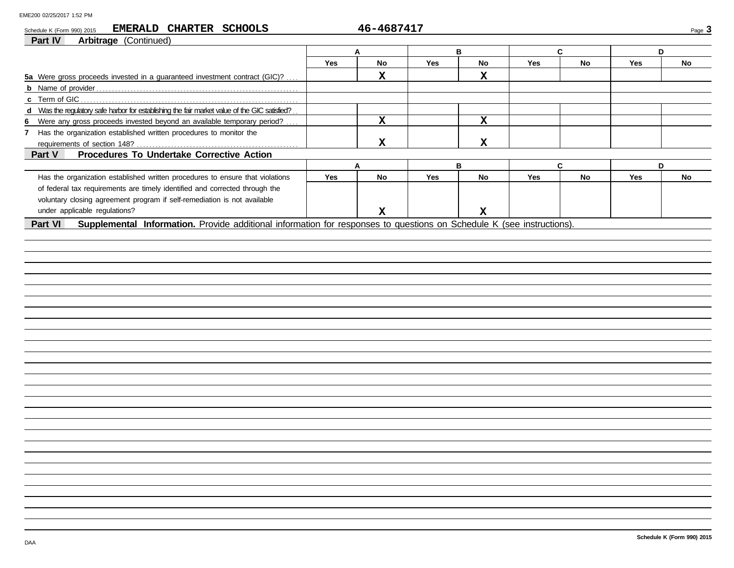| Part IV<br>Arbitrage (Continued)                                                                                                 |     |             |     |             |     |    |     |    |
|----------------------------------------------------------------------------------------------------------------------------------|-----|-------------|-----|-------------|-----|----|-----|----|
|                                                                                                                                  |     | A           |     | в           |     | C  |     | D  |
|                                                                                                                                  | Yes | No          | Yes | No          | Yes | No | Yes | No |
| 5a Were gross proceeds invested in a guaranteed investment contract (GIC)?                                                       |     | $\mathbf x$ |     | $\mathbf x$ |     |    |     |    |
|                                                                                                                                  |     |             |     |             |     |    |     |    |
|                                                                                                                                  |     |             |     |             |     |    |     |    |
| d Was the regulatory safe harbor for establishing the fair market value of the GIC satisfied?                                    |     |             |     |             |     |    |     |    |
| 6 Were any gross proceeds invested beyond an available temporary period?                                                         |     | $\mathbf x$ |     | $\mathbf x$ |     |    |     |    |
| 7 Has the organization established written procedures to monitor the                                                             |     |             |     |             |     |    |     |    |
|                                                                                                                                  |     | $\mathbf x$ |     | $\mathbf x$ |     |    |     |    |
| Procedures To Undertake Corrective Action<br>Part V                                                                              |     |             |     |             |     |    |     |    |
|                                                                                                                                  |     | A           |     | B           |     | C  |     | D  |
| Has the organization established written procedures to ensure that violations                                                    | Yes | No          | Yes | No          | Yes | No | Yes | No |
| of federal tax requirements are timely identified and corrected through the                                                      |     |             |     |             |     |    |     |    |
| voluntary closing agreement program if self-remediation is not available                                                         |     |             |     |             |     |    |     |    |
| under applicable regulations?                                                                                                    |     | $\mathbf x$ |     | $\mathbf x$ |     |    |     |    |
| Supplemental Information. Provide additional information for responses to questions on Schedule K (see instructions).<br>Part VI |     |             |     |             |     |    |     |    |
|                                                                                                                                  |     |             |     |             |     |    |     |    |
|                                                                                                                                  |     |             |     |             |     |    |     |    |
|                                                                                                                                  |     |             |     |             |     |    |     |    |
|                                                                                                                                  |     |             |     |             |     |    |     |    |
|                                                                                                                                  |     |             |     |             |     |    |     |    |
|                                                                                                                                  |     |             |     |             |     |    |     |    |
|                                                                                                                                  |     |             |     |             |     |    |     |    |
|                                                                                                                                  |     |             |     |             |     |    |     |    |
|                                                                                                                                  |     |             |     |             |     |    |     |    |
|                                                                                                                                  |     |             |     |             |     |    |     |    |
|                                                                                                                                  |     |             |     |             |     |    |     |    |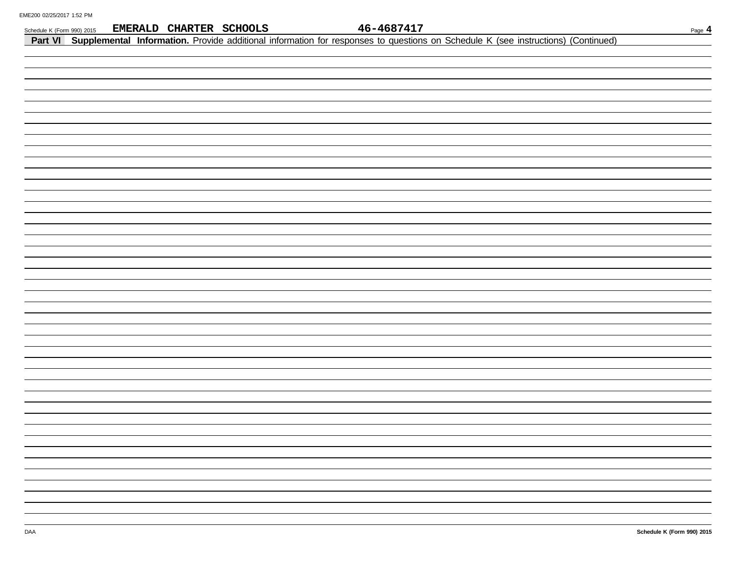| Schedule K (Form 990) 2015 |  | EMERALD CHARTER SCHOOLS |  | 46-4687417                                                                                                                               |  |  | Page $4$ |
|----------------------------|--|-------------------------|--|------------------------------------------------------------------------------------------------------------------------------------------|--|--|----------|
|                            |  |                         |  | Part VI Supplemental Information. Provide additional information for responses to questions on Schedule K (see instructions) (Continued) |  |  |          |
|                            |  |                         |  |                                                                                                                                          |  |  |          |
|                            |  |                         |  |                                                                                                                                          |  |  |          |
|                            |  |                         |  |                                                                                                                                          |  |  |          |
|                            |  |                         |  |                                                                                                                                          |  |  |          |
|                            |  |                         |  |                                                                                                                                          |  |  |          |
|                            |  |                         |  |                                                                                                                                          |  |  |          |
|                            |  |                         |  |                                                                                                                                          |  |  |          |
|                            |  |                         |  |                                                                                                                                          |  |  |          |
|                            |  |                         |  |                                                                                                                                          |  |  |          |
|                            |  |                         |  |                                                                                                                                          |  |  |          |
|                            |  |                         |  |                                                                                                                                          |  |  |          |
|                            |  |                         |  |                                                                                                                                          |  |  |          |
|                            |  |                         |  |                                                                                                                                          |  |  |          |
|                            |  |                         |  |                                                                                                                                          |  |  |          |
|                            |  |                         |  |                                                                                                                                          |  |  |          |
|                            |  |                         |  |                                                                                                                                          |  |  |          |
|                            |  |                         |  |                                                                                                                                          |  |  |          |
|                            |  |                         |  |                                                                                                                                          |  |  |          |
|                            |  |                         |  |                                                                                                                                          |  |  |          |
|                            |  |                         |  |                                                                                                                                          |  |  |          |
|                            |  |                         |  |                                                                                                                                          |  |  |          |
|                            |  |                         |  |                                                                                                                                          |  |  |          |
|                            |  |                         |  |                                                                                                                                          |  |  |          |
|                            |  |                         |  |                                                                                                                                          |  |  |          |
|                            |  |                         |  |                                                                                                                                          |  |  |          |
|                            |  |                         |  |                                                                                                                                          |  |  |          |
|                            |  |                         |  |                                                                                                                                          |  |  |          |
|                            |  |                         |  |                                                                                                                                          |  |  |          |
|                            |  |                         |  |                                                                                                                                          |  |  |          |
|                            |  |                         |  |                                                                                                                                          |  |  |          |
|                            |  |                         |  |                                                                                                                                          |  |  |          |
|                            |  |                         |  |                                                                                                                                          |  |  |          |
|                            |  |                         |  |                                                                                                                                          |  |  |          |
|                            |  |                         |  |                                                                                                                                          |  |  |          |
|                            |  |                         |  |                                                                                                                                          |  |  |          |
|                            |  |                         |  |                                                                                                                                          |  |  |          |
|                            |  |                         |  |                                                                                                                                          |  |  |          |
|                            |  |                         |  |                                                                                                                                          |  |  |          |
|                            |  |                         |  |                                                                                                                                          |  |  |          |
|                            |  |                         |  |                                                                                                                                          |  |  |          |
|                            |  |                         |  |                                                                                                                                          |  |  |          |
|                            |  |                         |  |                                                                                                                                          |  |  |          |